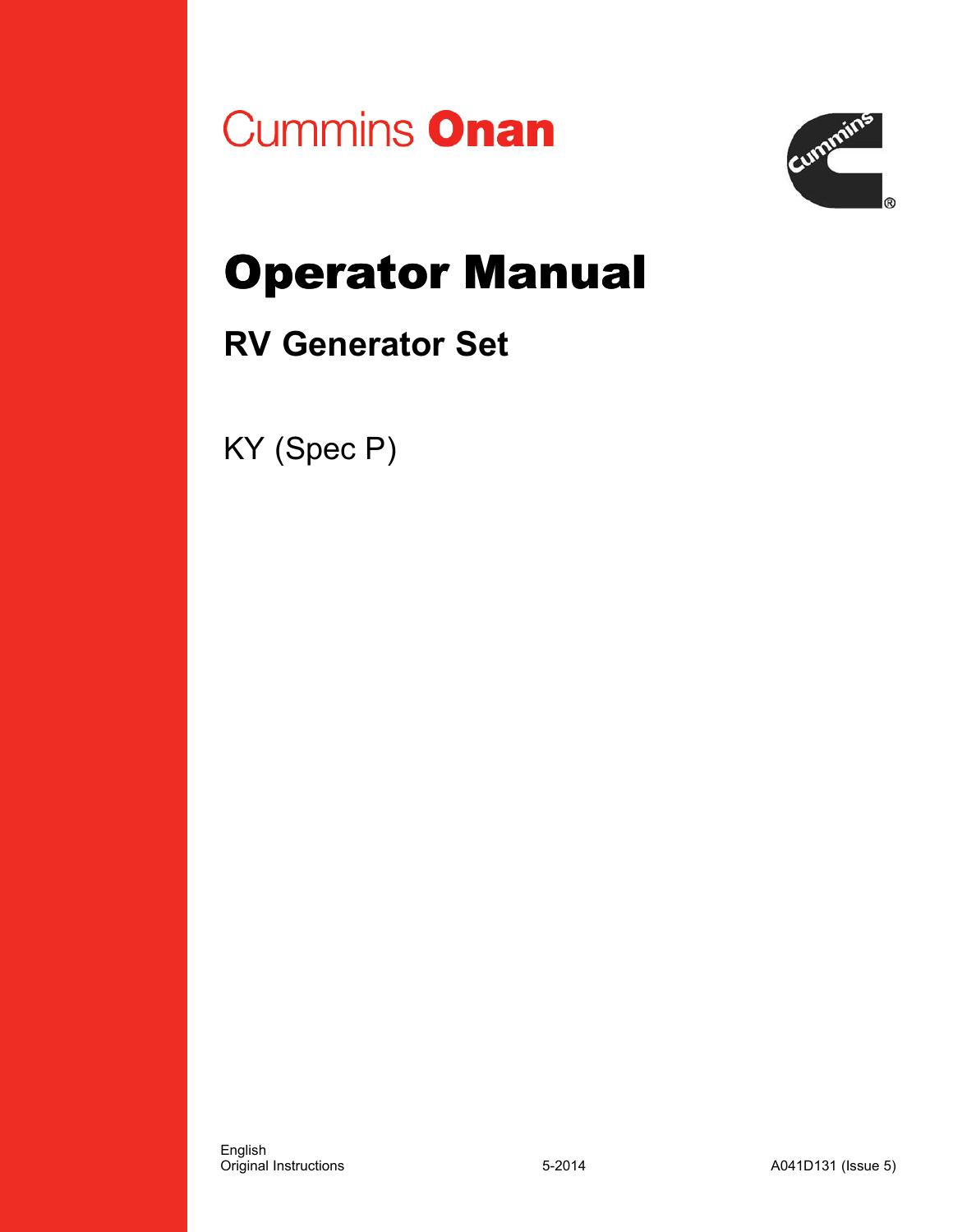



# **Operator Manual**

# **RV Generator Set**

KY (Spec P)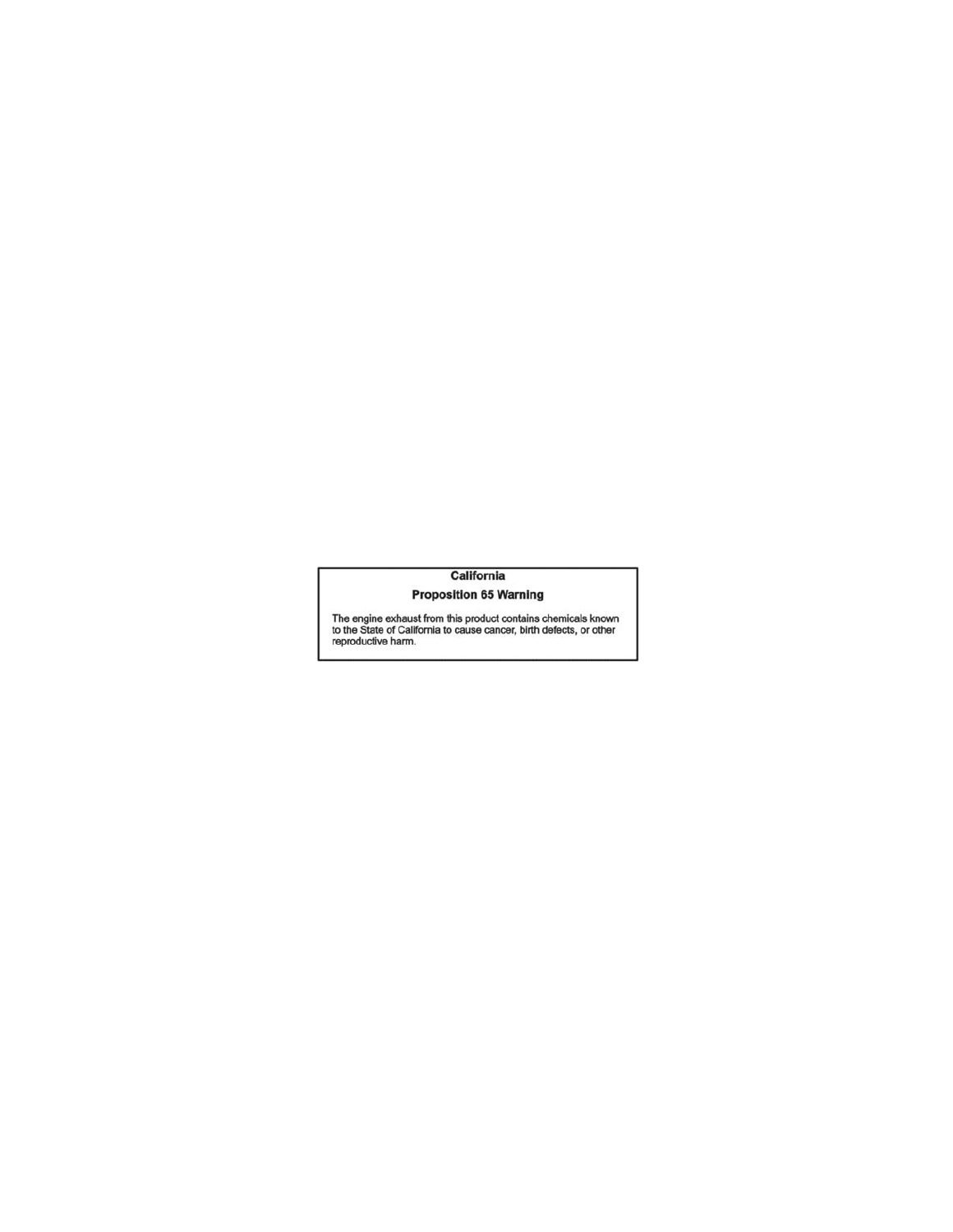### California

#### **Proposition 65 Warning**

The engine exhaust from this product contains chemicals known<br>to the State of California to cause cancer, birth defects, or other<br>reproductive harm.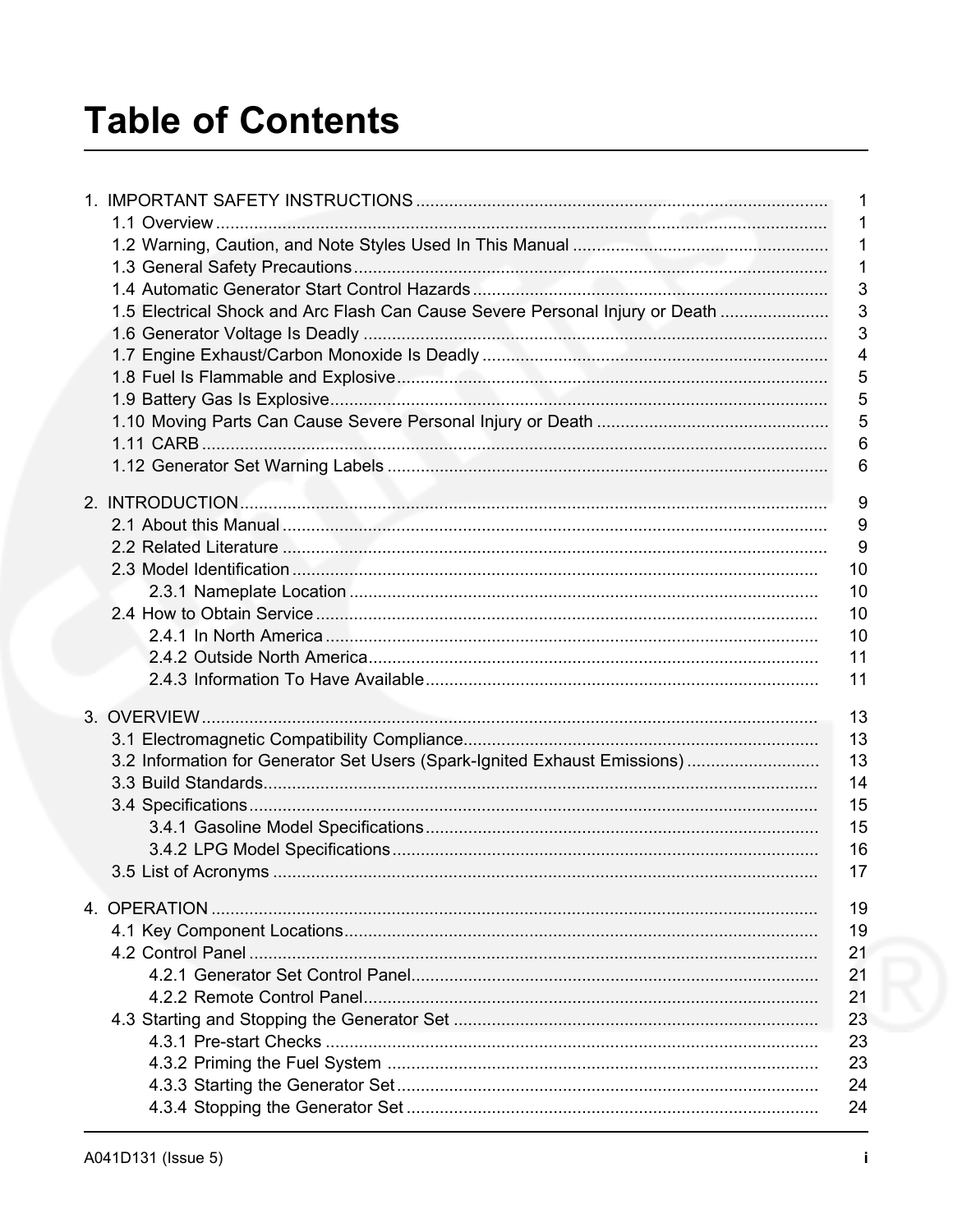# **Table of Contents**

|                                                                              | 1<br>1                                 |
|------------------------------------------------------------------------------|----------------------------------------|
| 1.5 Electrical Shock and Arc Flash Can Cause Severe Personal Injury or Death | 1<br>1<br>3<br>3<br>3                  |
|                                                                              | 4<br>5<br>5<br>5<br>6<br>6             |
|                                                                              | g<br>9<br>g<br>10<br>10                |
|                                                                              | 10<br>10<br>11<br>11                   |
| 3.2 Information for Generator Set Users (Spark-Ignited Exhaust Emissions)    | 13<br>13<br>13<br>14<br>15<br>15<br>16 |
|                                                                              | 17<br>19<br>19<br>21<br>21<br>21       |
|                                                                              | 23<br>23<br>23<br>24<br>24             |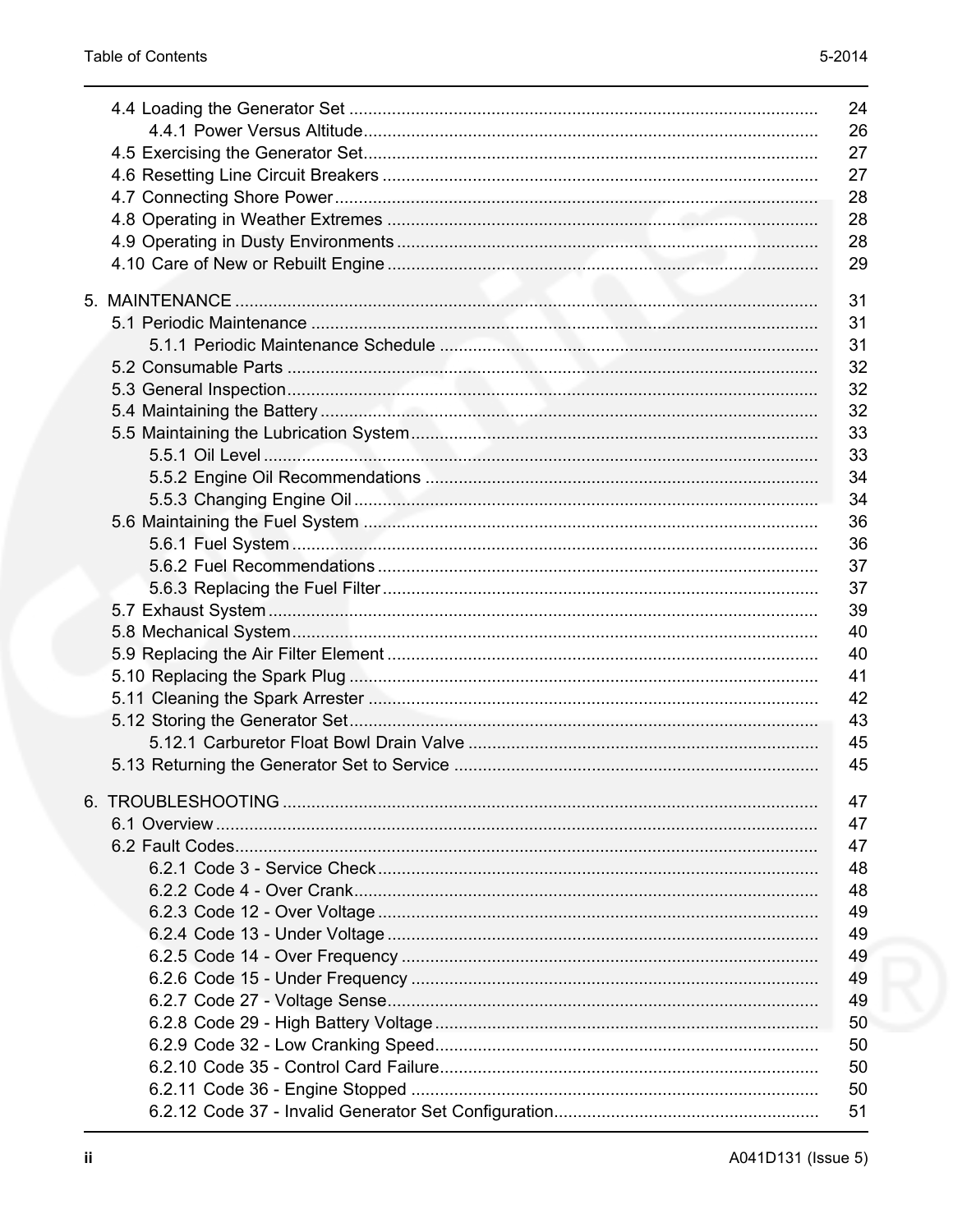|  | 24 |
|--|----|
|  | 26 |
|  | 27 |
|  | 27 |
|  | 28 |
|  | 28 |
|  | 28 |
|  | 29 |
|  | 31 |
|  | 31 |
|  | 31 |
|  | 32 |
|  | 32 |
|  | 32 |
|  | 33 |
|  | 33 |
|  | 34 |
|  | 34 |
|  | 36 |
|  | 36 |
|  | 37 |
|  | 37 |
|  | 39 |
|  | 40 |
|  | 40 |
|  | 41 |
|  | 42 |
|  | 43 |
|  | 45 |
|  | 45 |
|  |    |
|  | 47 |
|  | 47 |
|  | 47 |
|  | 48 |
|  | 48 |
|  | 49 |
|  | 49 |
|  | 49 |
|  | 49 |
|  | 49 |
|  | 50 |
|  | 50 |
|  | 50 |
|  | 50 |
|  | 51 |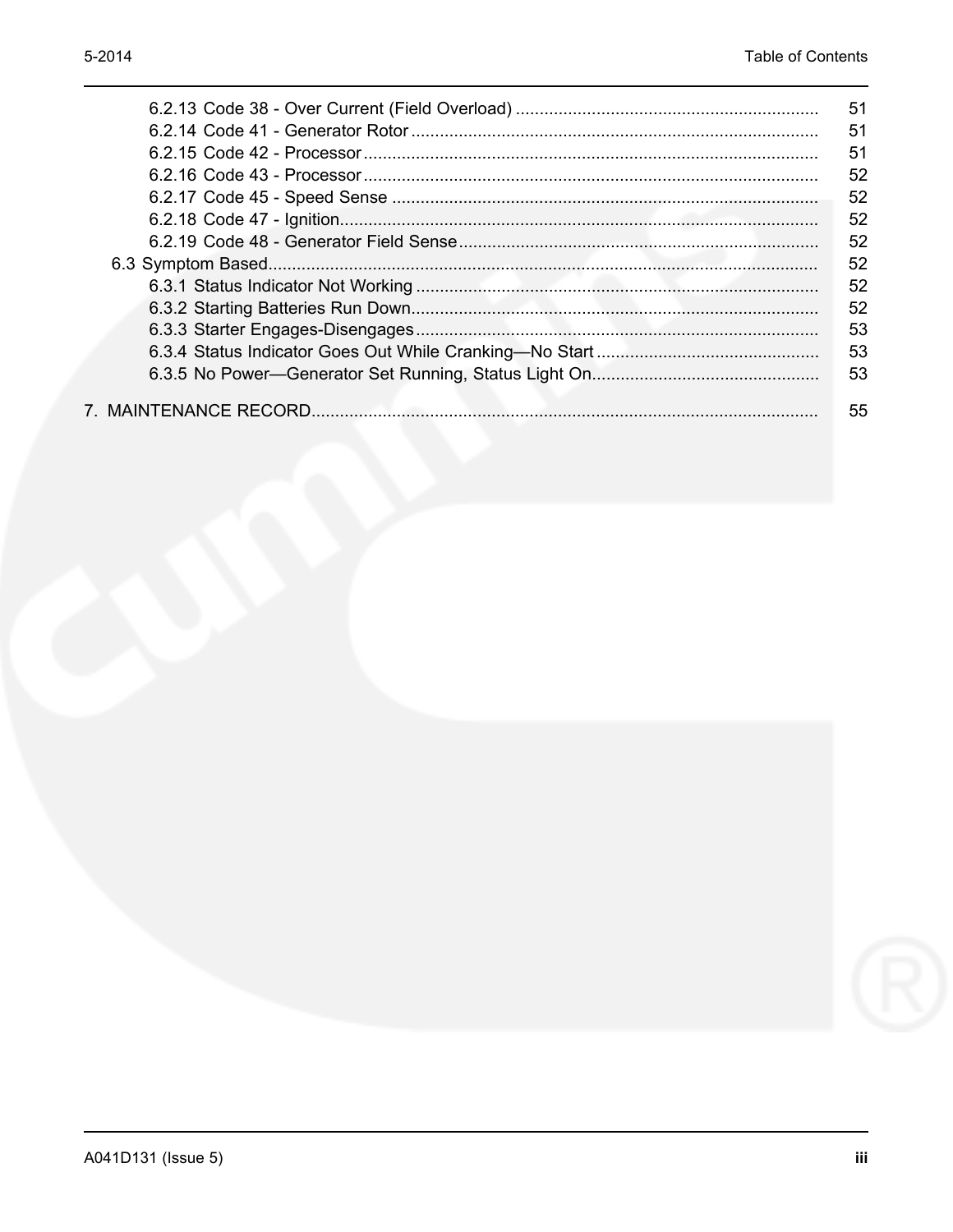| - 51 |
|------|
| 51   |
| 51   |
| 52   |
| 52   |
| 52   |
| 52   |
| 52   |
| 52   |
| 52   |
| 53   |
| 53   |
| 53   |
| 55   |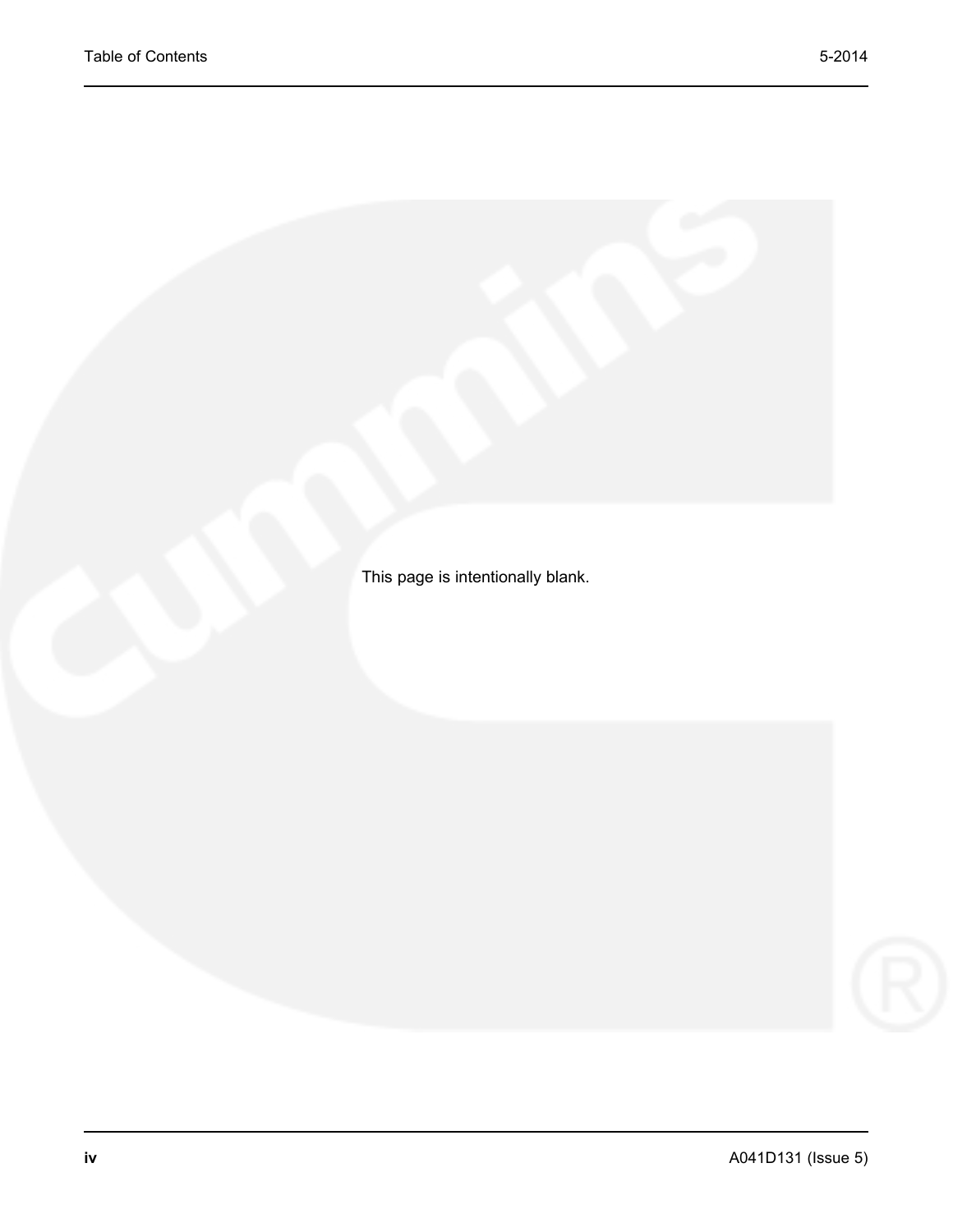This page is intentionally blank.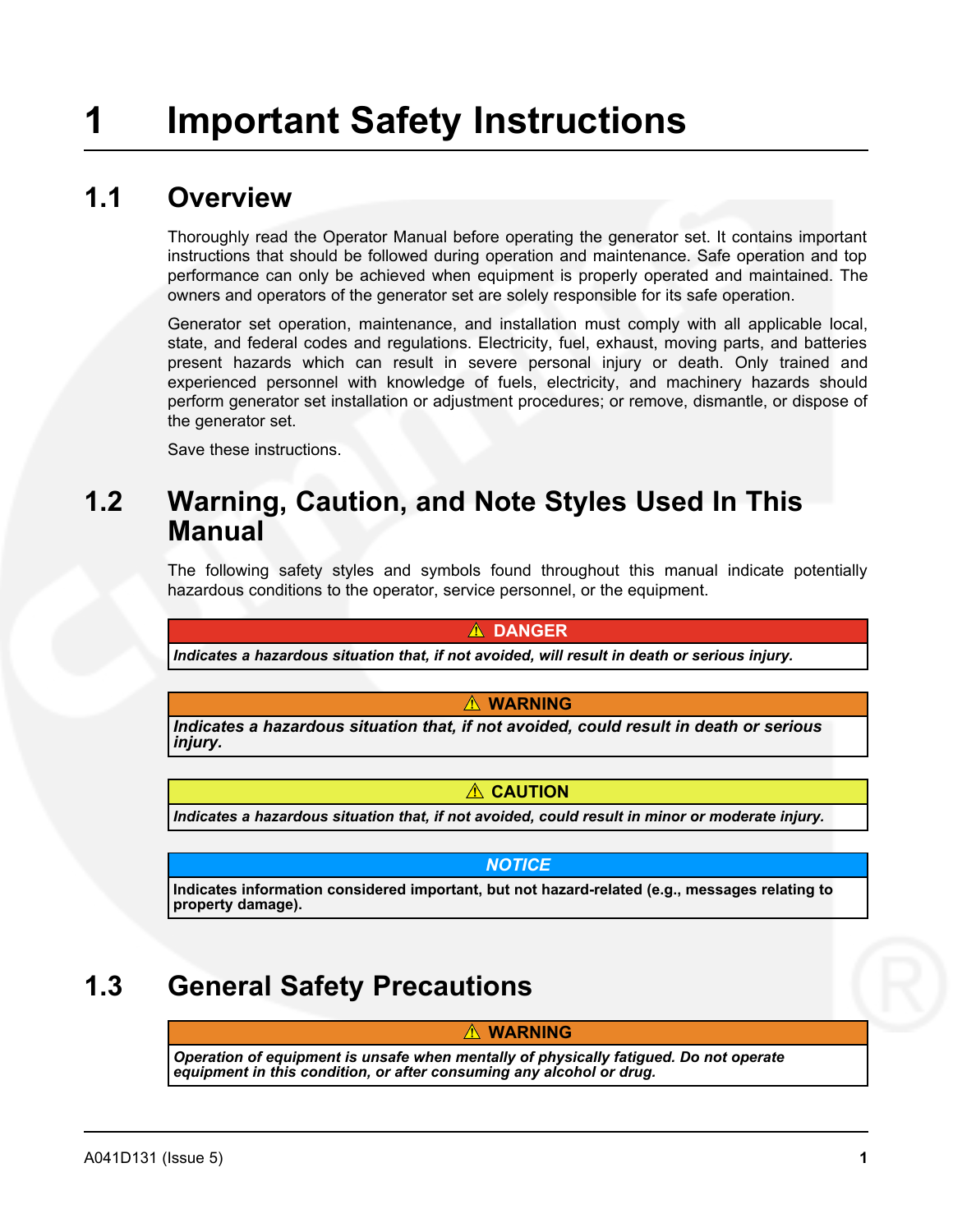# <span id="page-6-0"></span>**1 Important Safety Instructions**

## <span id="page-6-1"></span>**1.1 Overview**

Thoroughly read the Operator Manual before operating the generator set. It contains important instructions that should be followed during operation and maintenance. Safe operation and top performance can only be achieved when equipment is properly operated and maintained. The owners and operators of the generator set are solely responsible for its safe operation.

Generator set operation, maintenance, and installation must comply with all applicable local, state, and federal codes and regulations. Electricity, fuel, exhaust, moving parts, and batteries present hazards which can result in severe personal injury or death. Only trained and experienced personnel with knowledge of fuels, electricity, and machinery hazards should perform generator set installation or adjustment procedures; or remove, dismantle, or dispose of the generator set.

Save these instructions.

## <span id="page-6-2"></span>**1.2 Warning, Caution, and Note Styles Used In This Manual**

The following safety styles and symbols found throughout this manual indicate potentially hazardous conditions to the operator, service personnel, or the equipment.

#### **DANGER**

*Indicates a hazardous situation that, if not avoided, will result in death or serious injury.*

#### **WARNING**

*Indicates a hazardous situation that, if not avoided, could result in death or serious injury.*

#### $\mathbb A$  caution

*Indicates a hazardous situation that, if not avoided, could result in minor or moderate injury.*

#### *NOTICE*

**Indicates information considered important, but not hazard-related (e.g., messages relating to property damage).**

# <span id="page-6-3"></span>**1.3 General Safety Precautions**

#### **WARNING**

*Operation of equipment is unsafe when mentally of physically fatigued. Do not operate equipment in this condition, or after consuming any alcohol or drug.*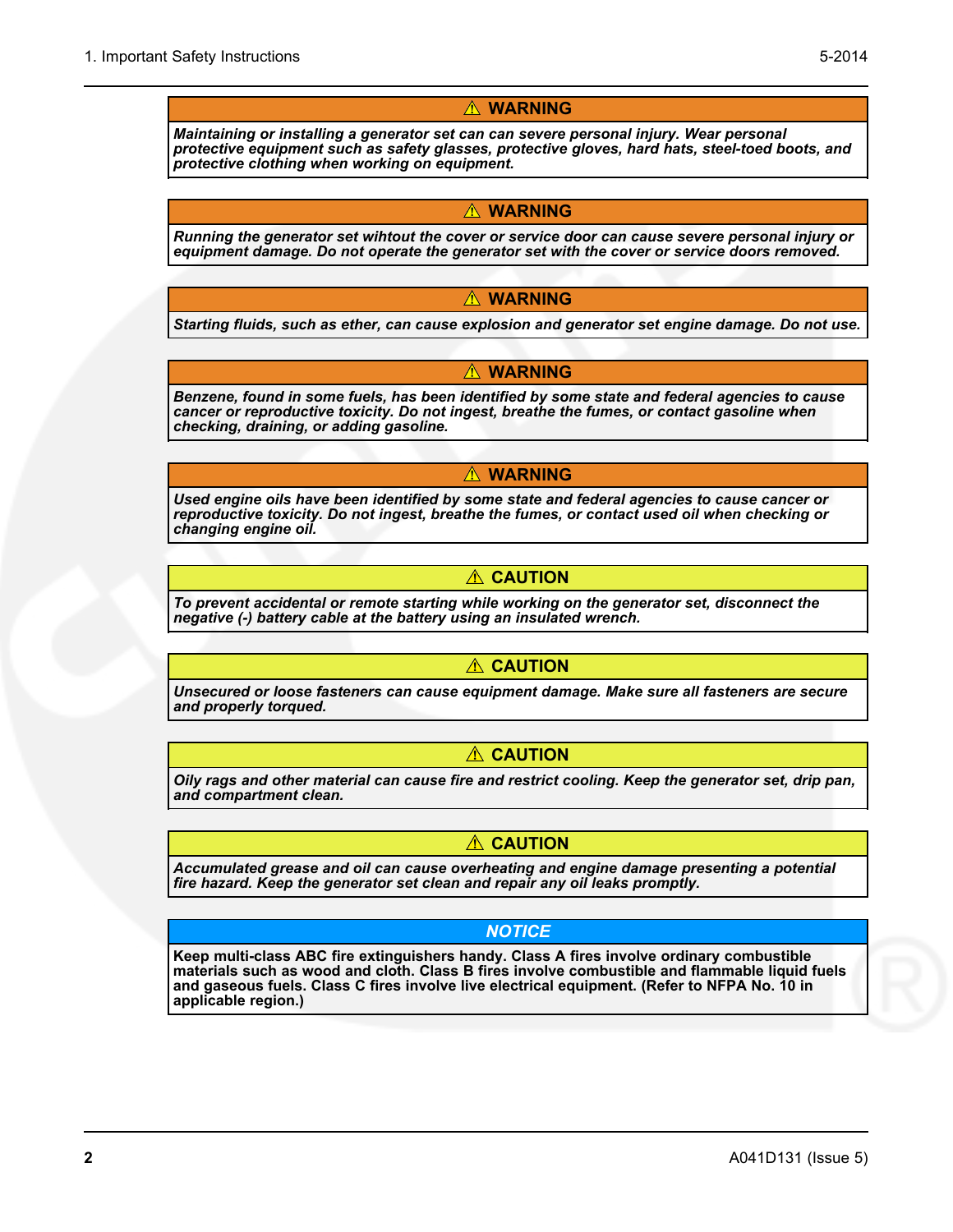#### **WARNING**

*Maintaining or installing a generator set can can severe personal injury. Wear personal protective equipment such as safety glasses, protective gloves, hard hats, steel-toed boots, and protective clothing when working on equipment.*

#### **WARNING**

*Running the generator set wihtout the cover or service door can cause severe personal injury or equipment damage. Do not operate the generator set with the cover or service doors removed.*

#### **WARNING**

*Starting fluids, such as ether, can cause explosion and generator set engine damage. Do not use.*

#### **WARNING**

*Benzene, found in some fuels, has been identified by some state and federal agencies to cause cancer or reproductive toxicity. Do not ingest, breathe the fumes, or contact gasoline when checking, draining, or adding gasoline.*

#### **WARNING**

*Used engine oils have been identified by some state and federal agencies to cause cancer or reproductive toxicity. Do not ingest, breathe the fumes, or contact used oil when checking or changing engine oil.*

### **A** CAUTION

*To prevent accidental or remote starting while working on the generator set, disconnect the negative (-) battery cable at the battery using an insulated wrench.*

### **A** CAUTION

*Unsecured or loose fasteners can cause equipment damage. Make sure all fasteners are secure and properly torqued.*

### **A** CAUTION

*Oily rags and other material can cause fire and restrict cooling. Keep the generator set, drip pan, and compartment clean.*

### $\mathbb A$  caution

*Accumulated grease and oil can cause overheating and engine damage presenting a potential fire hazard. Keep the generator set clean and repair any oil leaks promptly.*

#### *NOTICE*

**Keep multi-class ABC fire extinguishers handy. Class A fires involve ordinary combustible materials such as wood and cloth. Class B fires involve combustible and flammable liquid fuels and gaseous fuels. Class C fires involve live electrical equipment. (Refer to NFPA No. 10 in applicable region.)**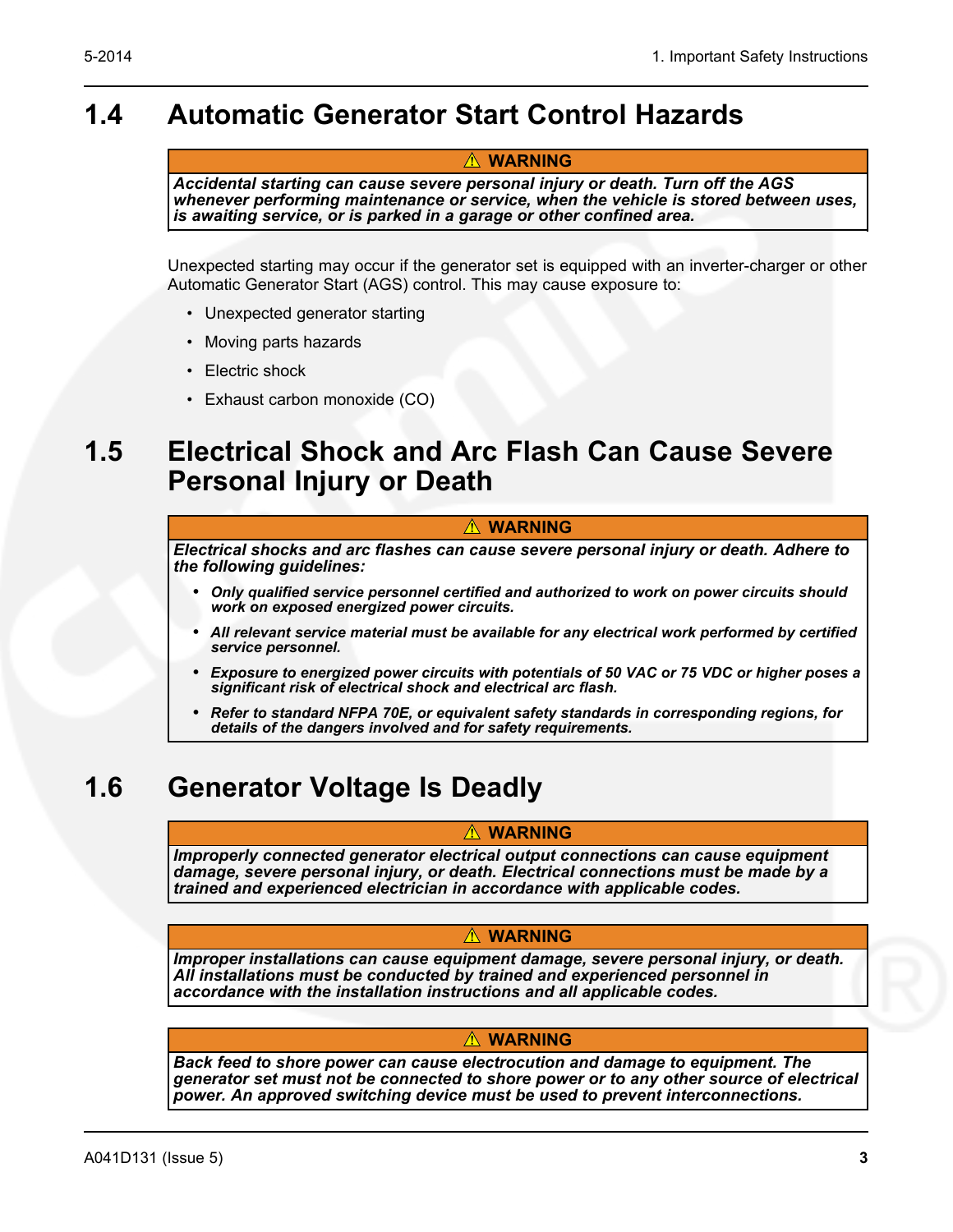# <span id="page-8-0"></span>**1.4 Automatic Generator Start Control Hazards**

**WARNING**

*Accidental starting can cause severe personal injury or death. Turn off the AGS whenever performing maintenance or service, when the vehicle is stored between uses, is awaiting service, or is parked in a garage or other confined area.*

Unexpected starting may occur if the generator set is equipped with an inverter-charger or other Automatic Generator Start (AGS) control. This may cause exposure to:

- Unexpected generator starting
- Moving parts hazards
- Electric shock
- Exhaust carbon monoxide (CO)

# <span id="page-8-1"></span>**1.5 Electrical Shock and Arc Flash Can Cause Severe Personal Injury or Death**

#### **WARNING**

*Electrical shocks and arc flashes can cause severe personal injury or death. Adhere to the following guidelines:*

- *• Only qualified service personnel certified and authorized to work on power circuits should work on exposed energized power circuits.*
- *• All relevant service material must be available for any electrical work performed by certified service personnel.*
- *• Exposure to energized power circuits with potentials of 50 VAC or 75 VDC or higher poses a significant risk of electrical shock and electrical arc flash.*
- *• Refer to standard NFPA 70E, or equivalent safety standards in corresponding regions, for details of the dangers involved and for safety requirements.*

# <span id="page-8-2"></span>**1.6 Generator Voltage Is Deadly**

#### **WARNING**

*Improperly connected generator electrical output connections can cause equipment damage, severe personal injury, or death. Electrical connections must be made by a trained and experienced electrician in accordance with applicable codes.*

### **WARNING**

*Improper installations can cause equipment damage, severe personal injury, or death. All installations must be conducted by trained and experienced personnel in accordance with the installation instructions and all applicable codes.*

### **WARNING**

*Back feed to shore power can cause electrocution and damage to equipment. The generator set must not be connected to shore power or to any other source of electrical power. An approved switching device must be used to prevent interconnections.*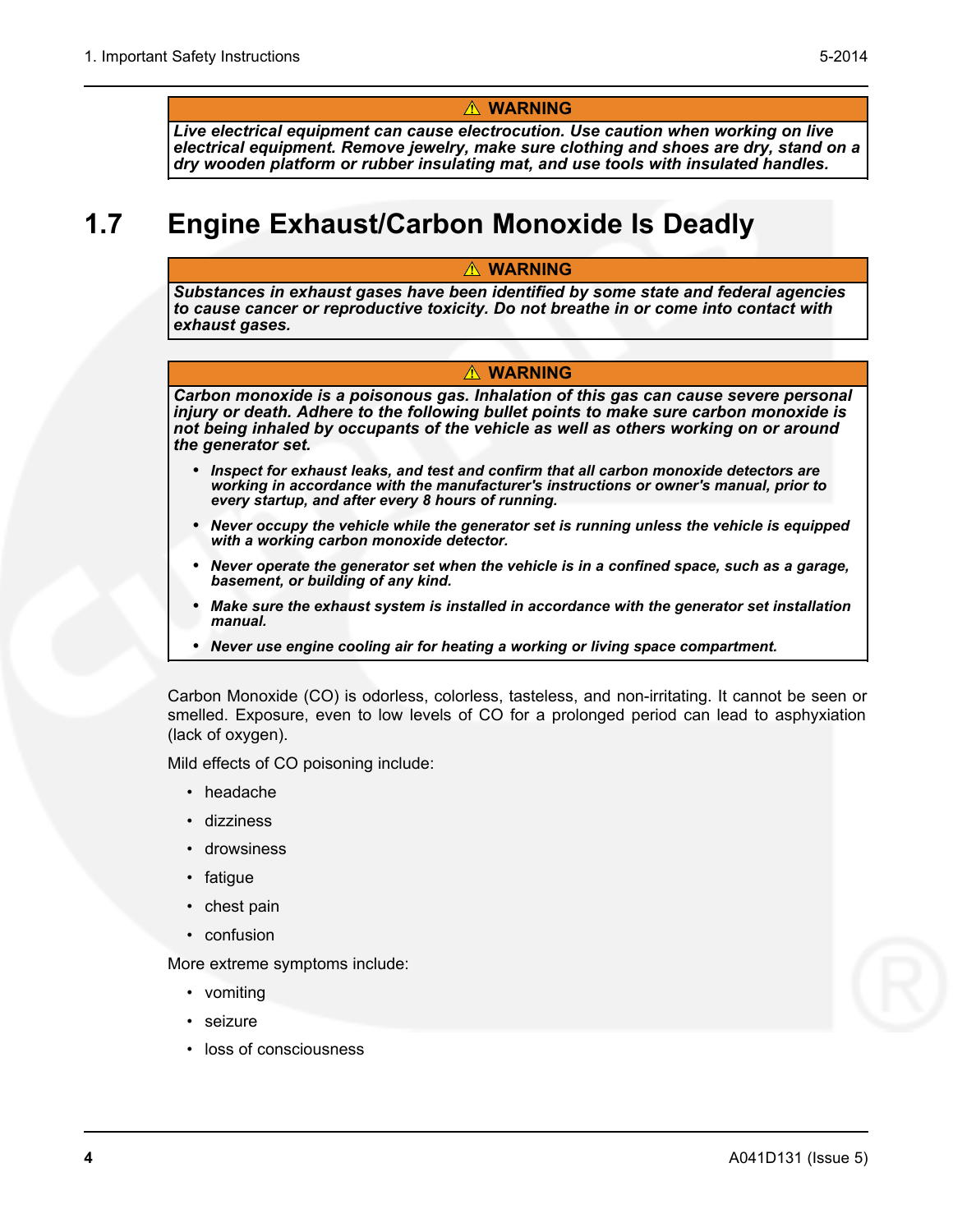#### **WARNING**

*Live electrical equipment can cause electrocution. Use caution when working on live electrical equipment. Remove jewelry, make sure clothing and shoes are dry, stand on a dry wooden platform or rubber insulating mat, and use tools with insulated handles.*

# <span id="page-9-0"></span>**1.7 Engine Exhaust/Carbon Monoxide Is Deadly**

#### **WARNING**

*Substances in exhaust gases have been identified by some state and federal agencies to cause cancer or reproductive toxicity. Do not breathe in or come into contact with exhaust gases.*

#### **WARNING**

*Carbon monoxide is a poisonous gas. Inhalation of this gas can cause severe personal injury or death. Adhere to the following bullet points to make sure carbon monoxide is not being inhaled by occupants of the vehicle as well as others working on or around the generator set.*

- *• Inspect for exhaust leaks, and test and confirm that all carbon monoxide detectors are working in accordance with the manufacturer's instructions or owner's manual, prior to every startup, and after every 8 hours of running.*
- *• Never occupy the vehicle while the generator set is running unless the vehicle is equipped with a working carbon monoxide detector.*
- *• Never operate the generator set when the vehicle is in a confined space, such as a garage, basement, or building of any kind.*
- *• Make sure the exhaust system is installed in accordance with the generator set installation manual.*
- *• Never use engine cooling air for heating a working or living space compartment.*

Carbon Monoxide (CO) is odorless, colorless, tasteless, and non-irritating. It cannot be seen or smelled. Exposure, even to low levels of CO for a prolonged period can lead to asphyxiation (lack of oxygen).

Mild effects of CO poisoning include:

- headache
- dizziness
- drowsiness
- fatigue
- chest pain
- confusion

More extreme symptoms include:

- vomiting
- seizure
- loss of consciousness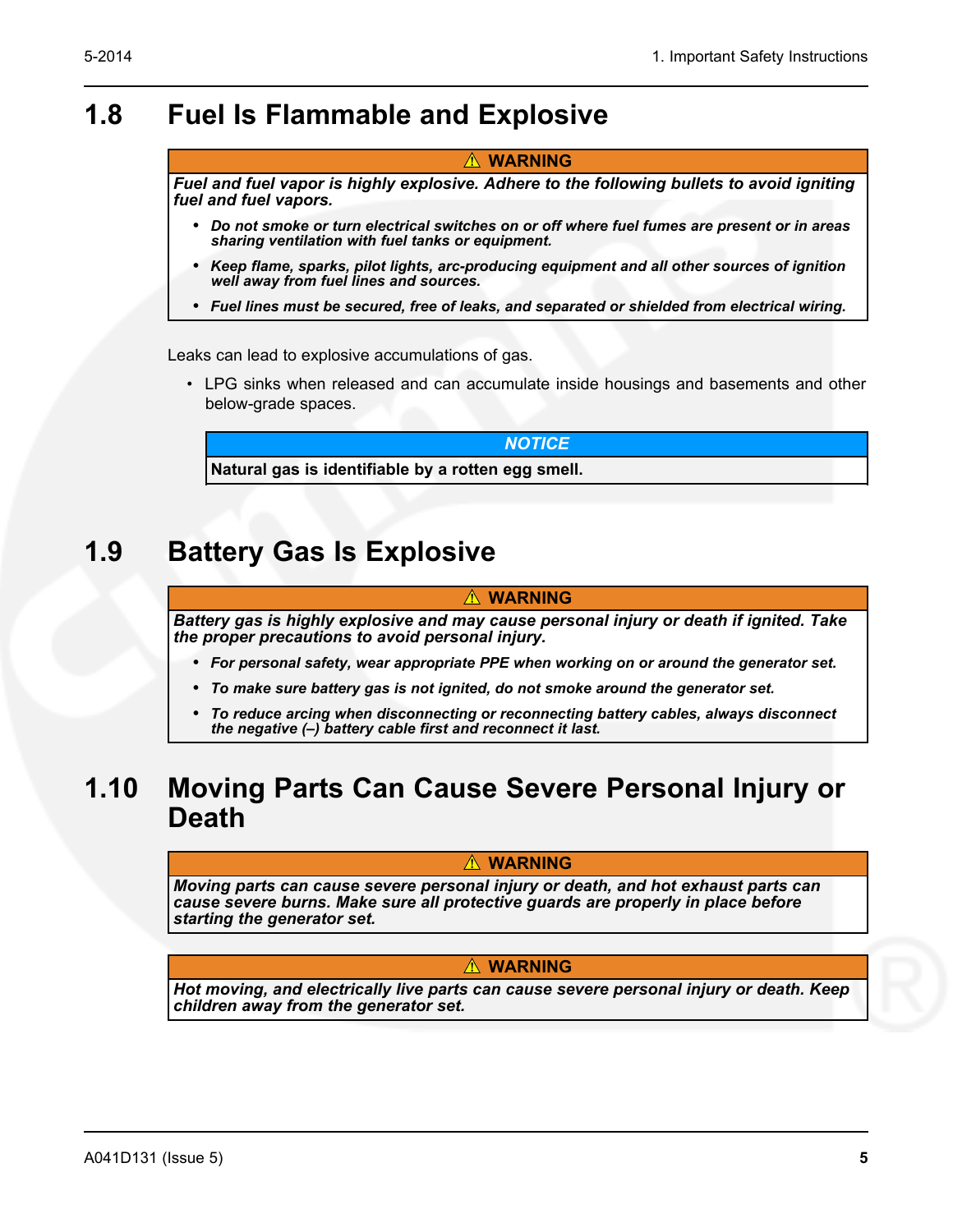# <span id="page-10-0"></span>**1.8 Fuel Is Flammable and Explosive**

**WARNING** *Fuel and fuel vapor is highly explosive. Adhere to the following bullets to avoid igniting fuel and fuel vapors.*

- *• Do not smoke or turn electrical switches on or off where fuel fumes are present or in areas sharing ventilation with fuel tanks or equipment.*
- *• Keep flame, sparks, pilot lights, arc-producing equipment and all other sources of ignition well away from fuel lines and sources.*
- *• Fuel lines must be secured, free of leaks, and separated or shielded from electrical wiring.*

Leaks can lead to explosive accumulations of gas.

• LPG sinks when released and can accumulate inside housings and basements and other below-grade spaces.

*NOTICE* **Natural gas is identifiable by a rotten egg smell.**

# <span id="page-10-1"></span>**1.9 Battery Gas Is Explosive**

#### **WARNING**

*Battery gas is highly explosive and may cause personal injury or death if ignited. Take the proper precautions to avoid personal injury.*

- *• For personal safety, wear appropriate PPE when working on or around the generator set.*
- *• To make sure battery gas is not ignited, do not smoke around the generator set.*
- *• To reduce arcing when disconnecting or reconnecting battery cables, always disconnect the negative (–) battery cable first and reconnect it last.*

## <span id="page-10-2"></span>**1.10 Moving Parts Can Cause Severe Personal Injury or Death**

#### **WARNING**

*Moving parts can cause severe personal injury or death, and hot exhaust parts can cause severe burns. Make sure all protective guards are properly in place before starting the generator set.*

### **WARNING**

*Hot moving, and electrically live parts can cause severe personal injury or death. Keep children away from the generator set.*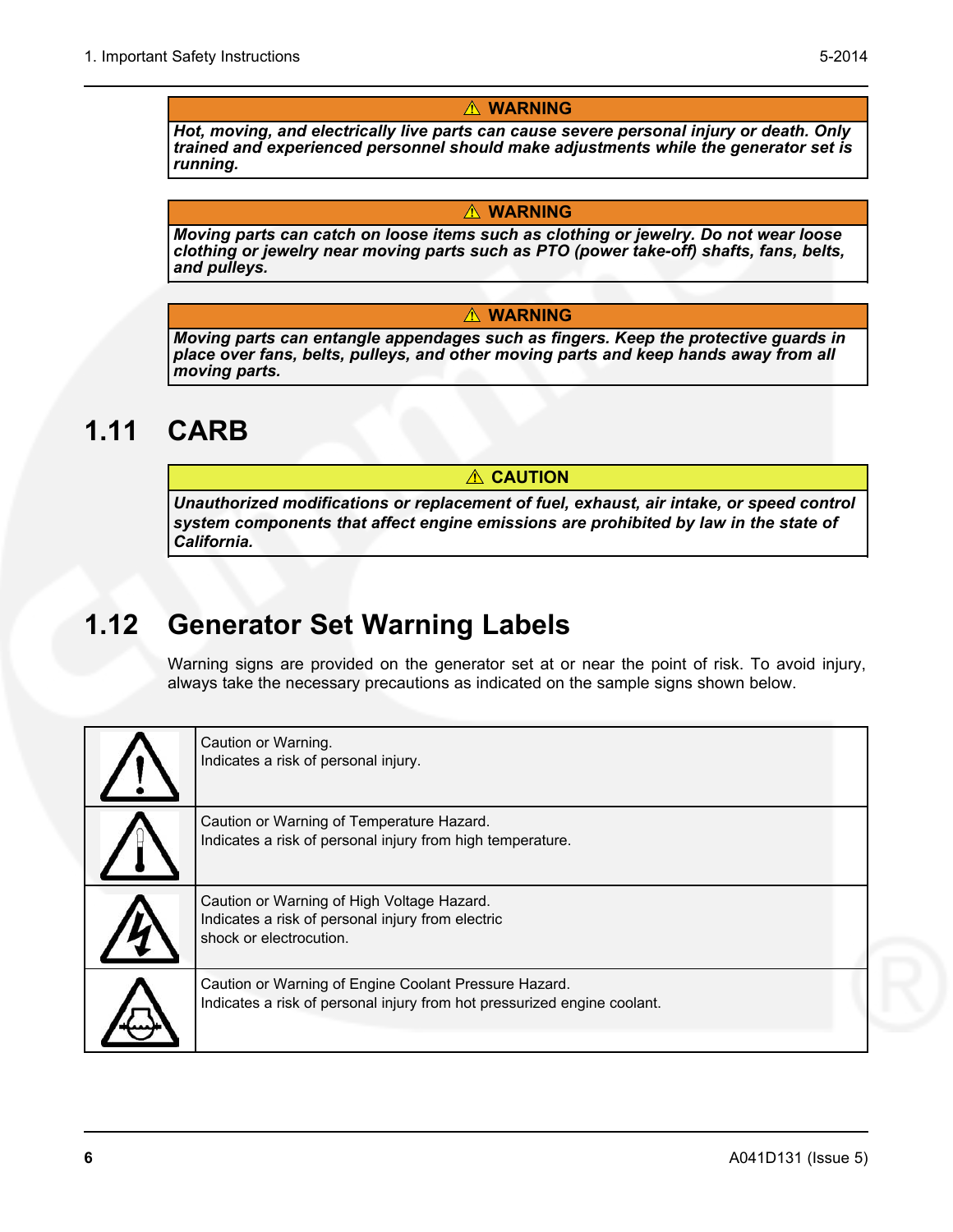### **WARNING**

*Hot, moving, and electrically live parts can cause severe personal injury or death. Only trained and experienced personnel should make adjustments while the generator set is running.*

### **WARNING**

*Moving parts can catch on loose items such as clothing or jewelry. Do not wear loose clothing or jewelry near moving parts such as PTO (power take-off) shafts, fans, belts, and pulleys.*

### **WARNING**

*Moving parts can entangle appendages such as fingers. Keep the protective guards in place over fans, belts, pulleys, and other moving parts and keep hands away from all moving parts.*

# <span id="page-11-0"></span>**1.11 CARB**

### **A** CAUTION

*Unauthorized modifications or replacement of fuel, exhaust, air intake, or speed control system components that affect engine emissions are prohibited by law in the state of California.*

# <span id="page-11-1"></span>**1.12 Generator Set Warning Labels**

Warning signs are provided on the generator set at or near the point of risk. To avoid injury, always take the necessary precautions as indicated on the sample signs shown below.

| Caution or Warning.<br>Indicates a risk of personal injury.                                                                       |
|-----------------------------------------------------------------------------------------------------------------------------------|
| Caution or Warning of Temperature Hazard.<br>Indicates a risk of personal injury from high temperature.                           |
| Caution or Warning of High Voltage Hazard.<br>Indicates a risk of personal injury from electric<br>shock or electrocution.        |
| Caution or Warning of Engine Coolant Pressure Hazard.<br>Indicates a risk of personal injury from hot pressurized engine coolant. |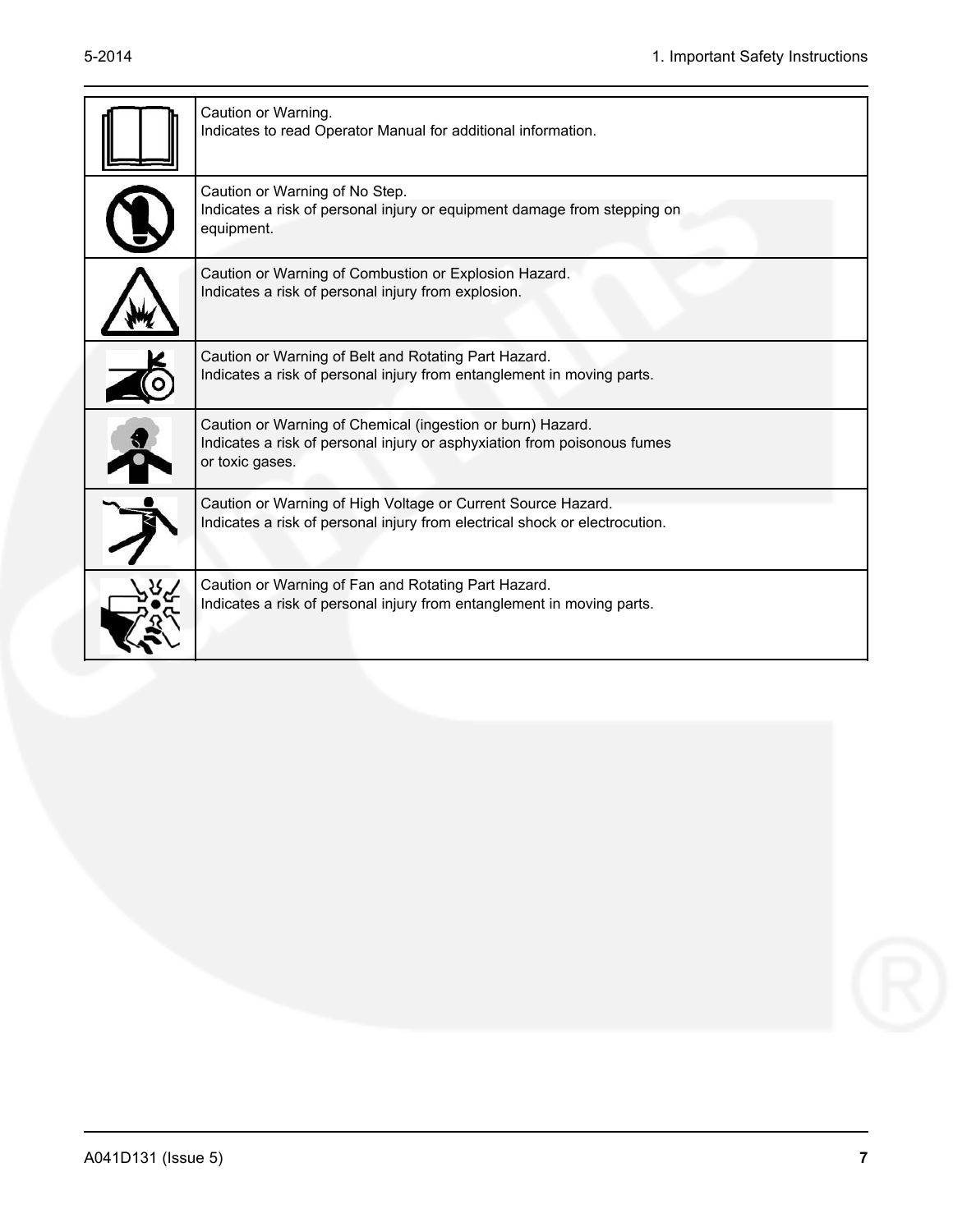| Caution or Warning.<br>Indicates to read Operator Manual for additional information.                                                                      |
|-----------------------------------------------------------------------------------------------------------------------------------------------------------|
| Caution or Warning of No Step.<br>Indicates a risk of personal injury or equipment damage from stepping on<br>equipment.                                  |
| Caution or Warning of Combustion or Explosion Hazard.<br>Indicates a risk of personal injury from explosion.                                              |
| Caution or Warning of Belt and Rotating Part Hazard.<br>Indicates a risk of personal injury from entanglement in moving parts.                            |
| Caution or Warning of Chemical (ingestion or burn) Hazard.<br>Indicates a risk of personal injury or asphyxiation from poisonous fumes<br>or toxic gases. |
| Caution or Warning of High Voltage or Current Source Hazard.<br>Indicates a risk of personal injury from electrical shock or electrocution.               |
| Caution or Warning of Fan and Rotating Part Hazard.<br>Indicates a risk of personal injury from entanglement in moving parts.                             |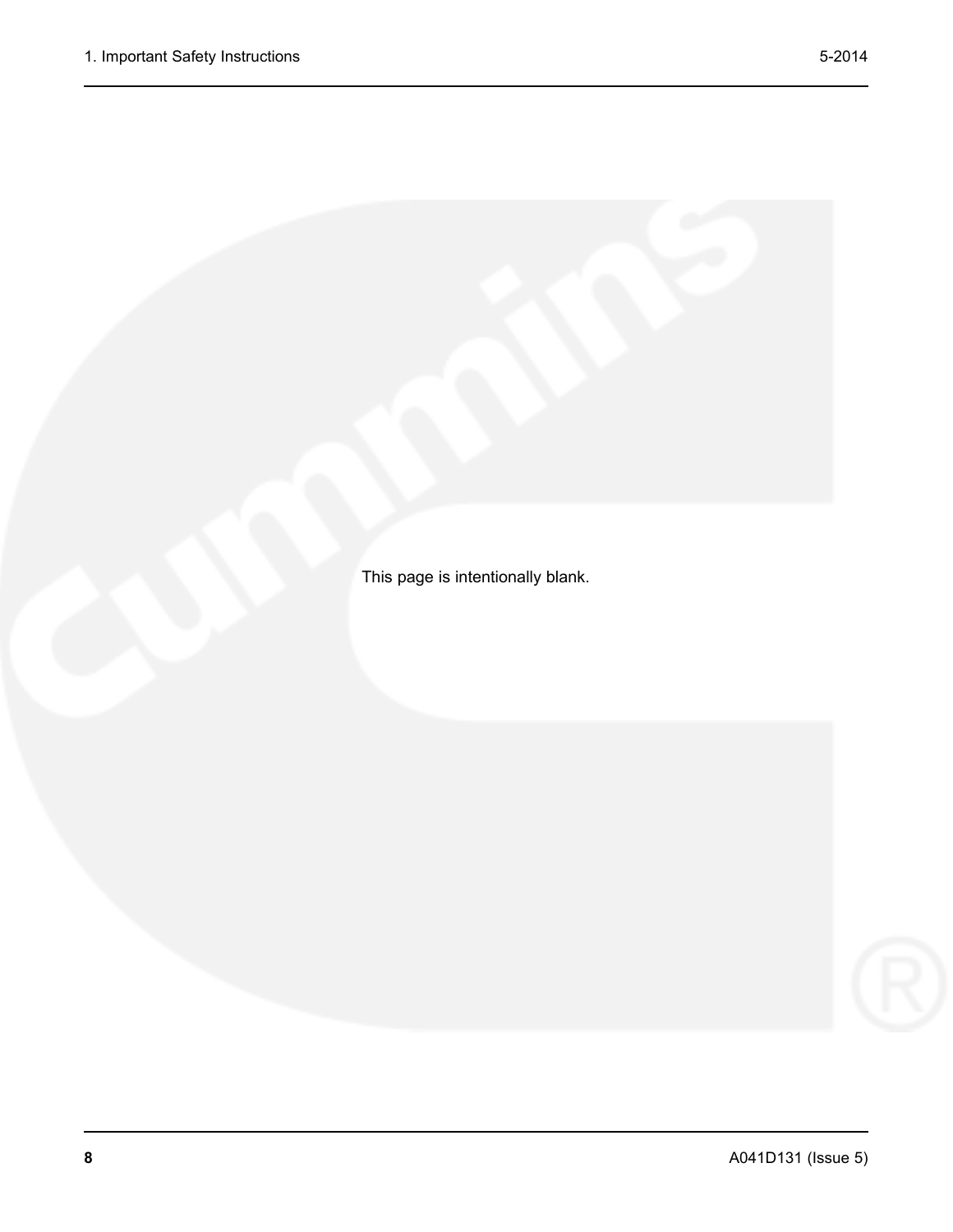This page is intentionally blank.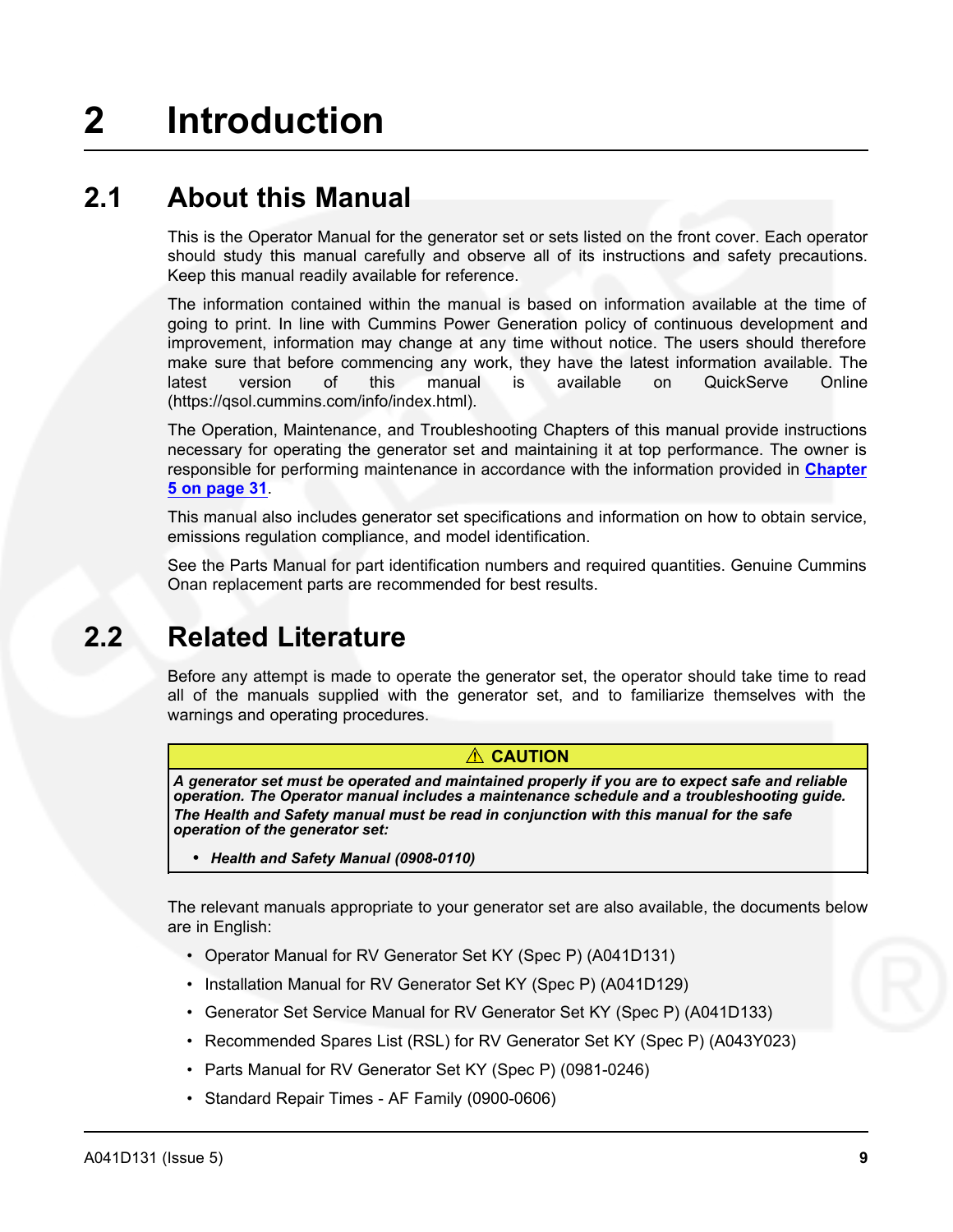# <span id="page-14-0"></span>**2 Introduction**

# <span id="page-14-1"></span>**2.1 About this Manual**

This is the Operator Manual for the generator set or sets listed on the front cover. Each operator should study this manual carefully and observe all of its instructions and safety precautions. Keep this manual readily available for reference.

The information contained within the manual is based on information available at the time of going to print. In line with Cummins Power Generation policy of continuous development and improvement, information may change at any time without notice. The users should therefore make sure that before commencing any work, they have the latest information available. The latest version of this manual is available on QuickServe Online (https://qsol.cummins.com/info/index.html).

The Operation, Maintenance, and Troubleshooting Chapters of this manual provide instructions necessary for operating the generator set and maintaining it at top performance. The owner is responsible for performing maintenance in accordance with the information provided in **[Chapter](#page-36-0) [5 on page 31](#page-36-0)**.

This manual also includes generator set specifications and information on how to obtain service, emissions regulation compliance, and model identification.

See the Parts Manual for part identification numbers and required quantities. Genuine Cummins Onan replacement parts are recommended for best results.

# <span id="page-14-2"></span>**2.2 Related Literature**

Before any attempt is made to operate the generator set, the operator should take time to read all of the manuals supplied with the generator set, and to familiarize themselves with the warnings and operating procedures.

#### $\triangle$  Caution

*A generator set must be operated and maintained properly if you are to expect safe and reliable operation. The Operator manual includes a maintenance schedule and a troubleshooting guide. The Health and Safety manual must be read in conjunction with this manual for the safe operation of the generator set:*

*• Health and Safety Manual (0908-0110)*

The relevant manuals appropriate to your generator set are also available, the documents below are in English:

- Operator Manual for RV Generator Set KY (Spec P) (A041D131)
- Installation Manual for RV Generator Set KY (Spec P) (A041D129)
- Generator Set Service Manual for RV Generator Set KY (Spec P) (A041D133)
- Recommended Spares List (RSL) for RV Generator Set KY (Spec P) (A043Y023)
- Parts Manual for RV Generator Set KY (Spec P) (0981-0246)
- Standard Repair Times AF Family (0900-0606)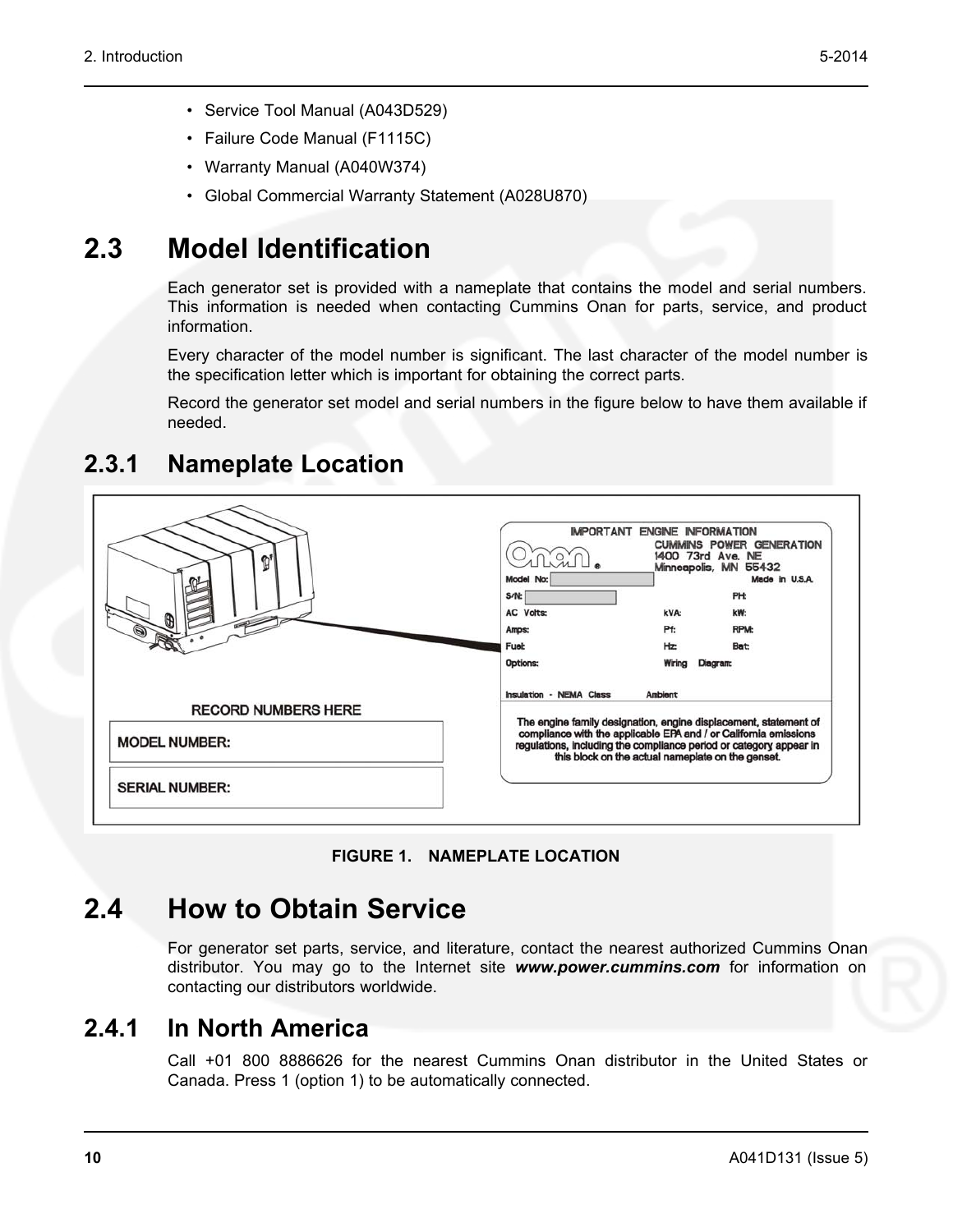- Service Tool Manual (A043D529)
- Failure Code Manual (F1115C)
- Warranty Manual (A040W374)
- Global Commercial Warranty Statement (A028U870)

# <span id="page-15-0"></span>**2.3 Model Identification**

Each generator set is provided with a nameplate that contains the model and serial numbers. This information is needed when contacting Cummins Onan for parts, service, and product information.

Every character of the model number is significant. The last character of the model number is the specification letter which is important for obtaining the correct parts.

Record the generator set model and serial numbers in the figure below to have them available if needed.

#### **IMPORTANT ENGINE INFORMATION** CUMMINS POWER GENERATION<br>1400 73rd Ave. NE  $\mathcal{L}$ лN, Minneapolis, MN 55432 Made in U.S.A. Model No: S/N: PH **AC Volts:** kVA: kW: Pf: **RPM** Amps: Fuel: Hz: **Bat** Options: Wiring Dinc **Insulation - NEMA Class RECORD NUMBERS HERE** The engine family designation, engine displacement, statement of compliance with the applicable EFA and / or California emissions<br>regulations, including the compliance period or category appear in **MODEL NUMBER:** this block on the actual nameplate on the genset. **SERIAL NUMBER:**

## <span id="page-15-1"></span>**2.3.1 Nameplate Location**



# <span id="page-15-2"></span>**2.4 How to Obtain Service**

For generator set parts, service, and literature, contact the nearest authorized Cummins Onan distributor. You may go to the Internet site *www.power.cummins.com* for information on contacting our distributors worldwide.

### <span id="page-15-3"></span>**2.4.1 In North America**

Call +01 800 8886626 for the nearest Cummins Onan distributor in the United States or Canada. Press 1 (option 1) to be automatically connected.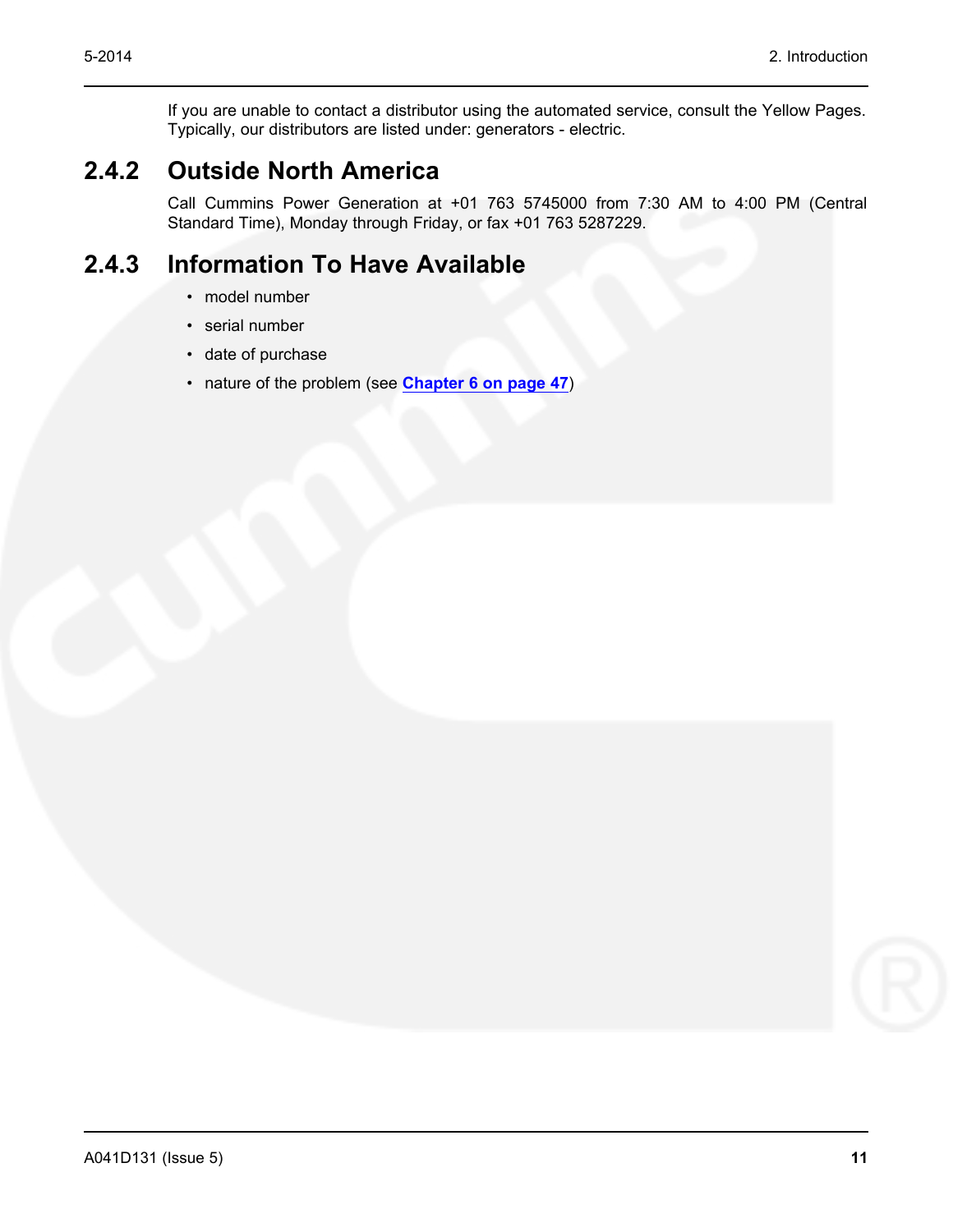If you are unable to contact a distributor using the automated service, consult the Yellow Pages. Typically, our distributors are listed under: generators - electric.

## <span id="page-16-0"></span>**2.4.2 Outside North America**

Call Cummins Power Generation at +01 763 5745000 from 7:30 AM to 4:00 PM (Central Standard Time), Monday through Friday, or fax +01 763 5287229.

### <span id="page-16-1"></span>**2.4.3 Information To Have Available**

- model number
- serial number
- date of purchase
- nature of the problem (see **[Chapter 6 on page 47](#page-52-0)**)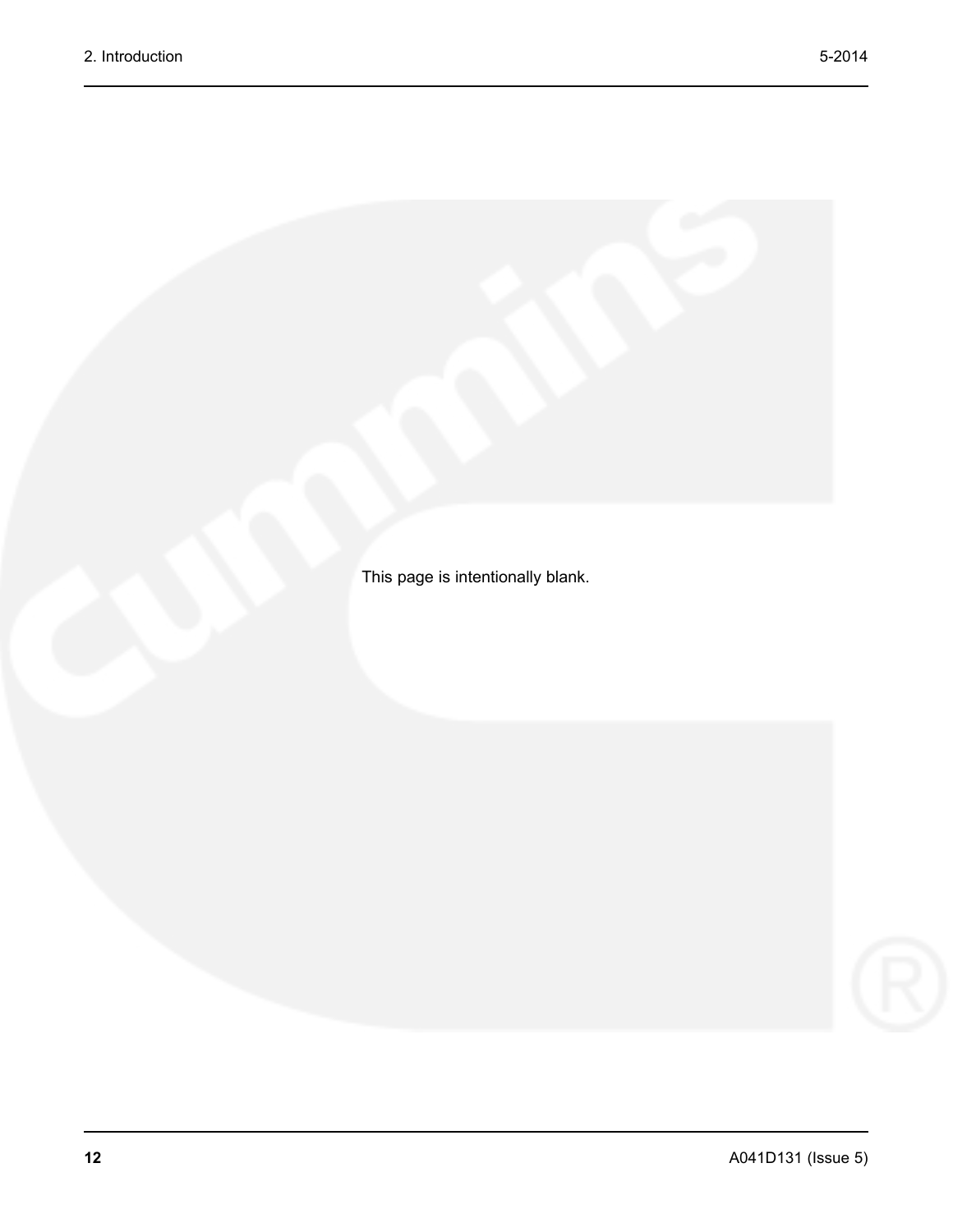This page is intentionally blank.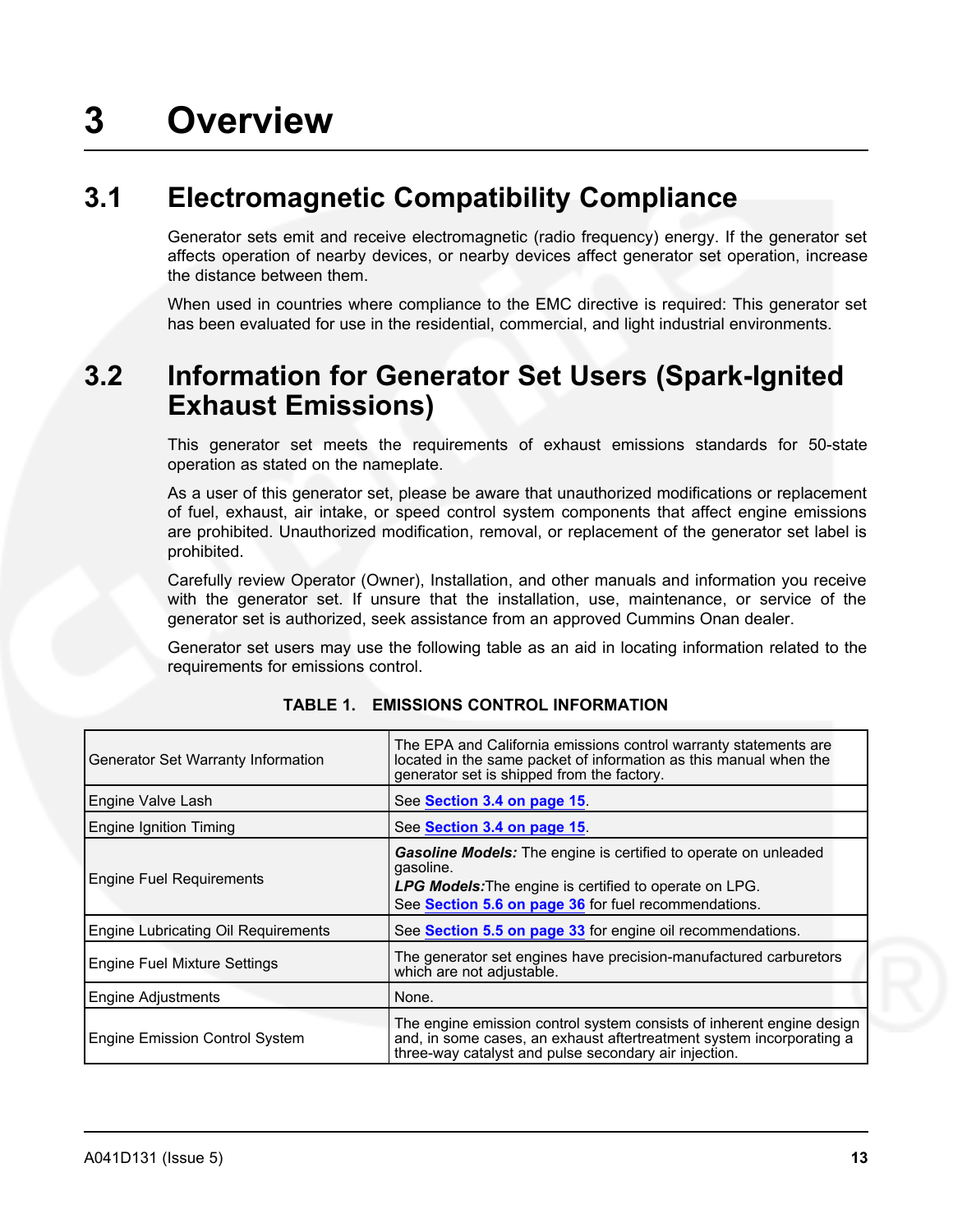# <span id="page-18-0"></span>**3 Overview**

# <span id="page-18-1"></span>**3.1 Electromagnetic Compatibility Compliance**

Generator sets emit and receive electromagnetic (radio frequency) energy. If the generator set affects operation of nearby devices, or nearby devices affect generator set operation, increase the distance between them.

When used in countries where compliance to the EMC directive is required: This generator set has been evaluated for use in the residential, commercial, and light industrial environments.

## <span id="page-18-2"></span>**3.2 Information for Generator Set Users (Spark-Ignited Exhaust Emissions)**

This generator set meets the requirements of exhaust emissions standards for 50-state operation as stated on the nameplate.

As a user of this generator set, please be aware that unauthorized modifications or replacement of fuel, exhaust, air intake, or speed control system components that affect engine emissions are prohibited. Unauthorized modification, removal, or replacement of the generator set label is prohibited.

Carefully review Operator (Owner), Installation, and other manuals and information you receive with the generator set. If unsure that the installation, use, maintenance, or service of the generator set is authorized, seek assistance from an approved Cummins Onan dealer.

Generator set users may use the following table as an aid in locating information related to the requirements for emissions control.

| <b>Generator Set Warranty Information</b>  | The EPA and California emissions control warranty statements are<br>located in the same packet of information as this manual when the<br>generator set is shipped from the factory.                          |  |
|--------------------------------------------|--------------------------------------------------------------------------------------------------------------------------------------------------------------------------------------------------------------|--|
| Engine Valve Lash                          | See Section 3.4 on page 15.                                                                                                                                                                                  |  |
| Engine Ignition Timing                     | See Section 3.4 on page 15                                                                                                                                                                                   |  |
| <b>Engine Fuel Requirements</b>            | <b>Gasoline Models:</b> The engine is certified to operate on unleaded<br>gasoline.<br><b>LPG Models:</b> The engine is certified to operate on LPG.<br>See Section 5.6 on page 36 for fuel recommendations. |  |
| <b>Engine Lubricating Oil Requirements</b> | See Section 5.5 on page 33 for engine oil recommendations.                                                                                                                                                   |  |
| <b>Engine Fuel Mixture Settings</b>        | The generator set engines have precision-manufactured carburetors<br>which are not adjustable.                                                                                                               |  |
| <b>Engine Adjustments</b>                  | None.                                                                                                                                                                                                        |  |
| <b>Engine Emission Control System</b>      | The engine emission control system consists of inherent engine design<br>and, in some cases, an exhaust aftertreatment system incorporating a<br>three-way catalyst and pulse secondary air injection.       |  |

**TABLE 1. EMISSIONS CONTROL INFORMATION**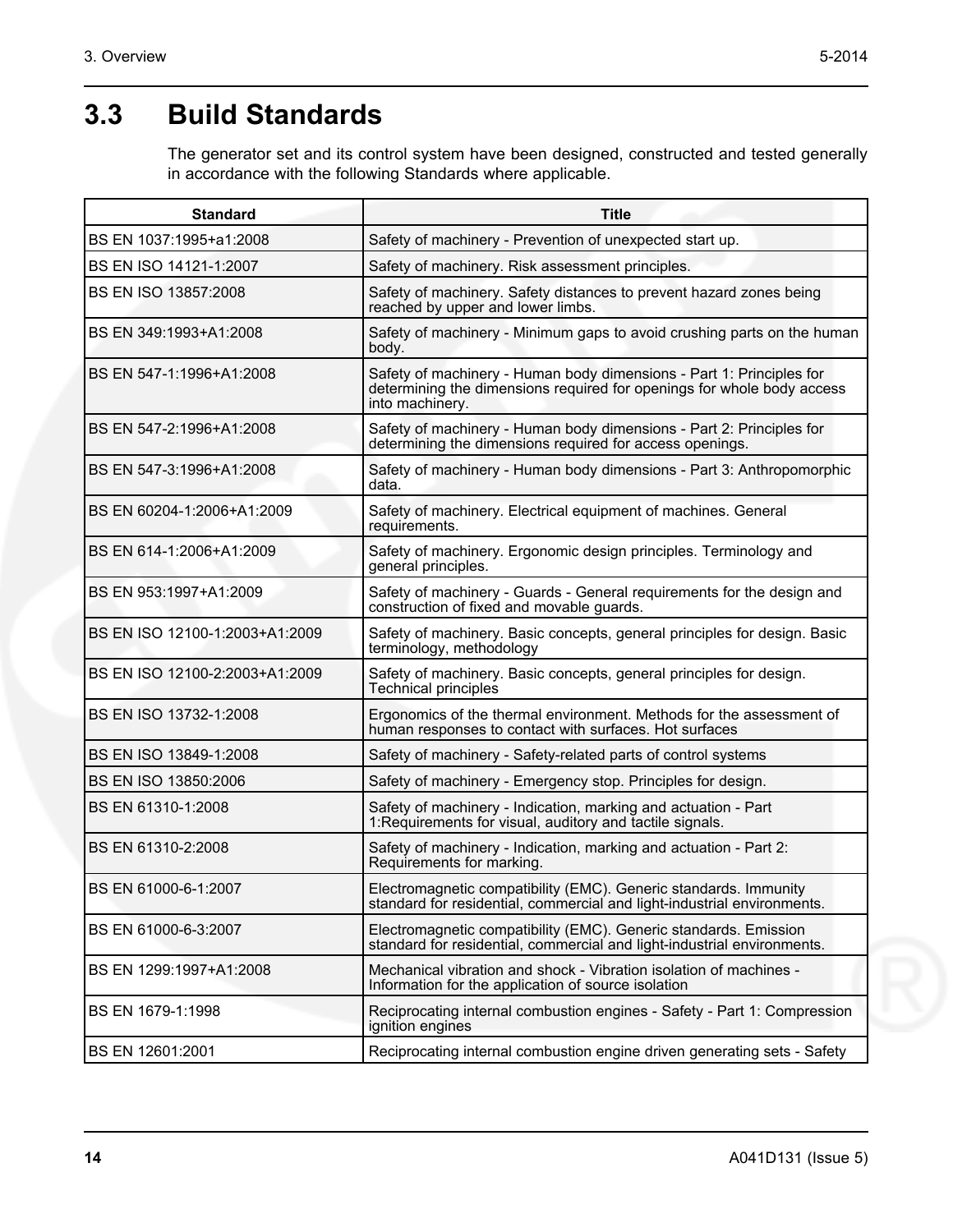# <span id="page-19-0"></span>**3.3 Build Standards**

The generator set and its control system have been designed, constructed and tested generally in accordance with the following Standards where applicable.

| <b>Standard</b>                | <b>Title</b>                                                                                                                                                      |  |
|--------------------------------|-------------------------------------------------------------------------------------------------------------------------------------------------------------------|--|
| BS EN 1037:1995+a1:2008        | Safety of machinery - Prevention of unexpected start up.                                                                                                          |  |
| BS EN ISO 14121-1:2007         | Safety of machinery. Risk assessment principles.                                                                                                                  |  |
| BS EN ISO 13857:2008           | Safety of machinery. Safety distances to prevent hazard zones being<br>reached by upper and lower limbs.                                                          |  |
| BS EN 349:1993+A1:2008         | Safety of machinery - Minimum gaps to avoid crushing parts on the human<br>body.                                                                                  |  |
| BS EN 547-1:1996+A1:2008       | Safety of machinery - Human body dimensions - Part 1: Principles for<br>determining the dimensions required for openings for whole body access<br>into machinery. |  |
| BS EN 547-2:1996+A1:2008       | Safety of machinery - Human body dimensions - Part 2: Principles for<br>determining the dimensions required for access openings.                                  |  |
| BS EN 547-3:1996+A1:2008       | Safety of machinery - Human body dimensions - Part 3: Anthropomorphic<br>data.                                                                                    |  |
| BS EN 60204-1:2006+A1:2009     | Safety of machinery. Electrical equipment of machines. General<br>requirements.                                                                                   |  |
| BS EN 614-1:2006+A1:2009       | Safety of machinery. Ergonomic design principles. Terminology and<br>general principles.                                                                          |  |
| BS EN 953:1997+A1:2009         | Safety of machinery - Guards - General requirements for the design and<br>construction of fixed and movable guards.                                               |  |
| BS EN ISO 12100-1:2003+A1:2009 | Safety of machinery. Basic concepts, general principles for design. Basic<br>terminology, methodology                                                             |  |
| BS EN ISO 12100-2:2003+A1:2009 | Safety of machinery. Basic concepts, general principles for design.<br>Technical principles                                                                       |  |
| BS EN ISO 13732-1:2008         | Ergonomics of the thermal environment. Methods for the assessment of<br>human responses to contact with surfaces. Hot surfaces                                    |  |
| BS EN ISO 13849-1:2008         | Safety of machinery - Safety-related parts of control systems                                                                                                     |  |
| BS EN ISO 13850:2006           | Safety of machinery - Emergency stop. Principles for design.                                                                                                      |  |
| BS EN 61310-1:2008             | Safety of machinery - Indication, marking and actuation - Part<br>1. Requirements for visual, auditory and tactile signals.                                       |  |
| BS EN 61310-2:2008             | Safety of machinery - Indication, marking and actuation - Part 2:<br>Requirements for marking.                                                                    |  |
| BS EN 61000-6-1:2007           | Electromagnetic compatibility (EMC). Generic standards. Immunity<br>standard for residential, commercial and light-industrial environments.                       |  |
| BS EN 61000-6-3:2007           | Electromagnetic compatibility (EMC). Generic standards. Emission<br>standard for residential, commercial and light-industrial environments.                       |  |
| BS EN 1299:1997+A1:2008        | Mechanical vibration and shock - Vibration isolation of machines -<br>Information for the application of source isolation                                         |  |
| BS EN 1679-1:1998              | Reciprocating internal combustion engines - Safety - Part 1: Compression<br>ignition engines                                                                      |  |
| BS EN 12601:2001               | Reciprocating internal combustion engine driven generating sets - Safety                                                                                          |  |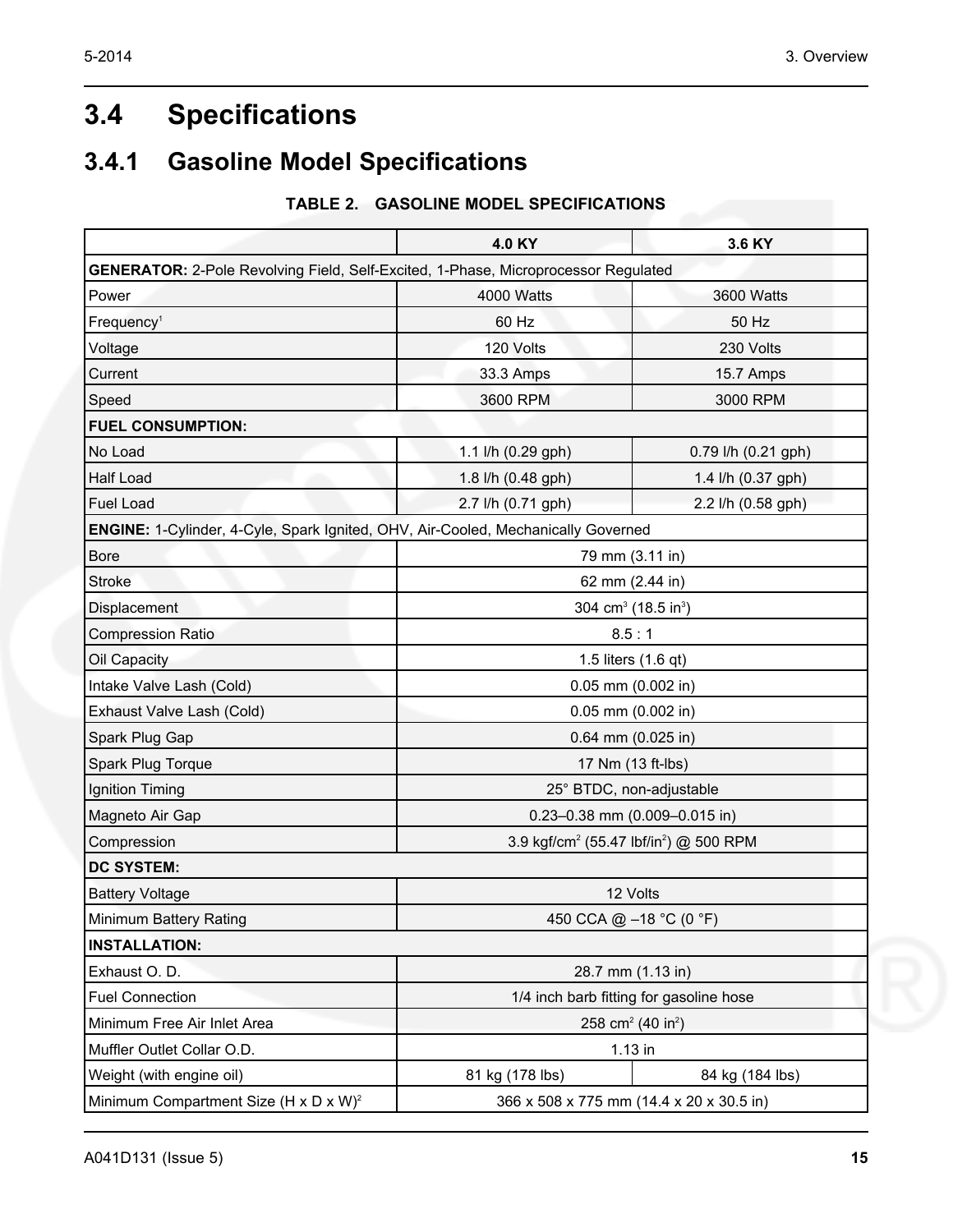# <span id="page-20-0"></span>**3.4 Specifications**

# <span id="page-20-1"></span>**3.4.1 Gasoline Model Specifications**

### **TABLE 2. GASOLINE MODEL SPECIFICATIONS**

|                                                                                    | 4.0 KY                                                         | 3.6 KY              |  |
|------------------------------------------------------------------------------------|----------------------------------------------------------------|---------------------|--|
| GENERATOR: 2-Pole Revolving Field, Self-Excited, 1-Phase, Microprocessor Regulated |                                                                |                     |  |
| Power                                                                              | 4000 Watts                                                     | 3600 Watts          |  |
| Frequency <sup>1</sup>                                                             | 60 Hz                                                          | 50 Hz               |  |
| Voltage                                                                            | 120 Volts                                                      | 230 Volts           |  |
| Current                                                                            | 33.3 Amps                                                      | 15.7 Amps           |  |
| Speed                                                                              | 3600 RPM                                                       | 3000 RPM            |  |
| <b>FUEL CONSUMPTION:</b>                                                           |                                                                |                     |  |
| No Load                                                                            | 1.1 l/h (0.29 gph)                                             | 0.79 l/h (0.21 gph) |  |
| <b>Half Load</b>                                                                   | 1.8 l/h (0.48 gph)                                             | 1.4 l/h (0.37 gph)  |  |
| <b>Fuel Load</b>                                                                   | 2.7 l/h (0.71 gph)                                             | 2.2 l/h (0.58 gph)  |  |
| ENGINE: 1-Cylinder, 4-Cyle, Spark Ignited, OHV, Air-Cooled, Mechanically Governed  |                                                                |                     |  |
| <b>Bore</b>                                                                        | 79 mm (3.11 in)                                                |                     |  |
| <b>Stroke</b><br>62 mm (2.44 in)                                                   |                                                                |                     |  |
| Displacement                                                                       | 304 cm <sup>3</sup> (18.5 in <sup>3</sup> )                    |                     |  |
| <b>Compression Ratio</b>                                                           | 8.5:1                                                          |                     |  |
| Oil Capacity                                                                       |                                                                | 1.5 liters (1.6 qt) |  |
| Intake Valve Lash (Cold)                                                           | 0.05 mm (0.002 in)                                             |                     |  |
| Exhaust Valve Lash (Cold)                                                          | 0.05 mm (0.002 in)                                             |                     |  |
| Spark Plug Gap                                                                     | 0.64 mm (0.025 in)                                             |                     |  |
| Spark Plug Torque                                                                  | 17 Nm (13 ft-lbs)                                              |                     |  |
| Ignition Timing                                                                    | 25° BTDC, non-adjustable                                       |                     |  |
| Magneto Air Gap                                                                    | $0.23 - 0.38$ mm (0.009-0.015 in)                              |                     |  |
| Compression                                                                        | 3.9 kgf/cm <sup>2</sup> (55.47 lbf/in <sup>2</sup> ) @ 500 RPM |                     |  |
| <b>DC SYSTEM:</b>                                                                  |                                                                |                     |  |
| <b>Battery Voltage</b>                                                             | 12 Volts                                                       |                     |  |
| Minimum Battery Rating                                                             | 450 CCA @ -18 °C (0 °F)                                        |                     |  |
| <b>INSTALLATION:</b>                                                               |                                                                |                     |  |
| Exhaust O. D.                                                                      | 28.7 mm (1.13 in)                                              |                     |  |
| <b>Fuel Connection</b>                                                             | 1/4 inch barb fitting for gasoline hose                        |                     |  |
| Minimum Free Air Inlet Area                                                        | 258 cm <sup>2</sup> (40 in <sup>2</sup> )                      |                     |  |
| Muffler Outlet Collar O.D.                                                         | $1.13$ in                                                      |                     |  |
| Weight (with engine oil)                                                           | 81 kg (178 lbs)                                                | 84 kg (184 lbs)     |  |
| Minimum Compartment Size (H x D x W) <sup>2</sup>                                  | 366 x 508 x 775 mm (14.4 x 20 x 30.5 in)                       |                     |  |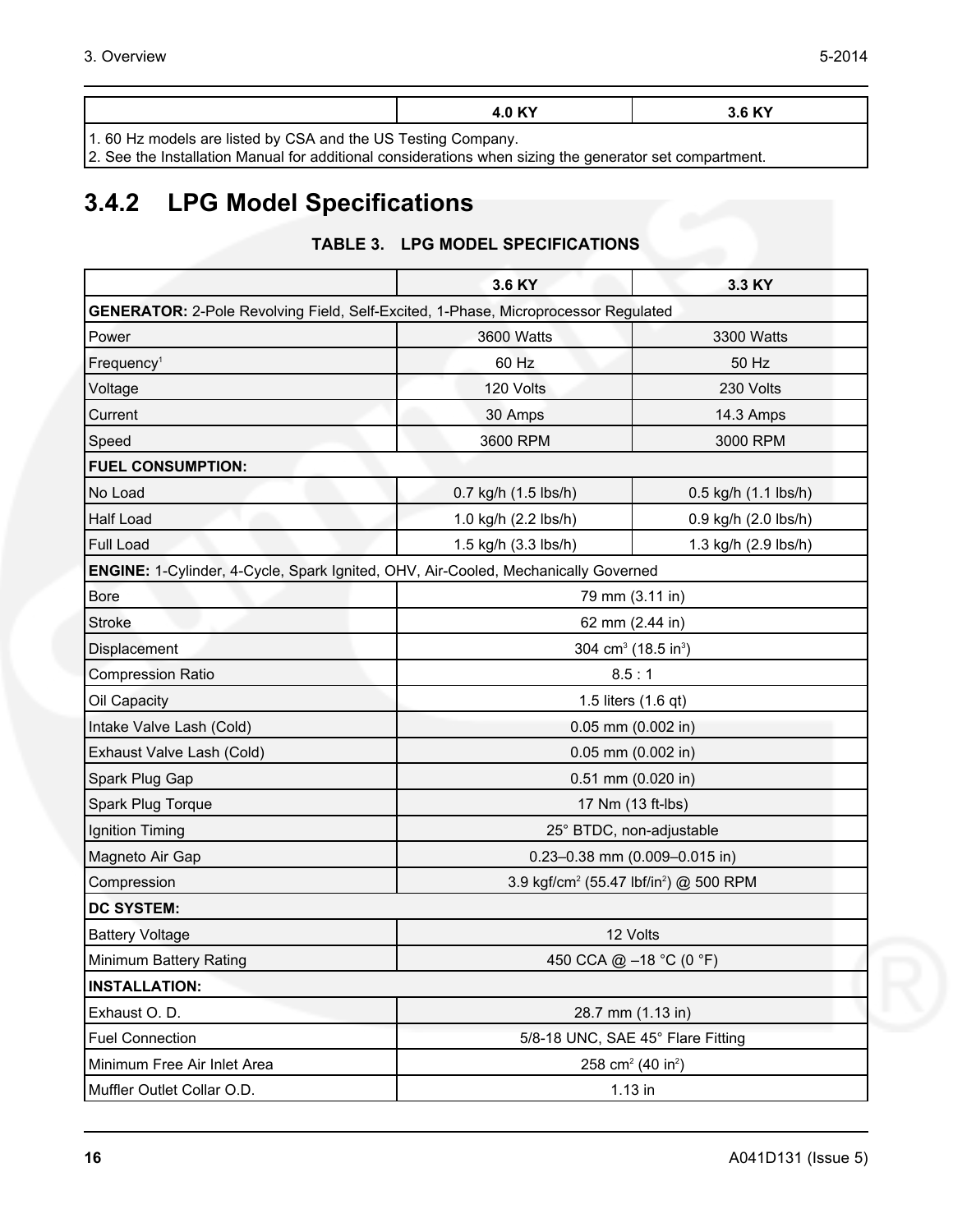|                                                              | 4.0 KY | 3.6 KY |
|--------------------------------------------------------------|--------|--------|
| 1.60 Hz models are listed by CSA and the US Testing Company. |        |        |

2. See the Installation Manual for additional considerations when sizing the generator set compartment.

# <span id="page-21-0"></span>**3.4.2 LPG Model Specifications**

|                                                                                    | 3.6 KY                            | 3.3 KY                                                         |  |
|------------------------------------------------------------------------------------|-----------------------------------|----------------------------------------------------------------|--|
| GENERATOR: 2-Pole Revolving Field, Self-Excited, 1-Phase, Microprocessor Regulated |                                   |                                                                |  |
| Power                                                                              | <b>3600 Watts</b>                 | 3300 Watts                                                     |  |
| Frequency <sup>1</sup>                                                             | 60 Hz                             | 50 Hz                                                          |  |
| Voltage                                                                            | 120 Volts                         | 230 Volts                                                      |  |
| Current                                                                            | 30 Amps                           | 14.3 Amps                                                      |  |
| Speed                                                                              | 3600 RPM                          | 3000 RPM                                                       |  |
| <b>FUEL CONSUMPTION:</b>                                                           |                                   |                                                                |  |
| No Load                                                                            | 0.7 kg/h (1.5 lbs/h)              | 0.5 kg/h (1.1 lbs/h)                                           |  |
| <b>Half Load</b>                                                                   | 1.0 kg/h (2.2 lbs/h)              | 0.9 kg/h (2.0 lbs/h)                                           |  |
| <b>Full Load</b>                                                                   | 1.5 kg/h (3.3 lbs/h)              | 1.3 kg/h (2.9 lbs/h)                                           |  |
| ENGINE: 1-Cylinder, 4-Cycle, Spark Ignited, OHV, Air-Cooled, Mechanically Governed |                                   |                                                                |  |
| <b>Bore</b>                                                                        | 79 mm (3.11 in)                   |                                                                |  |
| <b>Stroke</b><br>62 mm (2.44 in)                                                   |                                   |                                                                |  |
| Displacement                                                                       |                                   | 304 cm <sup>3</sup> (18.5 in <sup>3</sup> )                    |  |
| 8.5:1<br><b>Compression Ratio</b>                                                  |                                   |                                                                |  |
| Oil Capacity                                                                       | 1.5 liters (1.6 qt)               |                                                                |  |
| Intake Valve Lash (Cold)                                                           |                                   | $0.05$ mm $(0.002$ in)                                         |  |
| Exhaust Valve Lash (Cold)                                                          |                                   | $0.05$ mm $(0.002$ in)                                         |  |
| Spark Plug Gap                                                                     | 0.51 mm (0.020 in)                |                                                                |  |
| Spark Plug Torque                                                                  |                                   | 17 Nm (13 ft-lbs)                                              |  |
| Ignition Timing                                                                    |                                   | 25° BTDC, non-adjustable                                       |  |
| Magneto Air Gap                                                                    |                                   | $0.23 - 0.38$ mm (0.009-0.015 in)                              |  |
| Compression                                                                        |                                   | 3.9 kgf/cm <sup>2</sup> (55.47 lbf/in <sup>2</sup> ) @ 500 RPM |  |
| <b>DC SYSTEM:</b>                                                                  |                                   |                                                                |  |
| <b>Battery Voltage</b>                                                             |                                   | 12 Volts                                                       |  |
| Minimum Battery Rating                                                             | 450 CCA @ -18 °C (0 °F)           |                                                                |  |
| <b>INSTALLATION:</b>                                                               |                                   |                                                                |  |
| Exhaust O. D.                                                                      | 28.7 mm (1.13 in)                 |                                                                |  |
| <b>Fuel Connection</b>                                                             | 5/8-18 UNC, SAE 45° Flare Fitting |                                                                |  |
| Minimum Free Air Inlet Area                                                        |                                   | 258 cm <sup>2</sup> (40 in <sup>2</sup> )                      |  |
| Muffler Outlet Collar O.D.                                                         |                                   | $1.13$ in                                                      |  |

#### **TABLE 3. LPG MODEL SPECIFICATIONS**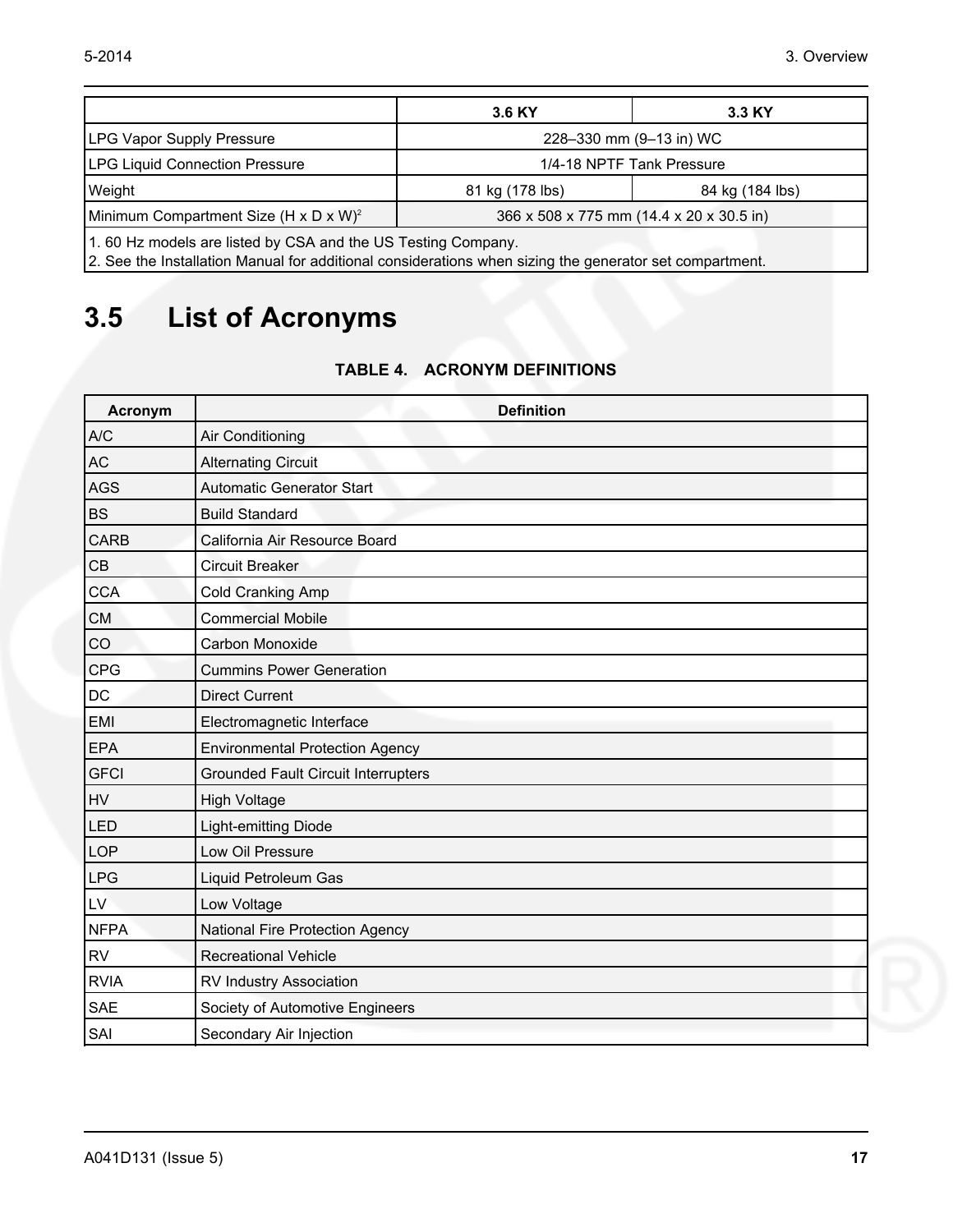|                                                              | 3.6 KY                                   | 3.3 KY          |
|--------------------------------------------------------------|------------------------------------------|-----------------|
| <b>LPG Vapor Supply Pressure</b>                             | 228-330 mm (9-13 in) WC                  |                 |
| LPG Liquid Connection Pressure                               | 1/4-18 NPTF Tank Pressure                |                 |
| Weight                                                       | 81 kg (178 lbs)                          | 84 kg (184 lbs) |
| Minimum Compartment Size (H x D x W) <sup>2</sup>            | 366 x 508 x 775 mm (14.4 x 20 x 30.5 in) |                 |
| 11.60 Hz models are listed by CSA and the US Testing Company |                                          |                 |

1. 60 Hz models are listed by CSA and the US Testing Company.

2. See the Installation Manual for additional considerations when sizing the generator set compartment.

# <span id="page-22-0"></span>**3.5 List of Acronyms**

|  | TABLE 4. ACRONYM DEFINITIONS |
|--|------------------------------|
|  |                              |

| Acronym     | <b>Definition</b>                          |  |  |
|-------------|--------------------------------------------|--|--|
| A/C         | Air Conditioning                           |  |  |
| <b>AC</b>   | <b>Alternating Circuit</b>                 |  |  |
| <b>AGS</b>  | Automatic Generator Start                  |  |  |
| <b>BS</b>   | <b>Build Standard</b>                      |  |  |
| CARB        | California Air Resource Board              |  |  |
| CB          | <b>Circuit Breaker</b>                     |  |  |
| <b>CCA</b>  | Cold Cranking Amp                          |  |  |
| <b>CM</b>   | <b>Commercial Mobile</b>                   |  |  |
| CO          | Carbon Monoxide                            |  |  |
| <b>CPG</b>  | <b>Cummins Power Generation</b>            |  |  |
| DC          | <b>Direct Current</b>                      |  |  |
| <b>EMI</b>  | Electromagnetic Interface                  |  |  |
| <b>EPA</b>  | <b>Environmental Protection Agency</b>     |  |  |
| <b>GFCI</b> | <b>Grounded Fault Circuit Interrupters</b> |  |  |
| HV          | <b>High Voltage</b>                        |  |  |
| LED         | Light-emitting Diode                       |  |  |
| LOP         | Low Oil Pressure                           |  |  |
| <b>LPG</b>  | Liquid Petroleum Gas                       |  |  |
| LV          | Low Voltage                                |  |  |
| <b>NFPA</b> | National Fire Protection Agency            |  |  |
| <b>RV</b>   | <b>Recreational Vehicle</b>                |  |  |
| <b>RVIA</b> | RV Industry Association                    |  |  |
| <b>SAE</b>  | Society of Automotive Engineers            |  |  |
| SAI         | Secondary Air Injection                    |  |  |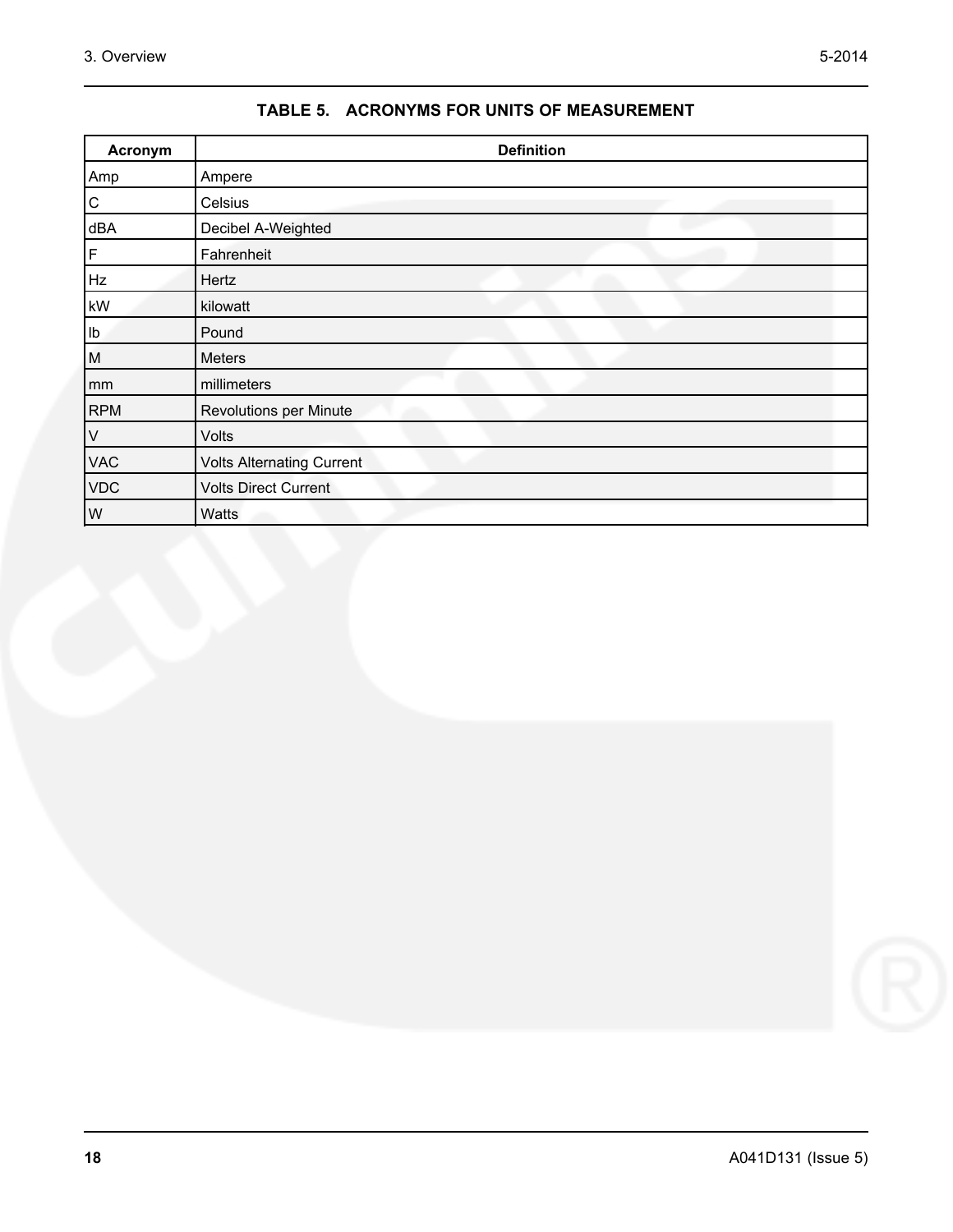| Acronym      | <b>Definition</b>                |  |
|--------------|----------------------------------|--|
| Amp          | Ampere                           |  |
| $\mathsf{C}$ | Celsius                          |  |
| dBA          | Decibel A-Weighted               |  |
| F            | Fahrenheit                       |  |
| Hz           | Hertz                            |  |
| kW           | kilowatt                         |  |
| lb           | Pound                            |  |
| M            | <b>Meters</b>                    |  |
| mm           | millimeters                      |  |
| <b>RPM</b>   | Revolutions per Minute           |  |
| $\vee$       | Volts                            |  |
| <b>VAC</b>   | <b>Volts Alternating Current</b> |  |
| <b>VDC</b>   | <b>Volts Direct Current</b>      |  |
| W            | Watts                            |  |

### **TABLE 5. ACRONYMS FOR UNITS OF MEASUREMENT**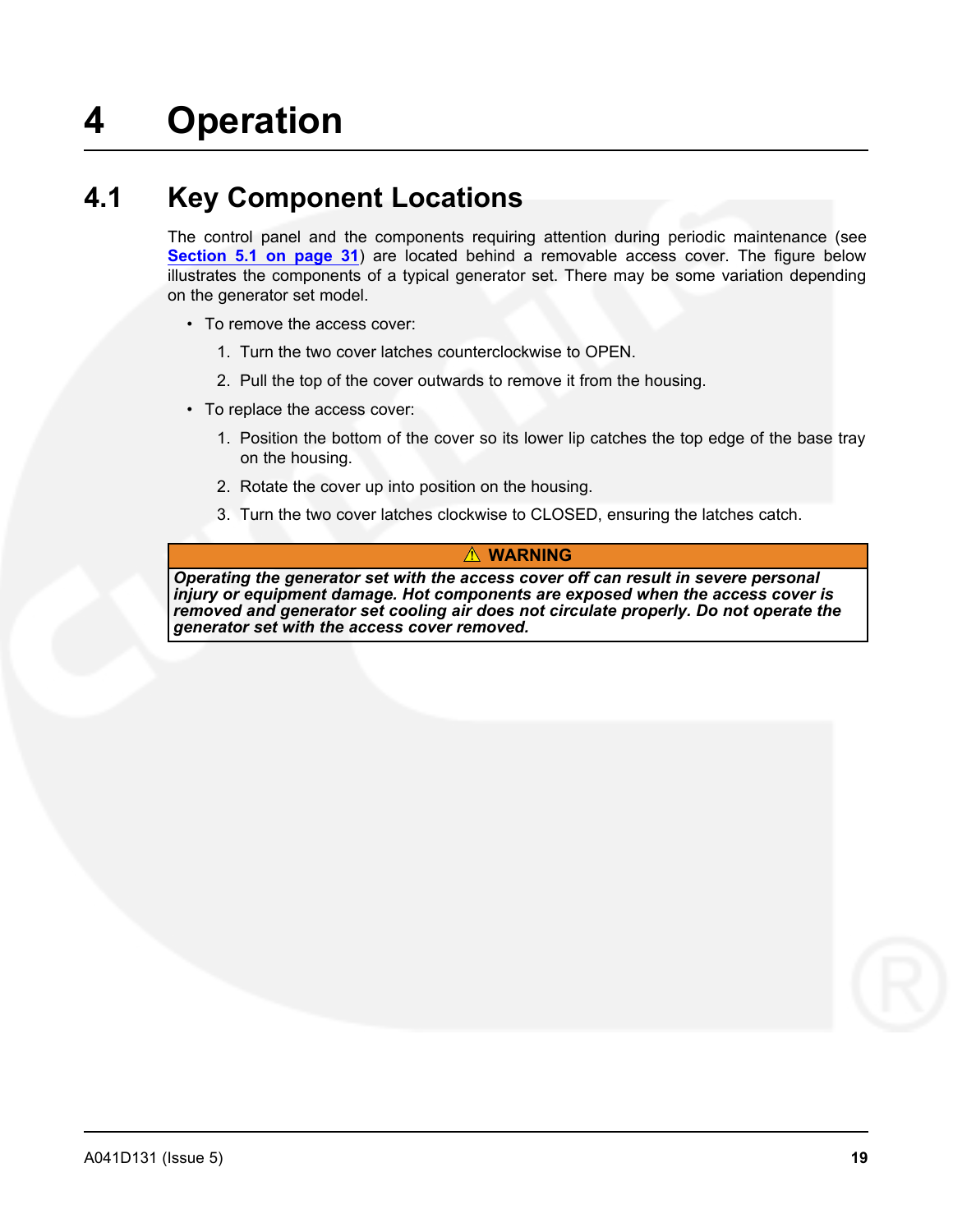# <span id="page-24-0"></span>**4 Operation**

# <span id="page-24-1"></span>**4.1 Key Component Locations**

The control panel and the components requiring attention during periodic maintenance (see **[Section 5.1 on page 31](#page-36-1))** are located behind a removable access cover. The figure below illustrates the components of a typical generator set. There may be some variation depending on the generator set model.

- To remove the access cover:
	- 1. Turn the two cover latches counterclockwise to OPEN.
	- 2. Pull the top of the cover outwards to remove it from the housing.
- To replace the access cover:
	- 1. Position the bottom of the cover so its lower lip catches the top edge of the base tray on the housing.
	- 2. Rotate the cover up into position on the housing.
	- 3. Turn the two cover latches clockwise to CLOSED, ensuring the latches catch.

#### **WARNING**

*Operating the generator set with the access cover off can result in severe personal injury or equipment damage. Hot components are exposed when the access cover is removed and generator set cooling air does not circulate properly. Do not operate the generator set with the access cover removed.*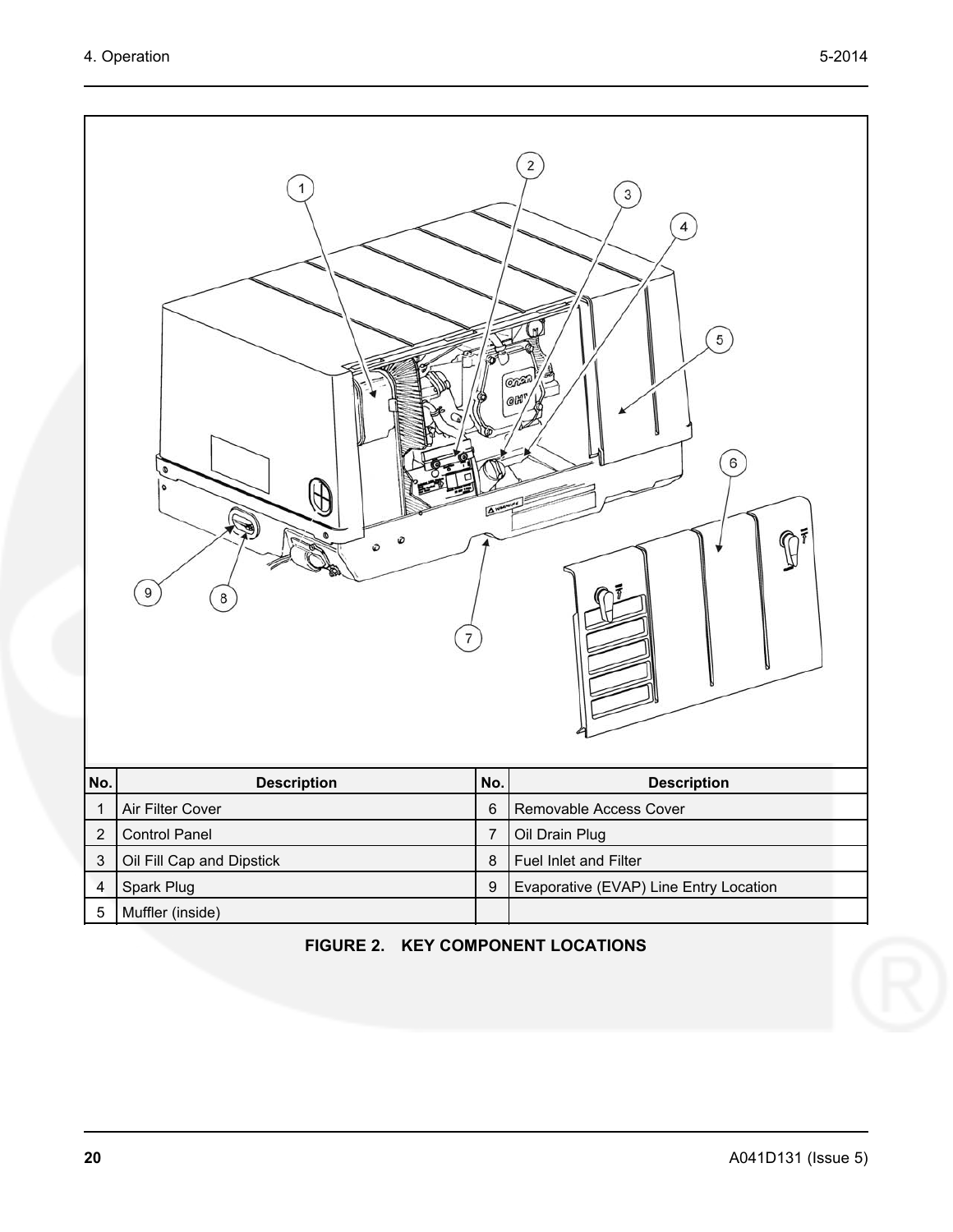|                         | v<br>O<br>$\overline{9}$<br>8 | A                | 3<br>4<br>$\overline{5}$<br>Cran<br>@M<br>$6\phantom{a}$ |
|-------------------------|-------------------------------|------------------|----------------------------------------------------------|
| No.                     | <b>Description</b>            | No.              | <b>Description</b>                                       |
| $\mathbf{1}$            | Air Filter Cover              | $\,6$            | Removable Access Cover                                   |
| $\overline{c}$          | Control Panel                 | $\overline{7}$   | Oil Drain Plug                                           |
| $\mathsf 3$             | Oil Fill Cap and Dipstick     | $\bf 8$          | Fuel Inlet and Filter                                    |
| $\overline{\mathbf{4}}$ | Spark Plug                    | $\boldsymbol{9}$ | Evaporative (EVAP) Line Entry Location                   |
| $\sqrt{5}$              | Muffler (inside)              |                  |                                                          |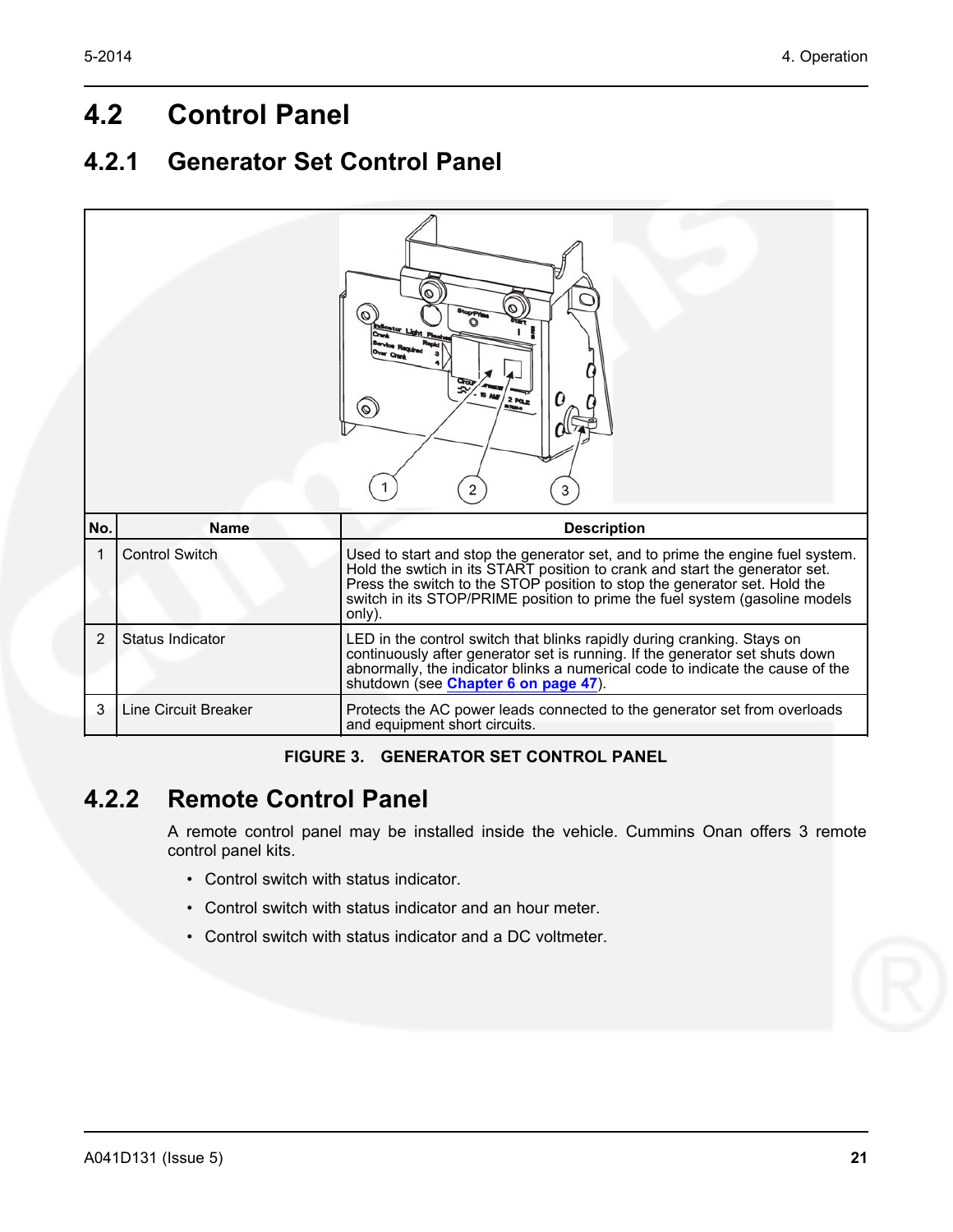# <span id="page-26-0"></span>**4.2 Control Panel**

## <span id="page-26-1"></span>**4.2.1 Generator Set Control Panel**



### **FIGURE 3. GENERATOR SET CONTROL PANEL**

### <span id="page-26-2"></span>**4.2.2 Remote Control Panel**

A remote control panel may be installed inside the vehicle. Cummins Onan offers 3 remote control panel kits.

- Control switch with status indicator.
- Control switch with status indicator and an hour meter.
- Control switch with status indicator and a DC voltmeter.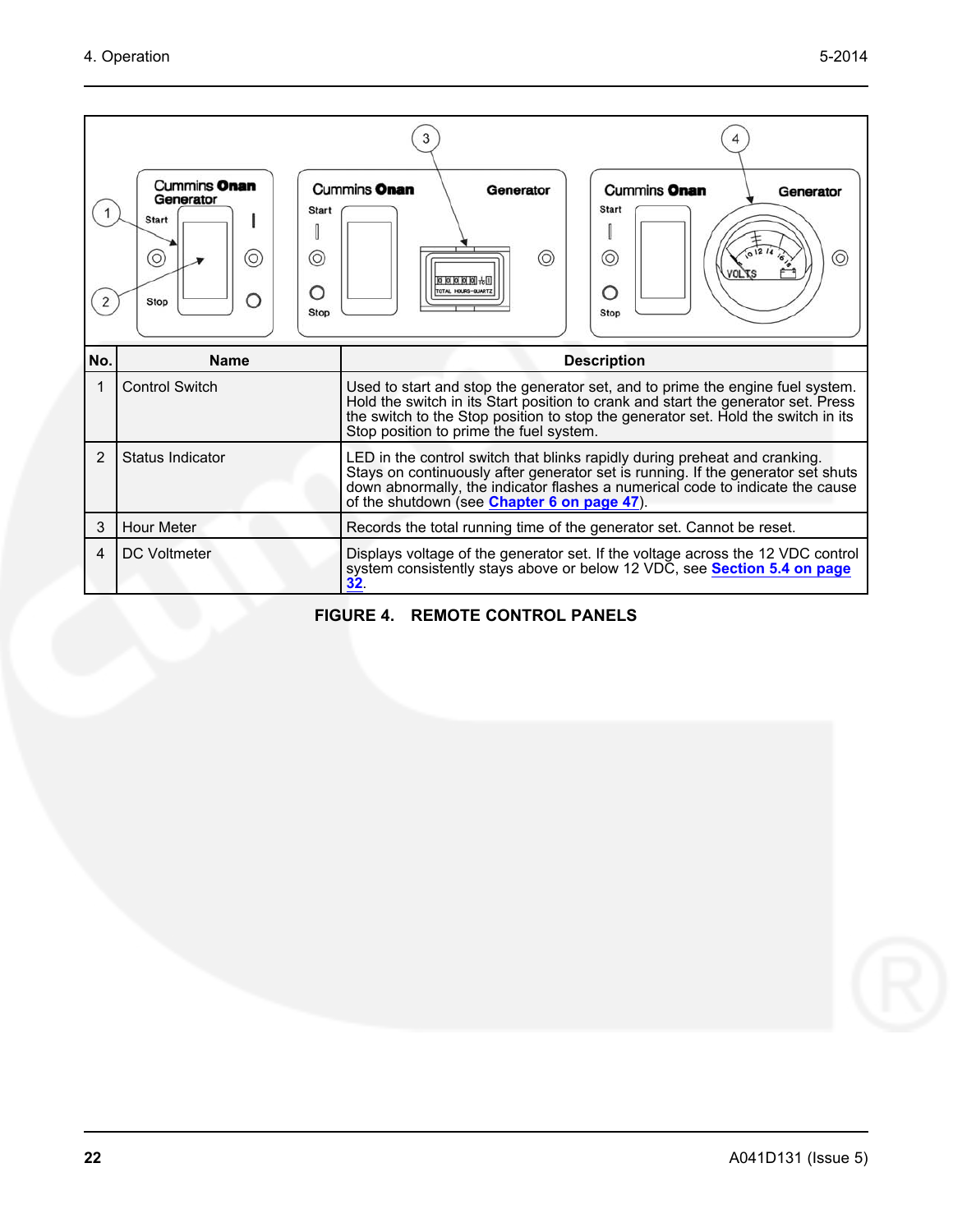

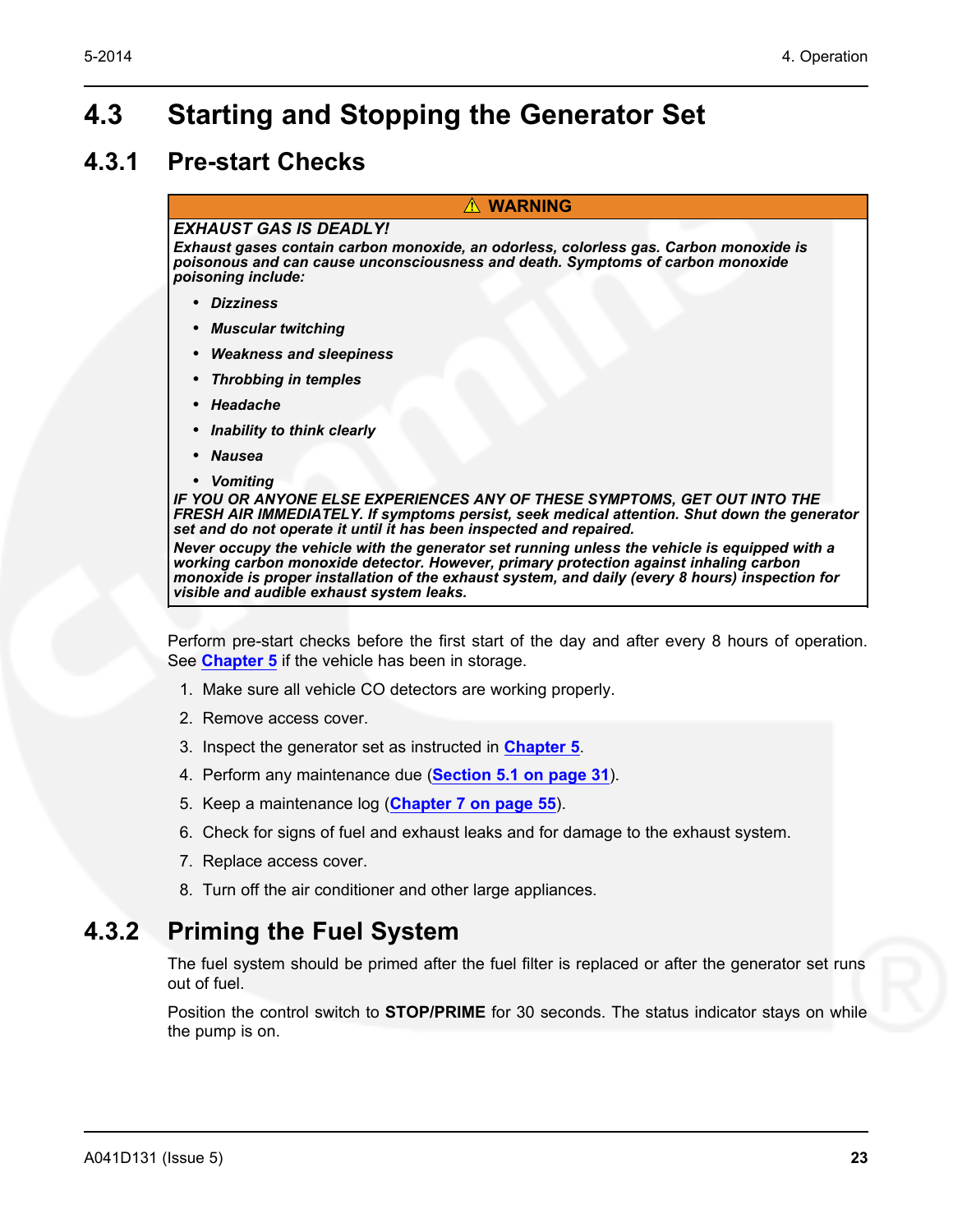# <span id="page-28-0"></span>**4.3 Starting and Stopping the Generator Set**

### <span id="page-28-1"></span>**4.3.1 Pre-start Checks**

#### **WARNING**

#### *EXHAUST GAS IS DEADLY!*

*Exhaust gases contain carbon monoxide, an odorless, colorless gas. Carbon monoxide is poisonous and can cause unconsciousness and death. Symptoms of carbon monoxide poisoning include:*

- *• Dizziness*
- *• Muscular twitching*
- *• Weakness and sleepiness*
- *• Throbbing in temples*
- *• Headache*
- *• Inability to think clearly*
- *• Nausea*
- *• Vomiting*

*IF YOU OR ANYONE ELSE EXPERIENCES ANY OF THESE SYMPTOMS, GET OUT INTO THE FRESH AIR IMMEDIATELY. If symptoms persist, seek medical attention. Shut down the generator set and do not operate it until it has been inspected and repaired.*

*Never occupy the vehicle with the generator set running unless the vehicle is equipped with a working carbon monoxide detector. However, primary protection against inhaling carbon monoxide is proper installation of the exhaust system, and daily (every 8 hours) inspection for visible and audible exhaust system leaks.*

Perform pre-start checks before the first start of the day and after every 8 hours of operation. See **[Chapter 5](#page-36-0)** if the vehicle has been in storage.

- 1. Make sure all vehicle CO detectors are working properly.
- 2. Remove access cover.
- 3. Inspect the generator set as instructed in **[Chapter 5](#page-36-0)**.
- 4. Perform any maintenance due (**[Section 5.1 on page 31](#page-36-1)**).
- 5. Keep a maintenance log (**[Chapter 7 on page 55](#page-60-0)**).
- 6. Check for signs of fuel and exhaust leaks and for damage to the exhaust system.
- 7. Replace access cover.
- 8. Turn off the air conditioner and other large appliances.

## <span id="page-28-2"></span>**4.3.2 Priming the Fuel System**

The fuel system should be primed after the fuel filter is replaced or after the generator set runs out of fuel.

Position the control switch to **STOP/PRIME** for 30 seconds. The status indicator stays on while the pump is on.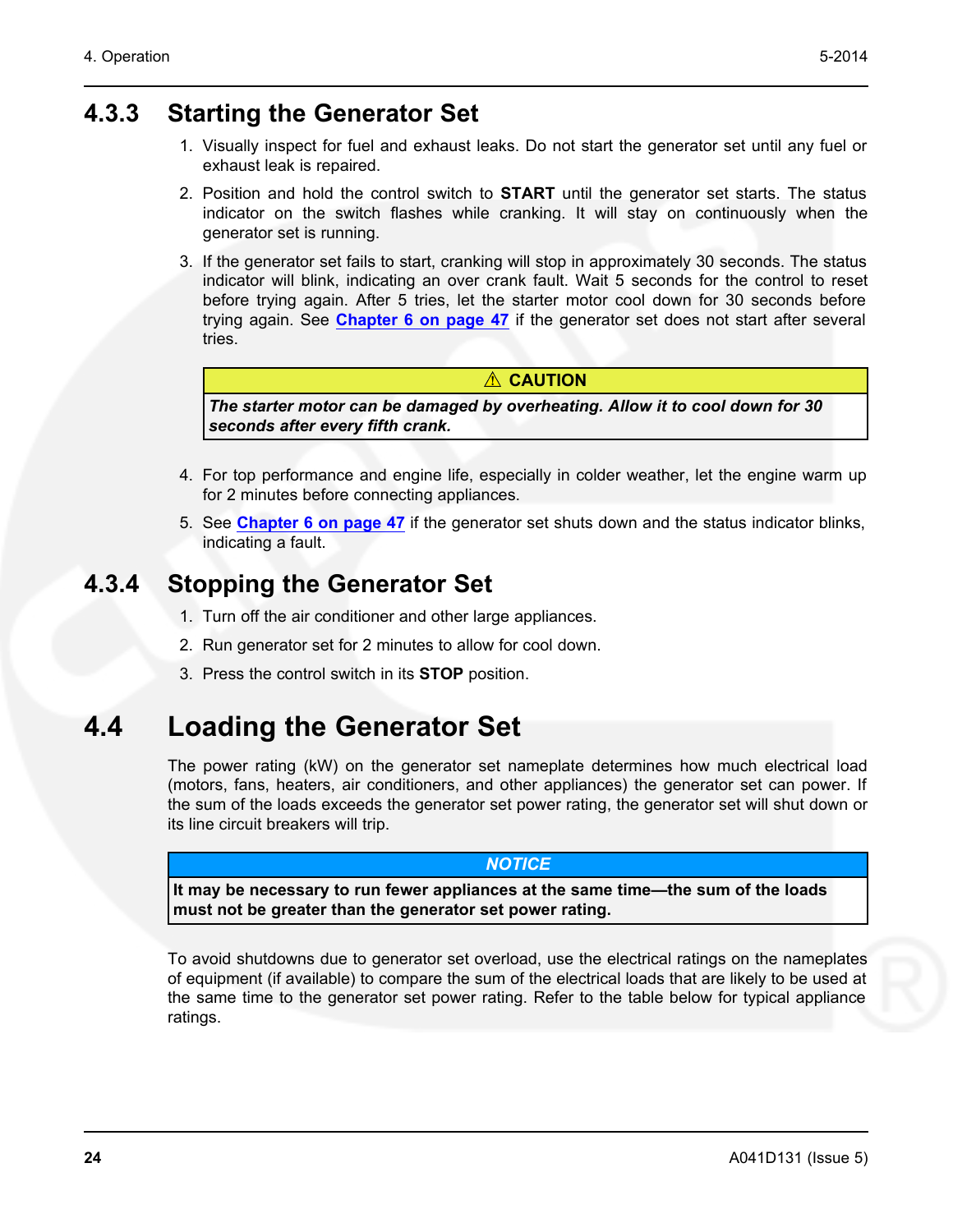# <span id="page-29-0"></span>**4.3.3 Starting the Generator Set**

- 1. Visually inspect for fuel and exhaust leaks. Do not start the generator set until any fuel or exhaust leak is repaired.
- 2. Position and hold the control switch to **START** until the generator set starts. The status indicator on the switch flashes while cranking. It will stay on continuously when the generator set is running.
- 3. If the generator set fails to start, cranking will stop in approximately 30 seconds. The status indicator will blink, indicating an over crank fault. Wait 5 seconds for the control to reset before trying again. After 5 tries, let the starter motor cool down for 30 seconds before trying again. See **[Chapter 6 on page 47](#page-52-0)** if the generator set does not start after several tries.

### **CAUTION**

*The starter motor can be damaged by overheating. Allow it to cool down for 30 seconds after every fifth crank.*

- 4. For top performance and engine life, especially in colder weather, let the engine warm up for 2 minutes before connecting appliances.
- 5. See **[Chapter 6 on page 47](#page-52-0)** if the generator set shuts down and the status indicator blinks, indicating a fault.

### <span id="page-29-1"></span>**4.3.4 Stopping the Generator Set**

- 1. Turn off the air conditioner and other large appliances.
- 2. Run generator set for 2 minutes to allow for cool down.
- 3. Press the control switch in its **STOP** position.

# <span id="page-29-2"></span>**4.4 Loading the Generator Set**

The power rating (kW) on the generator set nameplate determines how much electrical load (motors, fans, heaters, air conditioners, and other appliances) the generator set can power. If the sum of the loads exceeds the generator set power rating, the generator set will shut down or its line circuit breakers will trip.

### *NOTICE*

**It may be necessary to run fewer appliances at the same time—the sum of the loads must not be greater than the generator set power rating.**

To avoid shutdowns due to generator set overload, use the electrical ratings on the nameplates of equipment (if available) to compare the sum of the electrical loads that are likely to be used at the same time to the generator set power rating. Refer to the table below for typical appliance ratings.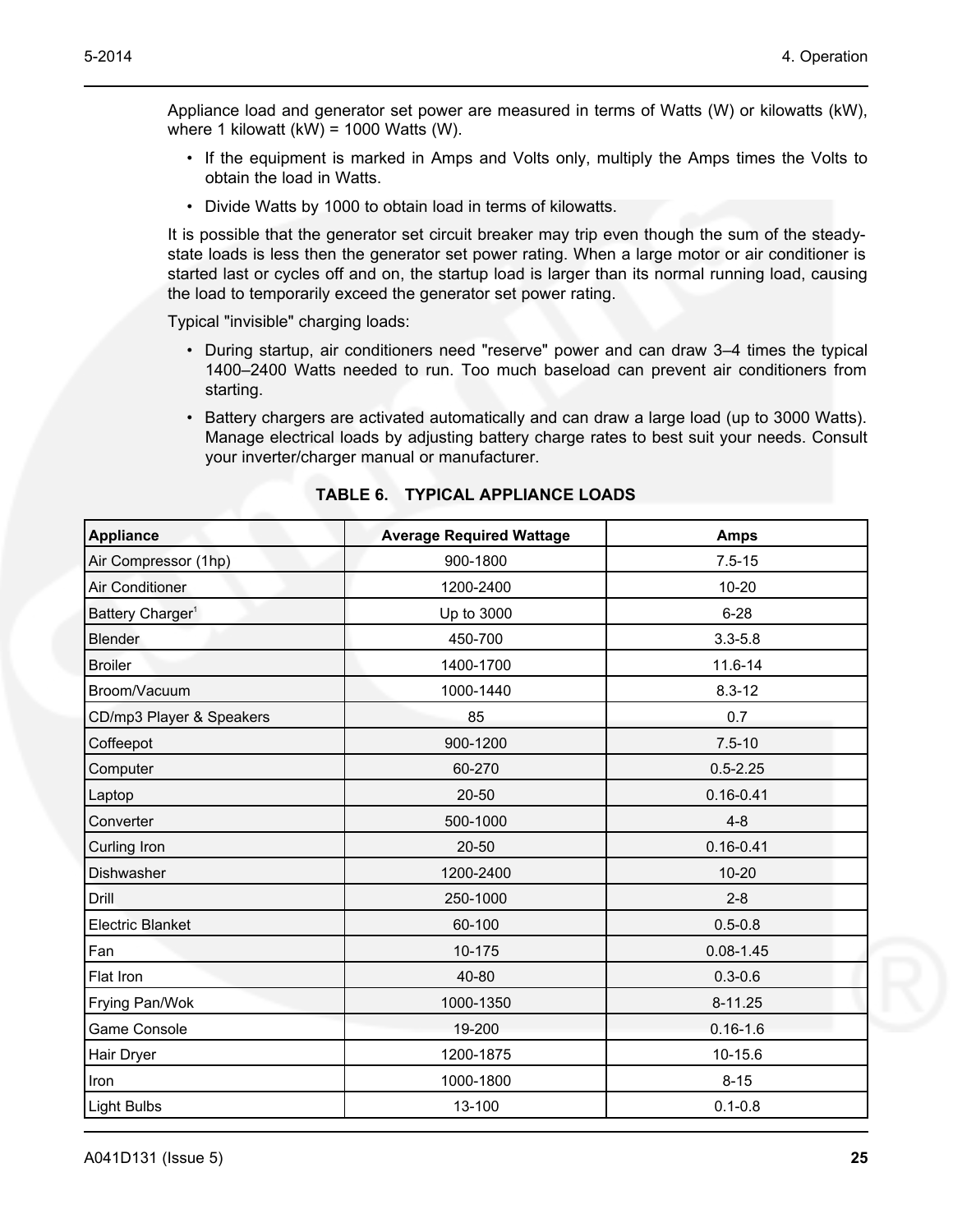Appliance load and generator set power are measured in terms of Watts (W) or kilowatts (kW), where 1 kilowatt (kW) =  $1000$  Watts (W).

- If the equipment is marked in Amps and Volts only, multiply the Amps times the Volts to obtain the load in Watts.
- Divide Watts by 1000 to obtain load in terms of kilowatts.

It is possible that the generator set circuit breaker may trip even though the sum of the steadystate loads is less then the generator set power rating. When a large motor or air conditioner is started last or cycles off and on, the startup load is larger than its normal running load, causing the load to temporarily exceed the generator set power rating.

Typical "invisible" charging loads:

- During startup, air conditioners need "reserve" power and can draw 3–4 times the typical 1400–2400 Watts needed to run. Too much baseload can prevent air conditioners from starting.
- Battery chargers are activated automatically and can draw a large load (up to 3000 Watts). Manage electrical loads by adjusting battery charge rates to best suit your needs. Consult your inverter/charger manual or manufacturer.

| <b>Appliance</b>             | <b>Average Required Wattage</b> | <b>Amps</b>   |
|------------------------------|---------------------------------|---------------|
| Air Compressor (1hp)         | 900-1800                        | $7.5 - 15$    |
| <b>Air Conditioner</b>       | 1200-2400                       | $10 - 20$     |
| Battery Charger <sup>1</sup> | Up to 3000                      | $6 - 28$      |
| Blender                      | 450-700                         | $3.3 - 5.8$   |
| <b>Broiler</b>               | 1400-1700                       | $11.6 - 14$   |
| Broom/Vacuum                 | 1000-1440                       | $8.3 - 12$    |
| CD/mp3 Player & Speakers     | 85                              | 0.7           |
| Coffeepot                    | 900-1200                        | $7.5 - 10$    |
| Computer                     | 60-270                          | $0.5 - 2.25$  |
| Laptop                       | $20 - 50$                       | $0.16 - 0.41$ |
| Converter                    | 500-1000                        | $4 - 8$       |
| Curling Iron                 | $20 - 50$                       | $0.16 - 0.41$ |
| Dishwasher                   | 1200-2400                       | $10 - 20$     |
| Drill                        | 250-1000                        | $2 - 8$       |
| <b>Electric Blanket</b>      | 60-100                          | $0.5 - 0.8$   |
| Fan                          | 10-175                          | $0.08 - 1.45$ |
| Flat Iron                    | 40-80                           | $0.3 - 0.6$   |
| Frying Pan/Wok               | 1000-1350                       | 8-11.25       |
| Game Console                 | 19-200                          | $0.16 - 1.6$  |
| Hair Dryer                   | 1200-1875                       | 10-15.6       |
| Iron                         | 1000-1800                       | $8 - 15$      |
| <b>Light Bulbs</b>           | 13-100                          | $0.1 - 0.8$   |

**TABLE 6. TYPICAL APPLIANCE LOADS**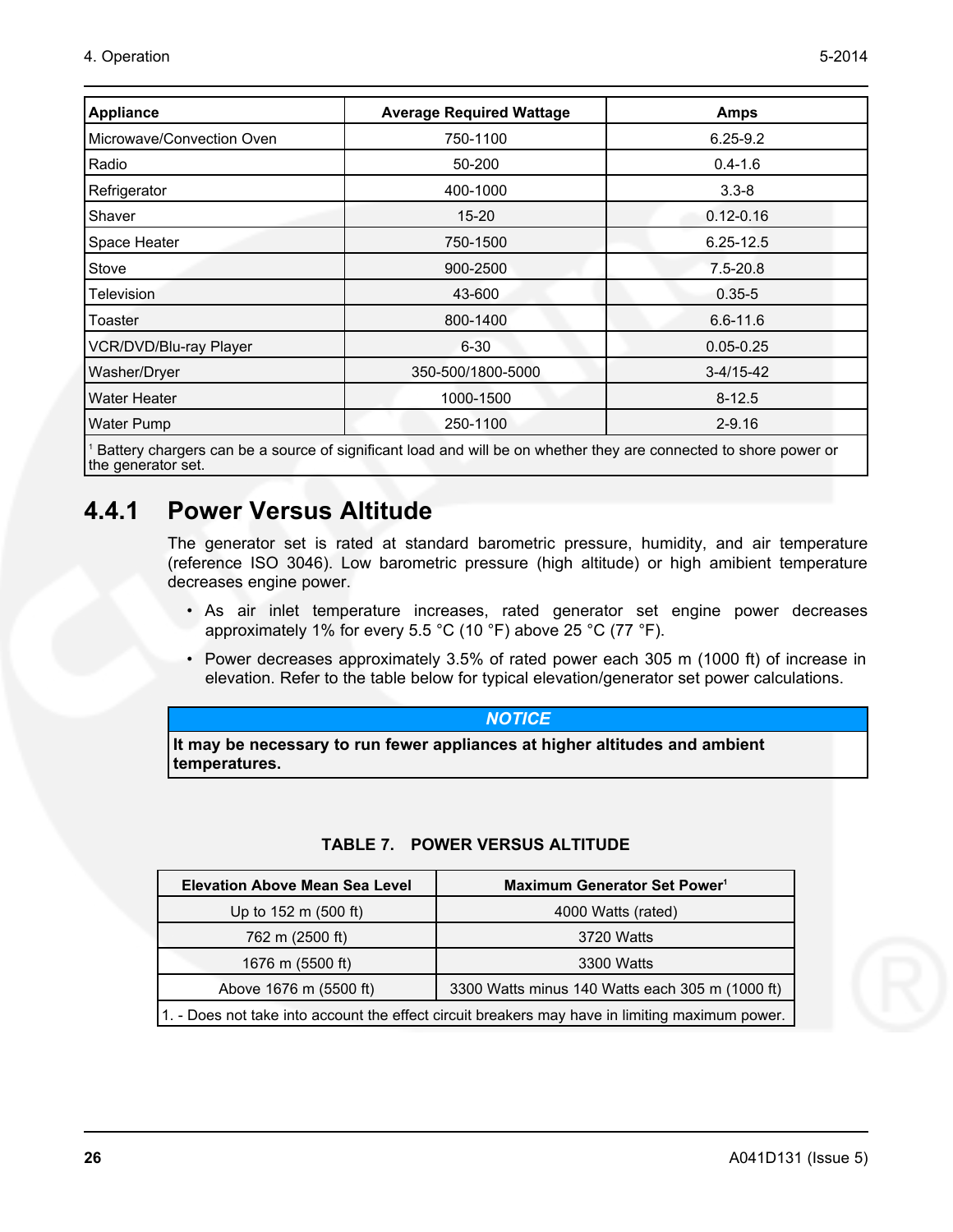| <b>Average Required Wattage</b> | <b>Amps</b>   |
|---------------------------------|---------------|
| 750-1100                        | $6.25 - 9.2$  |
| 50-200                          | $0.4 - 1.6$   |
| 400-1000                        | $3.3 - 8$     |
| $15 - 20$                       | $0.12 - 0.16$ |
| 750-1500                        | 6.25-12.5     |
| 900-2500                        | $7.5 - 20.8$  |
| 43-600                          | $0.35 - 5$    |
| 800-1400                        | $6.6 - 11.6$  |
| $6 - 30$                        | $0.05 - 0.25$ |
| 350-500/1800-5000               | $3-4/15-42$   |
| 1000-1500                       | $8 - 12.5$    |
| 250-1100                        | $2 - 9.16$    |
|                                 |               |

<sup>1</sup> Battery chargers can be a source of significant load and will be on whether they are connected to shore power or the generator set.

### <span id="page-31-0"></span>**4.4.1 Power Versus Altitude**

The generator set is rated at standard barometric pressure, humidity, and air temperature (reference ISO 3046). Low barometric pressure (high altitude) or high amibient temperature decreases engine power.

- As air inlet temperature increases, rated generator set engine power decreases approximately 1% for every 5.5 °C (10 °F) above 25 °C (77 °F).
- Power decreases approximately 3.5% of rated power each 305 m (1000 ft) of increase in elevation. Refer to the table below for typical elevation/generator set power calculations.

#### *NOTICE*

**It may be necessary to run fewer appliances at higher altitudes and ambient temperatures.**

### **TABLE 7. POWER VERSUS ALTITUDE**

| <b>Elevation Above Mean Sea Level</b>                                                           | Maximum Generator Set Power <sup>1</sup> |  |  |  |
|-------------------------------------------------------------------------------------------------|------------------------------------------|--|--|--|
| Up to 152 m (500 ft)                                                                            | 4000 Watts (rated)                       |  |  |  |
| 762 m (2500 ft)                                                                                 | 3720 Watts                               |  |  |  |
| 1676 m (5500 ft)                                                                                | 3300 Watts                               |  |  |  |
| 3300 Watts minus 140 Watts each 305 m (1000 ft)<br>Above 1676 m (5500 ft)                       |                                          |  |  |  |
| 1. - Does not take into account the effect circuit breakers may have in limiting maximum power. |                                          |  |  |  |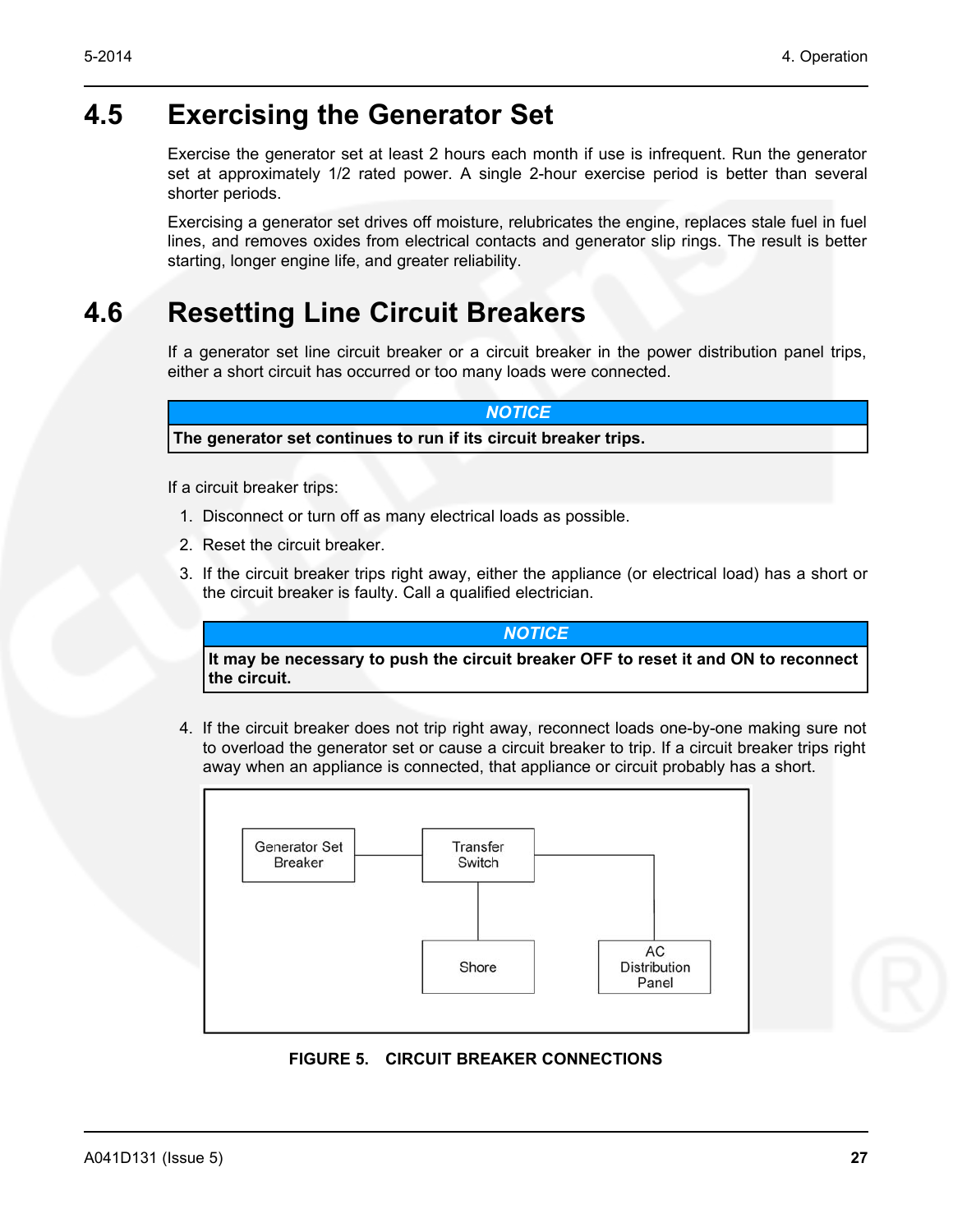# <span id="page-32-0"></span>**4.5 Exercising the Generator Set**

Exercise the generator set at least 2 hours each month if use is infrequent. Run the generator set at approximately 1/2 rated power. A single 2-hour exercise period is better than several shorter periods.

Exercising a generator set drives off moisture, relubricates the engine, replaces stale fuel in fuel lines, and removes oxides from electrical contacts and generator slip rings. The result is better starting, longer engine life, and greater reliability.

# <span id="page-32-1"></span>**4.6 Resetting Line Circuit Breakers**

If a generator set line circuit breaker or a circuit breaker in the power distribution panel trips, either a short circuit has occurred or too many loads were connected.

*NOTICE*

**The generator set continues to run if its circuit breaker trips.**

If a circuit breaker trips:

- 1. Disconnect or turn off as many electrical loads as possible.
- 2. Reset the circuit breaker.
- 3. If the circuit breaker trips right away, either the appliance (or electrical load) has a short or the circuit breaker is faulty. Call a qualified electrician.

*NOTICE*

**It may be necessary to push the circuit breaker OFF to reset it and ON to reconnect the circuit.**

4. If the circuit breaker does not trip right away, reconnect loads one-by-one making sure not to overload the generator set or cause a circuit breaker to trip. If a circuit breaker trips right away when an appliance is connected, that appliance or circuit probably has a short.



**FIGURE 5. CIRCUIT BREAKER CONNECTIONS**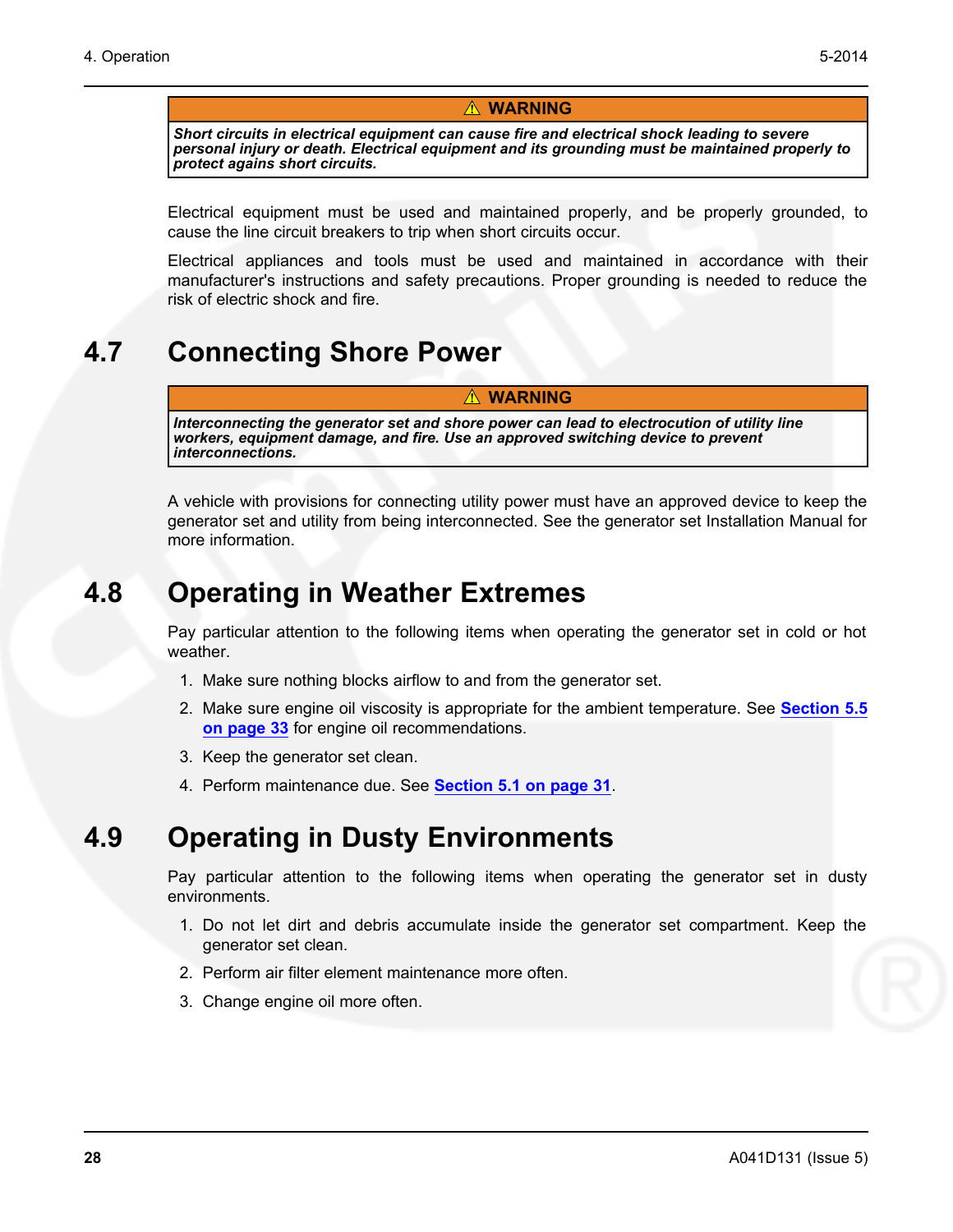#### **WARNING**

*Short circuits in electrical equipment can cause fire and electrical shock leading to severe personal injury or death. Electrical equipment and its grounding must be maintained properly to protect agains short circuits.*

Electrical equipment must be used and maintained properly, and be properly grounded, to cause the line circuit breakers to trip when short circuits occur.

Electrical appliances and tools must be used and maintained in accordance with their manufacturer's instructions and safety precautions. Proper grounding is needed to reduce the risk of electric shock and fire.

# <span id="page-33-0"></span>**4.7 Connecting Shore Power**

**WARNING**

*Interconnecting the generator set and shore power can lead to electrocution of utility line workers, equipment damage, and fire. Use an approved switching device to prevent interconnections.*

A vehicle with provisions for connecting utility power must have an approved device to keep the generator set and utility from being interconnected. See the generator set Installation Manual for more information.

# <span id="page-33-1"></span>**4.8 Operating in Weather Extremes**

Pay particular attention to the following items when operating the generator set in cold or hot weather.

- 1. Make sure nothing blocks airflow to and from the generator set.
- 2. Make sure engine oil viscosity is appropriate for the ambient temperature. See **[Section 5.5](#page-38-0) [on page 33](#page-38-0)** for engine oil recommendations.
- 3. Keep the generator set clean.
- 4. Perform maintenance due. See **[Section 5.1 on page 31](#page-36-1)**.

# <span id="page-33-2"></span>**4.9 Operating in Dusty Environments**

Pay particular attention to the following items when operating the generator set in dusty environments.

- 1. Do not let dirt and debris accumulate inside the generator set compartment. Keep the generator set clean.
- 2. Perform air filter element maintenance more often.
- 3. Change engine oil more often.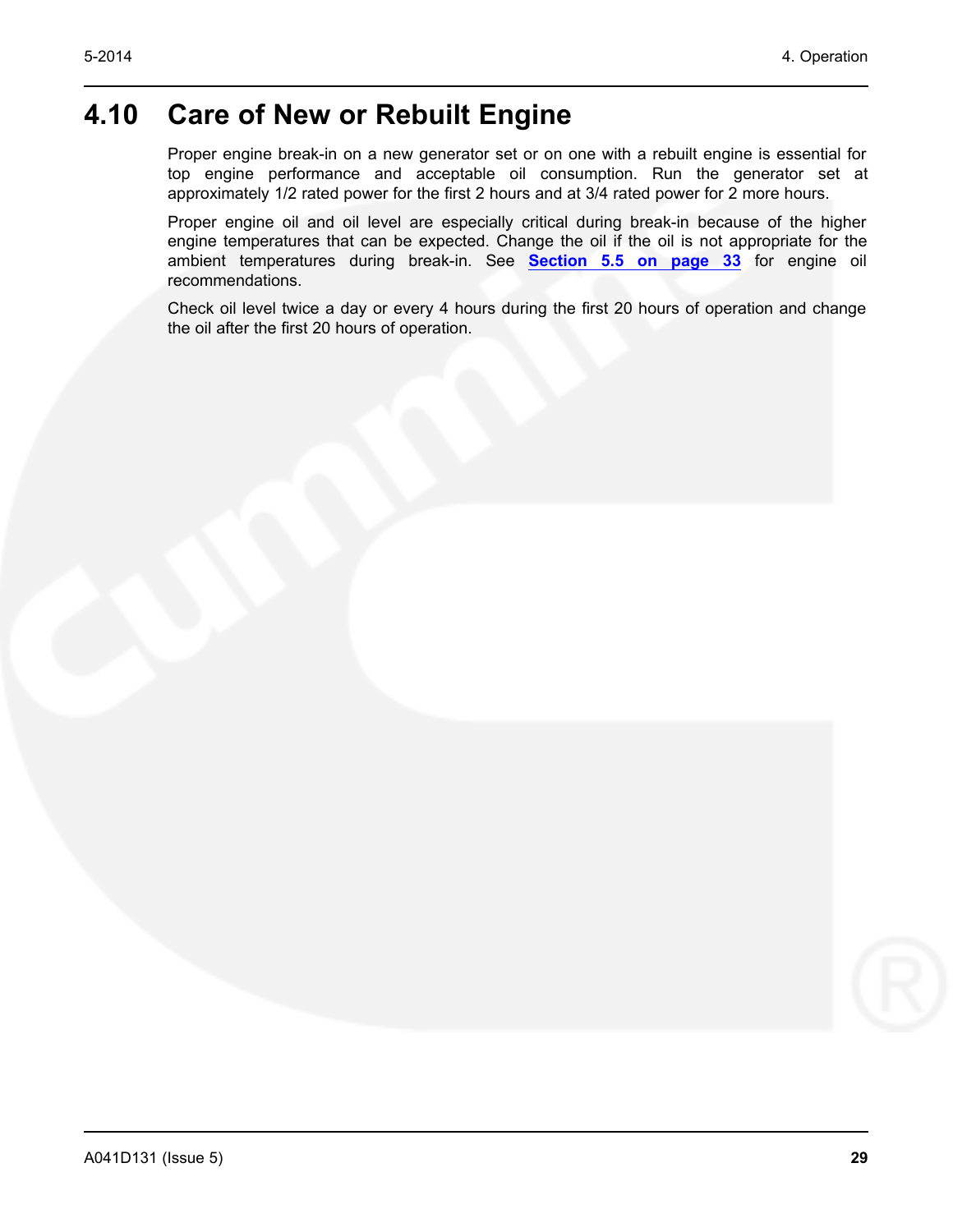# <span id="page-34-0"></span>**4.10 Care of New or Rebuilt Engine**

Proper engine break-in on a new generator set or on one with a rebuilt engine is essential for top engine performance and acceptable oil consumption. Run the generator set at approximately 1/2 rated power for the first 2 hours and at 3/4 rated power for 2 more hours.

Proper engine oil and oil level are especially critical during break-in because of the higher engine temperatures that can be expected. Change the oil if the oil is not appropriate for the ambient temperatures during break-in. See **[Section 5.5 on page 33](#page-38-0)** for engine oil recommendations.

Check oil level twice a day or every 4 hours during the first 20 hours of operation and change the oil after the first 20 hours of operation.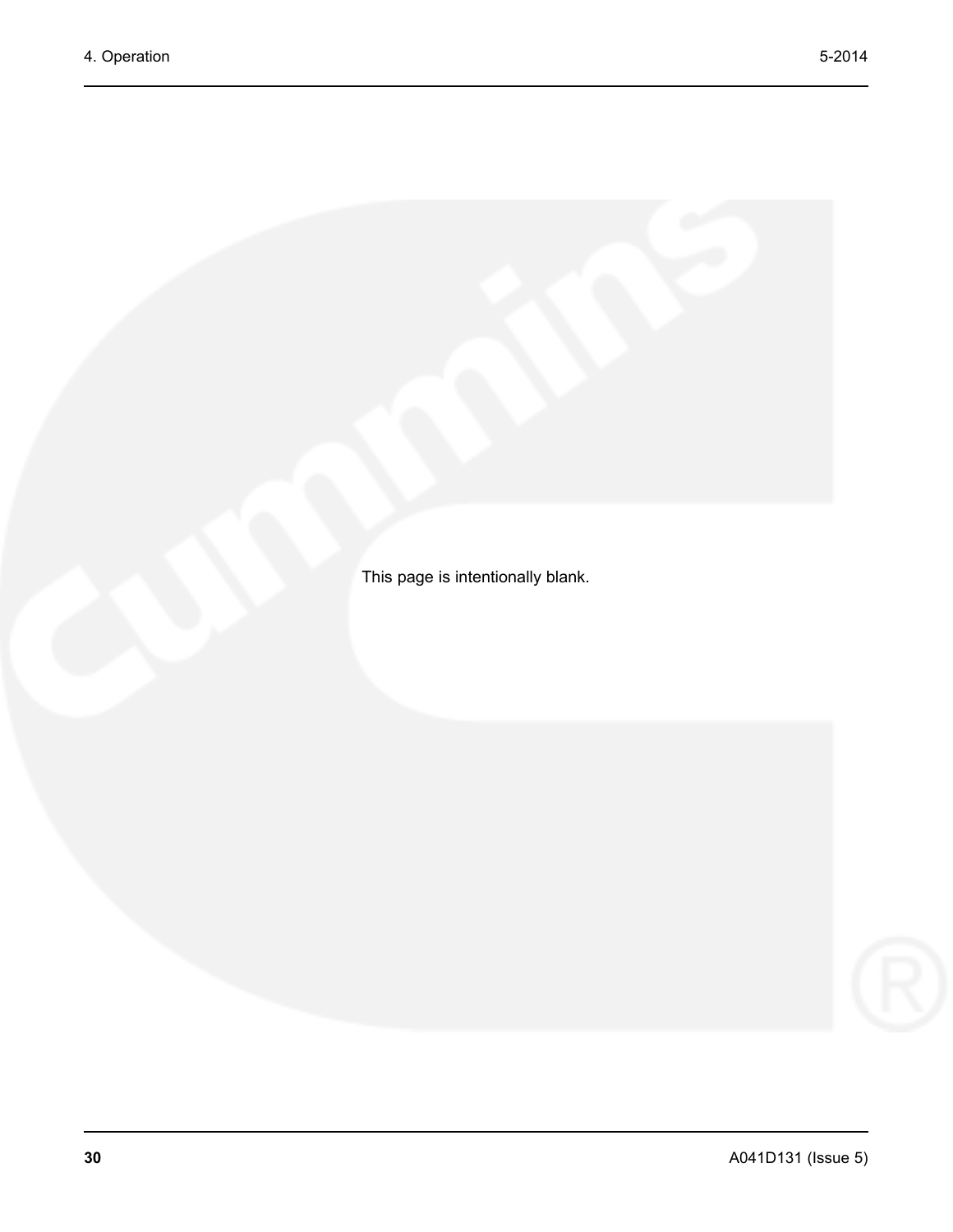This page is intentionally blank.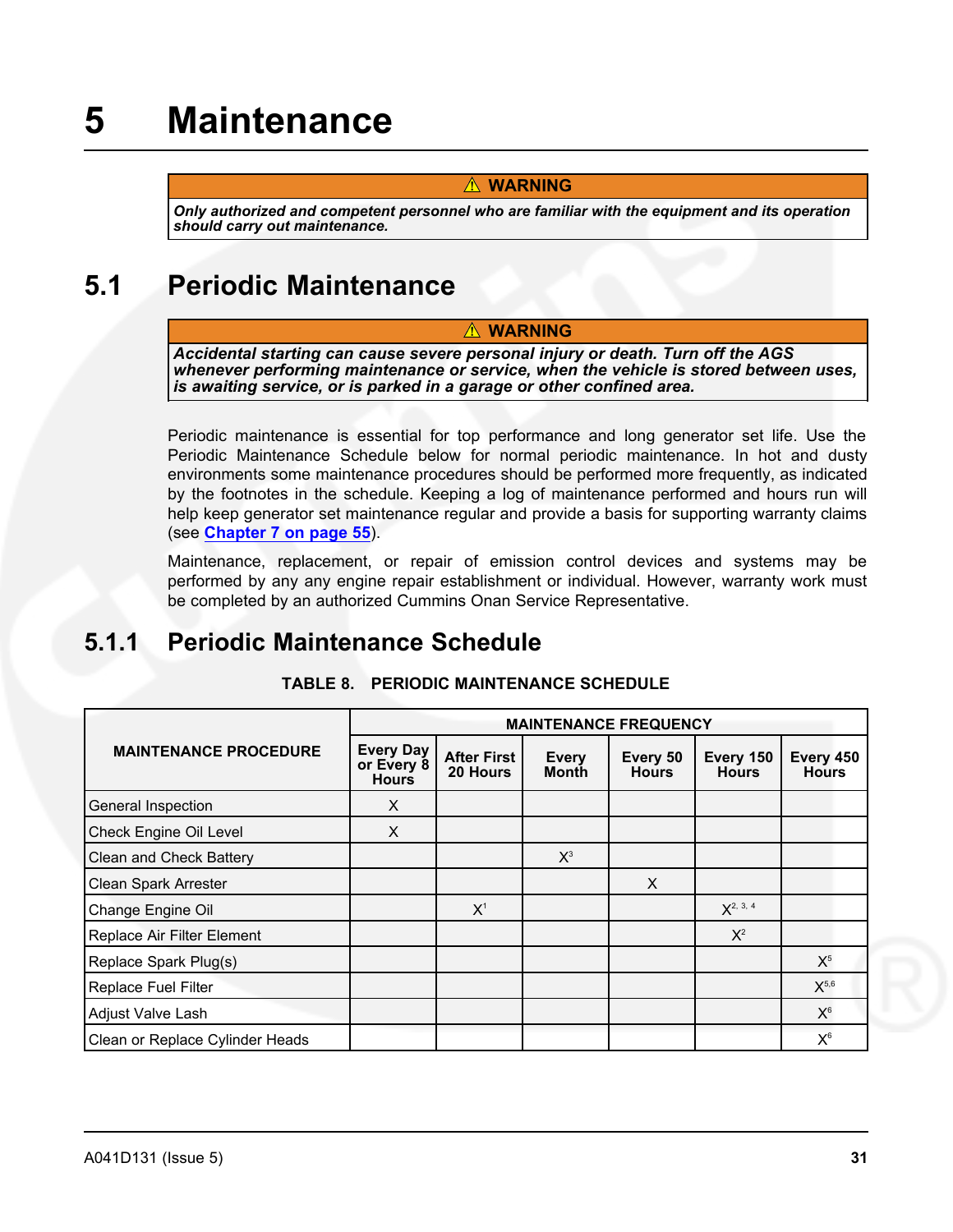# <span id="page-36-0"></span>**5 Maintenance**

#### **WARNING**

*Only authorized and competent personnel who are familiar with the equipment and its operation should carry out maintenance.*

# <span id="page-36-1"></span>**5.1 Periodic Maintenance**

#### **WARNING**

*Accidental starting can cause severe personal injury or death. Turn off the AGS whenever performing maintenance or service, when the vehicle is stored between uses, is awaiting service, or is parked in a garage or other confined area.*

Periodic maintenance is essential for top performance and long generator set life. Use the Periodic Maintenance Schedule below for normal periodic maintenance. In hot and dusty environments some maintenance procedures should be performed more frequently, as indicated by the footnotes in the schedule. Keeping a log of maintenance performed and hours run will help keep generator set maintenance regular and provide a basis for supporting warranty claims (see **[Chapter 7 on page 55](#page-60-0)**).

Maintenance, replacement, or repair of emission control devices and systems may be performed by any any engine repair establishment or individual. However, warranty work must be completed by an authorized Cummins Onan Service Representative.

### <span id="page-36-2"></span>**5.1.1 Periodic Maintenance Schedule**

|                                 | <b>MAINTENANCE FREQUENCY</b>                   |                                |                       |                          |                           |                           |
|---------------------------------|------------------------------------------------|--------------------------------|-----------------------|--------------------------|---------------------------|---------------------------|
| <b>MAINTENANCE PROCEDURE</b>    | <b>Every Day</b><br>or Every 8<br><b>Hours</b> | <b>After First</b><br>20 Hours | Every<br><b>Month</b> | Every 50<br><b>Hours</b> | Every 150<br><b>Hours</b> | Every 450<br><b>Hours</b> |
| General Inspection              | X                                              |                                |                       |                          |                           |                           |
| Check Engine Oil Level          | X                                              |                                |                       |                          |                           |                           |
| Clean and Check Battery         |                                                |                                | $X^3$                 |                          |                           |                           |
| <b>Clean Spark Arrester</b>     |                                                |                                |                       | X                        |                           |                           |
| Change Engine Oil               |                                                | $X^1$                          |                       |                          | $X^{2, 3, 4}$             |                           |
| Replace Air Filter Element      |                                                |                                |                       |                          | $X^2$                     |                           |
| Replace Spark Plug(s)           |                                                |                                |                       |                          |                           | $\mathsf{X}^5$            |
| Replace Fuel Filter             |                                                |                                |                       |                          |                           | $X^{5,6}$                 |
| Adjust Valve Lash               |                                                |                                |                       |                          |                           | $X^6$                     |
| Clean or Replace Cylinder Heads |                                                |                                |                       |                          |                           | $X^6$                     |

#### **TABLE 8. PERIODIC MAINTENANCE SCHEDULE**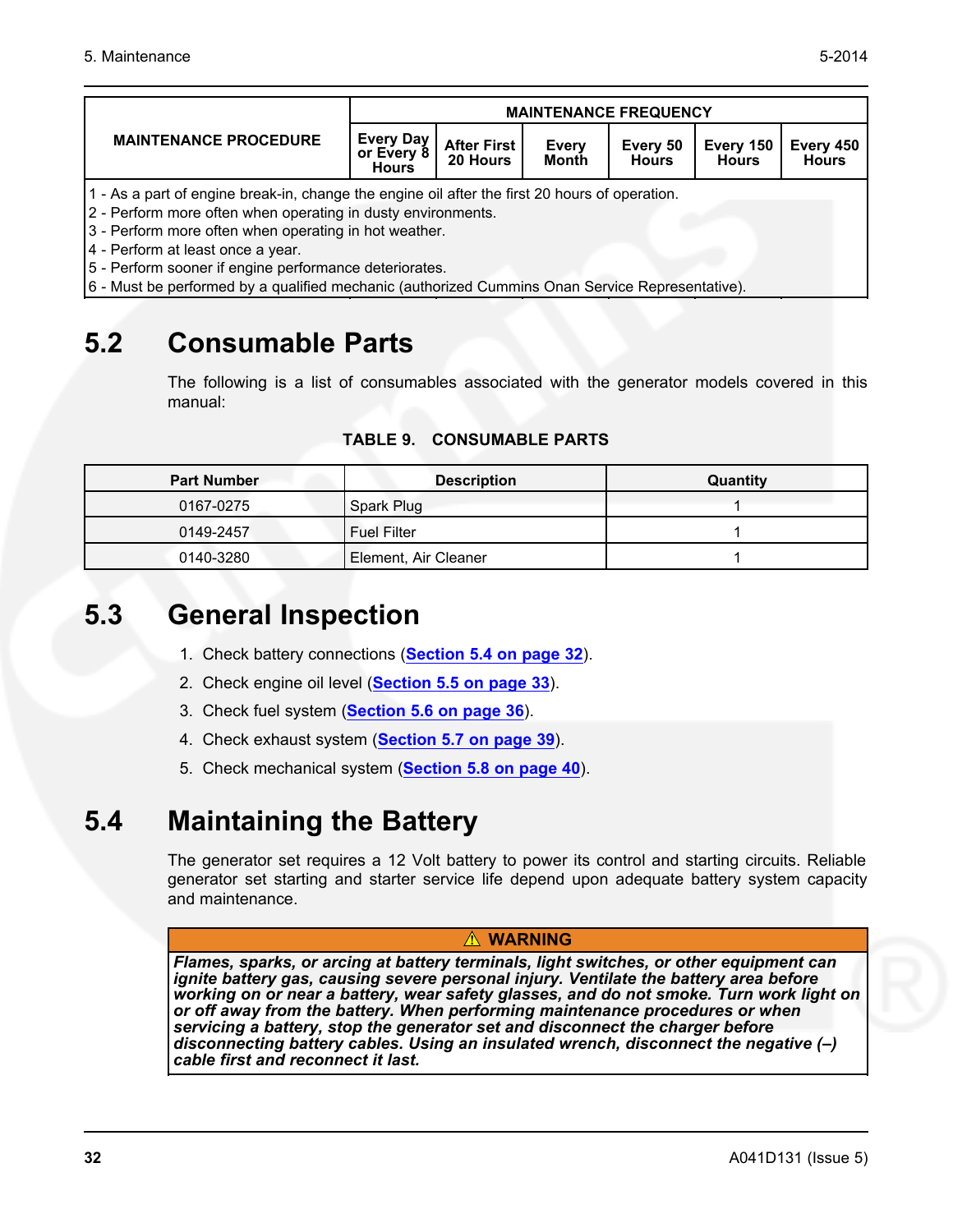|                                                                                                                                                                                                                                                              | <b>MAINTENANCE FREQUENCY</b>                   |                                |                |                          |                           |                           |  |
|--------------------------------------------------------------------------------------------------------------------------------------------------------------------------------------------------------------------------------------------------------------|------------------------------------------------|--------------------------------|----------------|--------------------------|---------------------------|---------------------------|--|
| <b>MAINTENANCE PROCEDURE</b>                                                                                                                                                                                                                                 | <b>Every Day</b><br>or Every 8<br><b>Hours</b> | <b>After First</b><br>20 Hours | Every<br>Month | Every 50<br><b>Hours</b> | Every 150<br><b>Hours</b> | Every 450<br><b>Hours</b> |  |
| 1 - As a part of engine break-in, change the engine oil after the first 20 hours of operation.<br>2 - Perform more often when operating in dusty environments.<br>3 - Perform more often when operating in hot weather.<br>4 - Perform at least once a year. |                                                |                                |                |                          |                           |                           |  |
| 5 - Perform sooner if engine performance deteriorates.<br>6 - Must be performed by a qualified mechanic (authorized Cummins Onan Service Representative).                                                                                                    |                                                |                                |                |                          |                           |                           |  |

# <span id="page-37-0"></span>**5.2 Consumable Parts**

The following is a list of consumables associated with the generator models covered in this manual:

| TABLE 9. CONSUMABLE PARTS |
|---------------------------|
|                           |

| <b>Part Number</b> | <b>Description</b>   | Quantity |
|--------------------|----------------------|----------|
| 0167-0275          | Spark Plug           |          |
| 0149-2457          | <b>Fuel Filter</b>   |          |
| 0140-3280          | Element, Air Cleaner |          |

# <span id="page-37-1"></span>**5.3 General Inspection**

- 1. Check battery connections (**[Section 5.4 on page 32](#page-37-2)**).
- 2. Check engine oil level (**[Section 5.5 on page 33](#page-38-0)**).
- 3. Check fuel system (**[Section 5.6 on page 36](#page-41-0)**).
- 4. Check exhaust system (**[Section 5.7 on page 39](#page-44-0)**).
- 5. Check mechanical system (**[Section 5.8 on page 40](#page-45-0)**).

# <span id="page-37-2"></span>**5.4 Maintaining the Battery**

The generator set requires a 12 Volt battery to power its control and starting circuits. Reliable generator set starting and starter service life depend upon adequate battery system capacity and maintenance.

#### **WARNING**

*Flames, sparks, or arcing at battery terminals, light switches, or other equipment can ignite battery gas, causing severe personal injury. Ventilate the battery area before working on or near a battery, wear safety glasses, and do not smoke. Turn work light on or off away from the battery. When performing maintenance procedures or when servicing a battery, stop the generator set and disconnect the charger before disconnecting battery cables. Using an insulated wrench, disconnect the negative (–) cable first and reconnect it last.*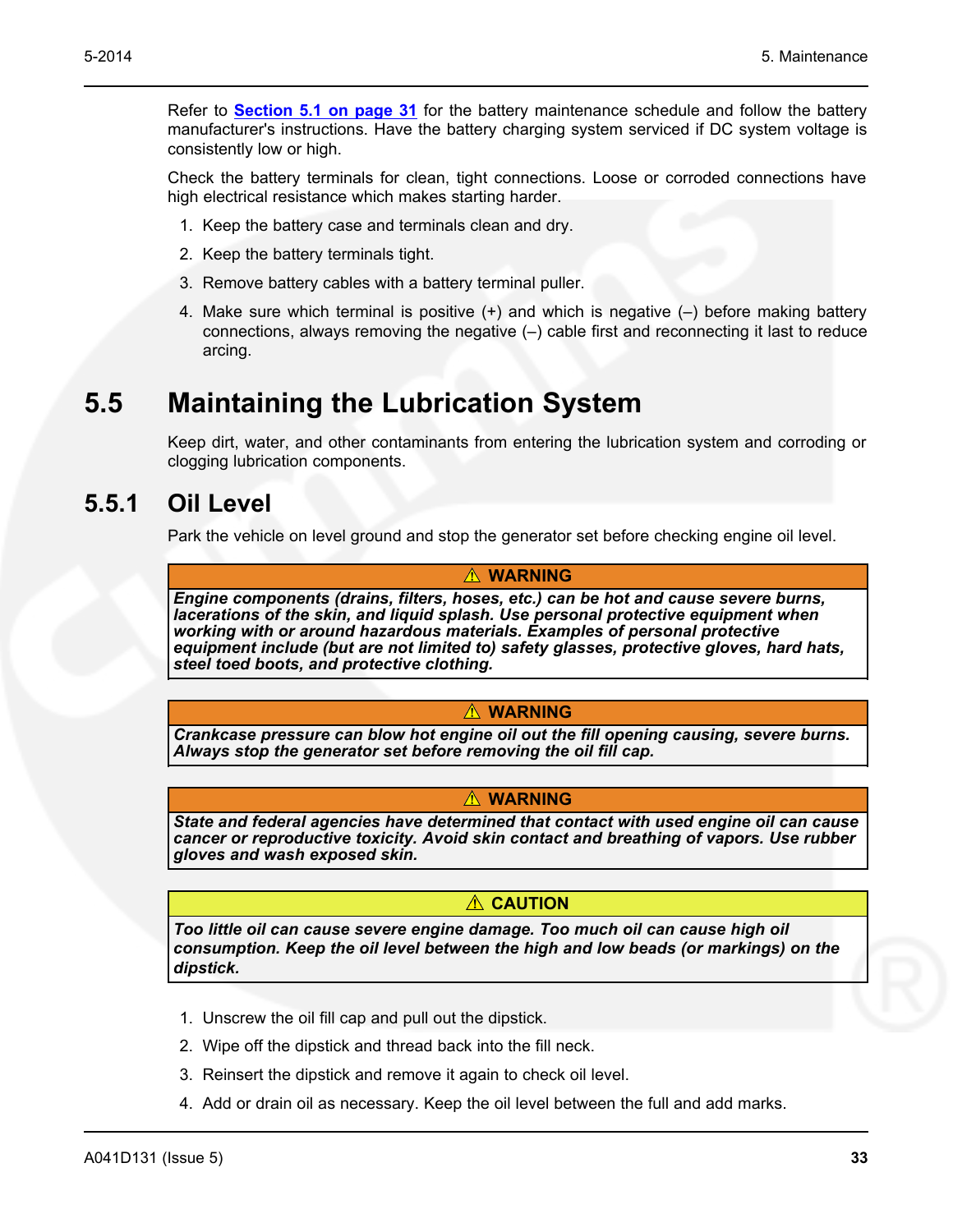Refer to **[Section 5.1 on page 31](#page-36-1)** for the battery maintenance schedule and follow the battery manufacturer's instructions. Have the battery charging system serviced if DC system voltage is consistently low or high.

Check the battery terminals for clean, tight connections. Loose or corroded connections have high electrical resistance which makes starting harder.

- 1. Keep the battery case and terminals clean and dry.
- 2. Keep the battery terminals tight.
- 3. Remove battery cables with a battery terminal puller.
- 4. Make sure which terminal is positive (+) and which is negative (–) before making battery connections, always removing the negative  $(-)$  cable first and reconnecting it last to reduce arcing.

# <span id="page-38-0"></span>**5.5 Maintaining the Lubrication System**

Keep dirt, water, and other contaminants from entering the lubrication system and corroding or clogging lubrication components.

### <span id="page-38-1"></span>**5.5.1 Oil Level**

Park the vehicle on level ground and stop the generator set before checking engine oil level.

**WARNING**

*Engine components (drains, filters, hoses, etc.) can be hot and cause severe burns, lacerations of the skin, and liquid splash. Use personal protective equipment when working with or around hazardous materials. Examples of personal protective equipment include (but are not limited to) safety glasses, protective gloves, hard hats, steel toed boots, and protective clothing.*

#### **WARNING**

*Crankcase pressure can blow hot engine oil out the fill opening causing, severe burns. Always stop the generator set before removing the oil fill cap.*

#### **WARNING**

*State and federal agencies have determined that contact with used engine oil can cause cancer or reproductive toxicity. Avoid skin contact and breathing of vapors. Use rubber gloves and wash exposed skin.*

### **A** CAUTION

*Too little oil can cause severe engine damage. Too much oil can cause high oil consumption. Keep the oil level between the high and low beads (or markings) on the dipstick.*

- 1. Unscrew the oil fill cap and pull out the dipstick.
- 2. Wipe off the dipstick and thread back into the fill neck.
- 3. Reinsert the dipstick and remove it again to check oil level.
- 4. Add or drain oil as necessary. Keep the oil level between the full and add marks.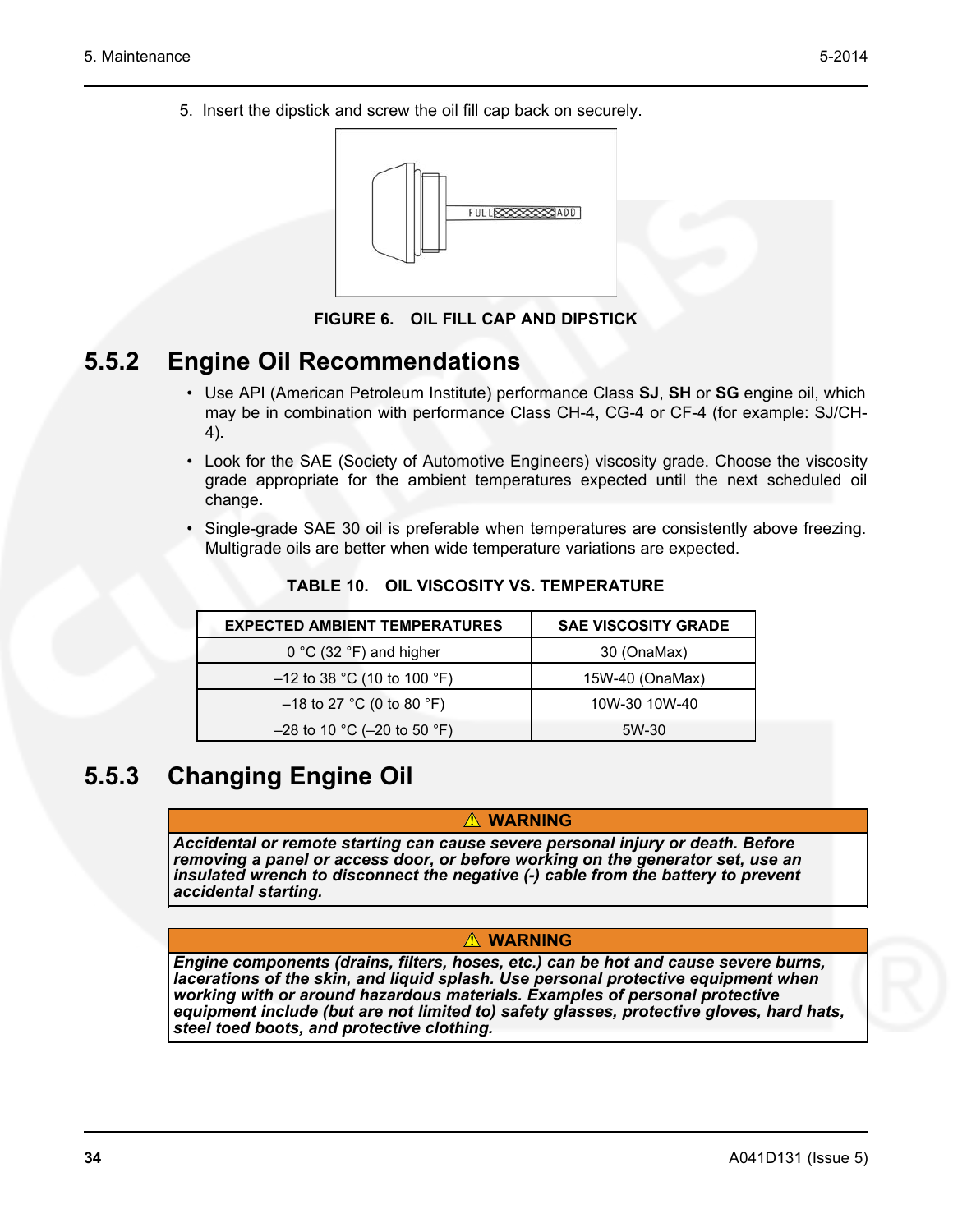5. Insert the dipstick and screw the oil fill cap back on securely.





### <span id="page-39-0"></span>**5.5.2 Engine Oil Recommendations**

- Use API (American Petroleum Institute) performance Class **SJ**, **SH** or **SG** engine oil, which may be in combination with performance Class CH-4, CG-4 or CF-4 (for example: SJ/CH-4).
- Look for the SAE (Society of Automotive Engineers) viscosity grade. Choose the viscosity grade appropriate for the ambient temperatures expected until the next scheduled oil change.
- Single-grade SAE 30 oil is preferable when temperatures are consistently above freezing. Multigrade oils are better when wide temperature variations are expected.

| <b>EXPECTED AMBIENT TEMPERATURES</b> |                                            | <b>SAE VISCOSITY GRADE</b> |
|--------------------------------------|--------------------------------------------|----------------------------|
|                                      | $0^{\circ}$ C (32 $^{\circ}$ F) and higher | 30 (OnaMax)                |
|                                      | $-12$ to 38 °C (10 to 100 °F)              | 15W-40 (OnaMax)            |
|                                      | $-18$ to 27 °C (0 to 80 °F)                | 10W-30 10W-40              |
|                                      | $-28$ to 10 °C (-20 to 50 °F)              | 5W-30                      |

**TABLE 10. OIL VISCOSITY VS. TEMPERATURE**

# <span id="page-39-1"></span>**5.5.3 Changing Engine Oil**

### **WARNING**

*Accidental or remote starting can cause severe personal injury or death. Before removing a panel or access door, or before working on the generator set, use an insulated wrench to disconnect the negative (-) cable from the battery to prevent accidental starting.*

### **WARNING**

*Engine components (drains, filters, hoses, etc.) can be hot and cause severe burns, lacerations of the skin, and liquid splash. Use personal protective equipment when working with or around hazardous materials. Examples of personal protective equipment include (but are not limited to) safety glasses, protective gloves, hard hats, steel toed boots, and protective clothing.*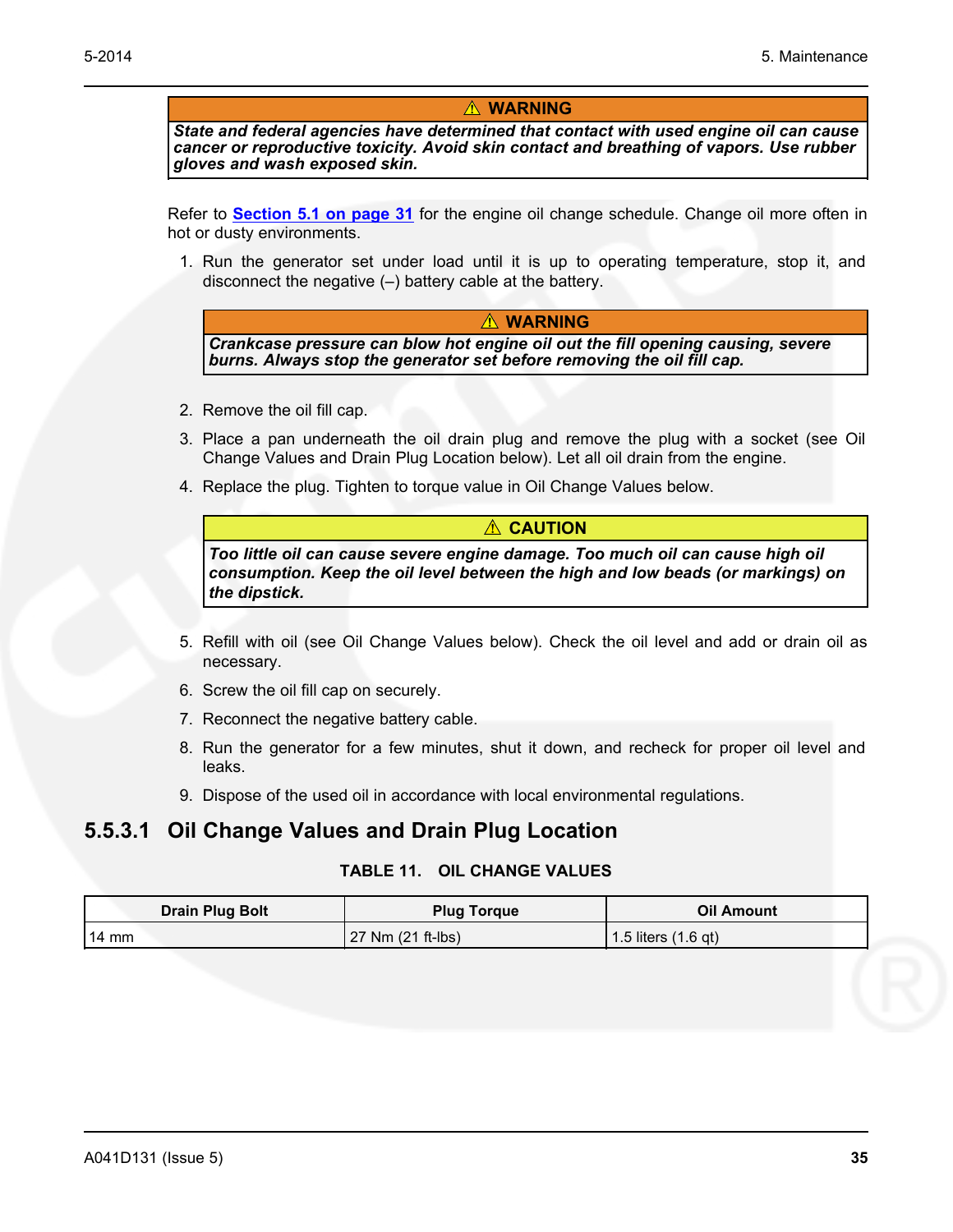

*State and federal agencies have determined that contact with used engine oil can cause cancer or reproductive toxicity. Avoid skin contact and breathing of vapors. Use rubber gloves and wash exposed skin.*

Refer to **[Section 5.1 on page 31](#page-36-1)** for the engine oil change schedule. Change oil more often in hot or dusty environments.

1. Run the generator set under load until it is up to operating temperature, stop it, and disconnect the negative (–) battery cable at the battery.

#### **WARNING**

*Crankcase pressure can blow hot engine oil out the fill opening causing, severe burns. Always stop the generator set before removing the oil fill cap.*

- 2. Remove the oil fill cap.
- 3. Place a pan underneath the oil drain plug and remove the plug with a socket (see Oil Change Values and Drain Plug Location below). Let all oil drain from the engine.
- 4. Replace the plug. Tighten to torque value in Oil Change Values below.

#### **CAUTION**

*Too little oil can cause severe engine damage. Too much oil can cause high oil consumption. Keep the oil level between the high and low beads (or markings) on the dipstick.*

- 5. Refill with oil (see Oil Change Values below). Check the oil level and add or drain oil as necessary.
- 6. Screw the oil fill cap on securely.
- 7. Reconnect the negative battery cable.
- 8. Run the generator for a few minutes, shut it down, and recheck for proper oil level and leaks.
- 9. Dispose of the used oil in accordance with local environmental regulations.

### **5.5.3.1 Oil Change Values and Drain Plug Location**

#### **TABLE 11. OIL CHANGE VALUES**

| Drain Plug Bolt | <b>Plug Torque</b> | <b>Oil Amount</b>   |
|-----------------|--------------------|---------------------|
| $14 \text{ mm}$ | 27 Nm (21 ft-lbs)  | 1.5 liters (1.6 qt) |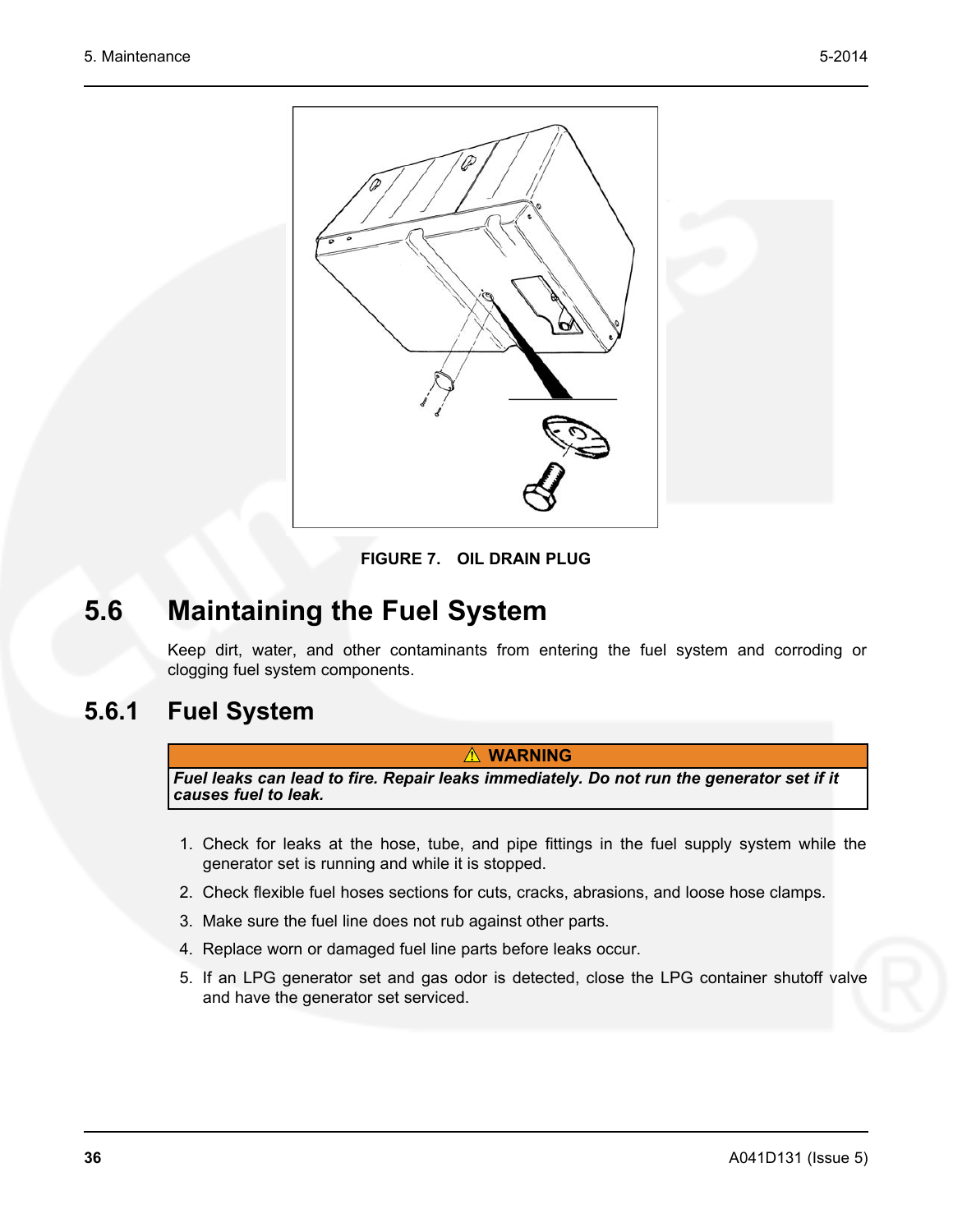

**FIGURE 7. OIL DRAIN PLUG**

# <span id="page-41-0"></span>**5.6 Maintaining the Fuel System**

Keep dirt, water, and other contaminants from entering the fuel system and corroding or clogging fuel system components.

### <span id="page-41-1"></span>**5.6.1 Fuel System**

**WARNING**

*Fuel leaks can lead to fire. Repair leaks immediately. Do not run the generator set if it causes fuel to leak.*

- 1. Check for leaks at the hose, tube, and pipe fittings in the fuel supply system while the generator set is running and while it is stopped.
- 2. Check flexible fuel hoses sections for cuts, cracks, abrasions, and loose hose clamps.
- 3. Make sure the fuel line does not rub against other parts.
- 4. Replace worn or damaged fuel line parts before leaks occur.
- 5. If an LPG generator set and gas odor is detected, close the LPG container shutoff valve and have the generator set serviced.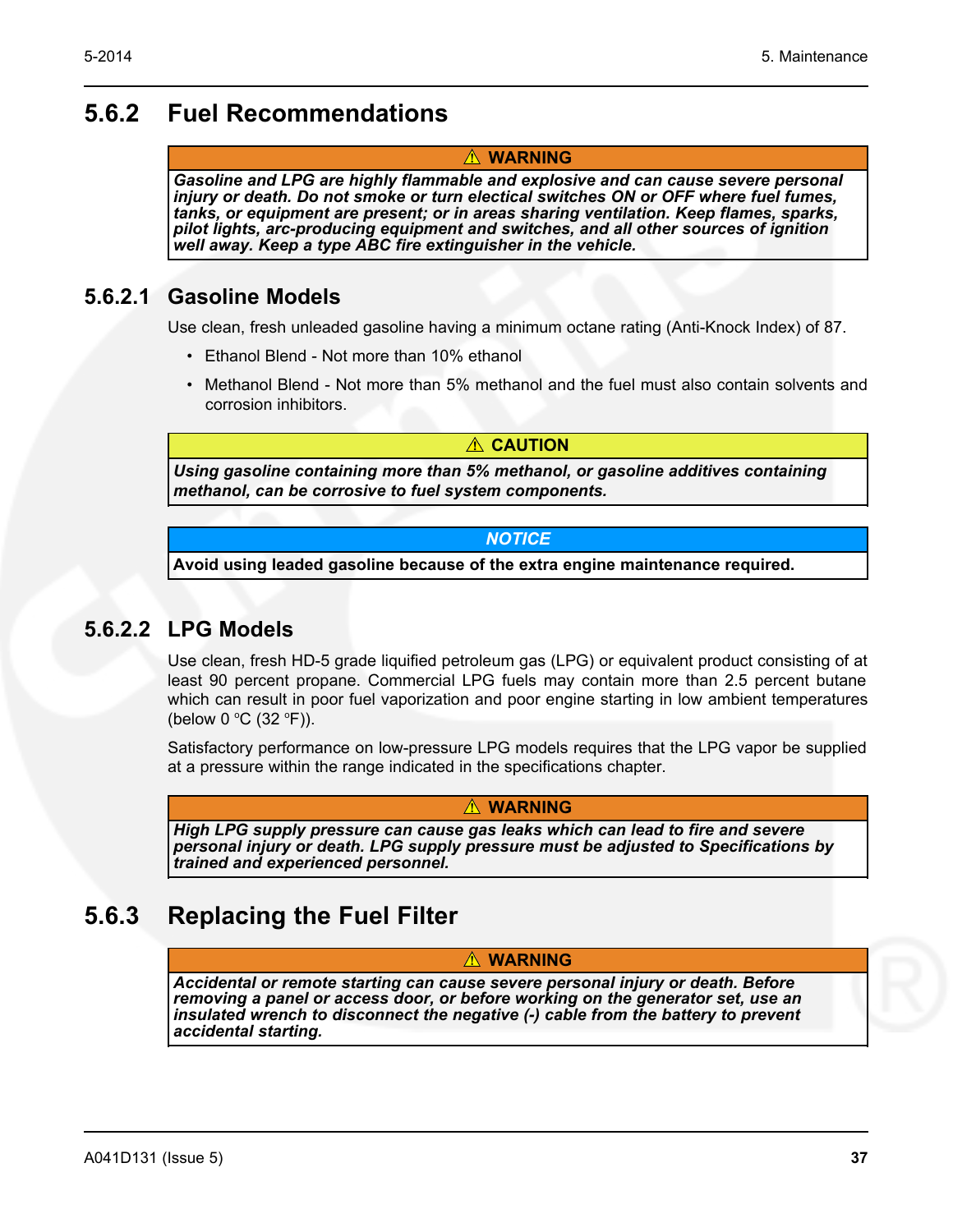### <span id="page-42-0"></span>**5.6.2 Fuel Recommendations**

#### **WARNING**

*Gasoline and LPG are highly flammable and explosive and can cause severe personal injury or death. Do not smoke or turn electical switches ON or OFF where fuel fumes, tanks, or equipment are present; or in areas sharing ventilation. Keep flames, sparks, pilot lights, arc-producing equipment and switches, and all other sources of ignition well away. Keep a type ABC fire extinguisher in the vehicle.*

### **5.6.2.1 Gasoline Models**

Use clean, fresh unleaded gasoline having a minimum octane rating (Anti-Knock Index) of 87.

- Ethanol Blend Not more than 10% ethanol
- Methanol Blend Not more than 5% methanol and the fuel must also contain solvents and corrosion inhibitors.

**A** CAUTION

*Using gasoline containing more than 5% methanol, or gasoline additives containing methanol, can be corrosive to fuel system components.*

*NOTICE*

**Avoid using leaded gasoline because of the extra engine maintenance required.**

### **5.6.2.2 LPG Models**

Use clean, fresh HD-5 grade liquified petroleum gas (LPG) or equivalent product consisting of at least 90 percent propane. Commercial LPG fuels may contain more than 2.5 percent butane which can result in poor fuel vaporization and poor engine starting in low ambient temperatures (below 0  $\mathrm{^{\circ}C}$  (32  $\mathrm{^{\circ}F}$ )).

Satisfactory performance on low-pressure LPG models requires that the LPG vapor be supplied at a pressure within the range indicated in the specifications chapter.

**WARNING**

*High LPG supply pressure can cause gas leaks which can lead to fire and severe personal injury or death. LPG supply pressure must be adjusted to Specifications by trained and experienced personnel.*

### <span id="page-42-1"></span>**5.6.3 Replacing the Fuel Filter**

#### **WARNING**

*Accidental or remote starting can cause severe personal injury or death. Before removing a panel or access door, or before working on the generator set, use an insulated wrench to disconnect the negative (-) cable from the battery to prevent accidental starting.*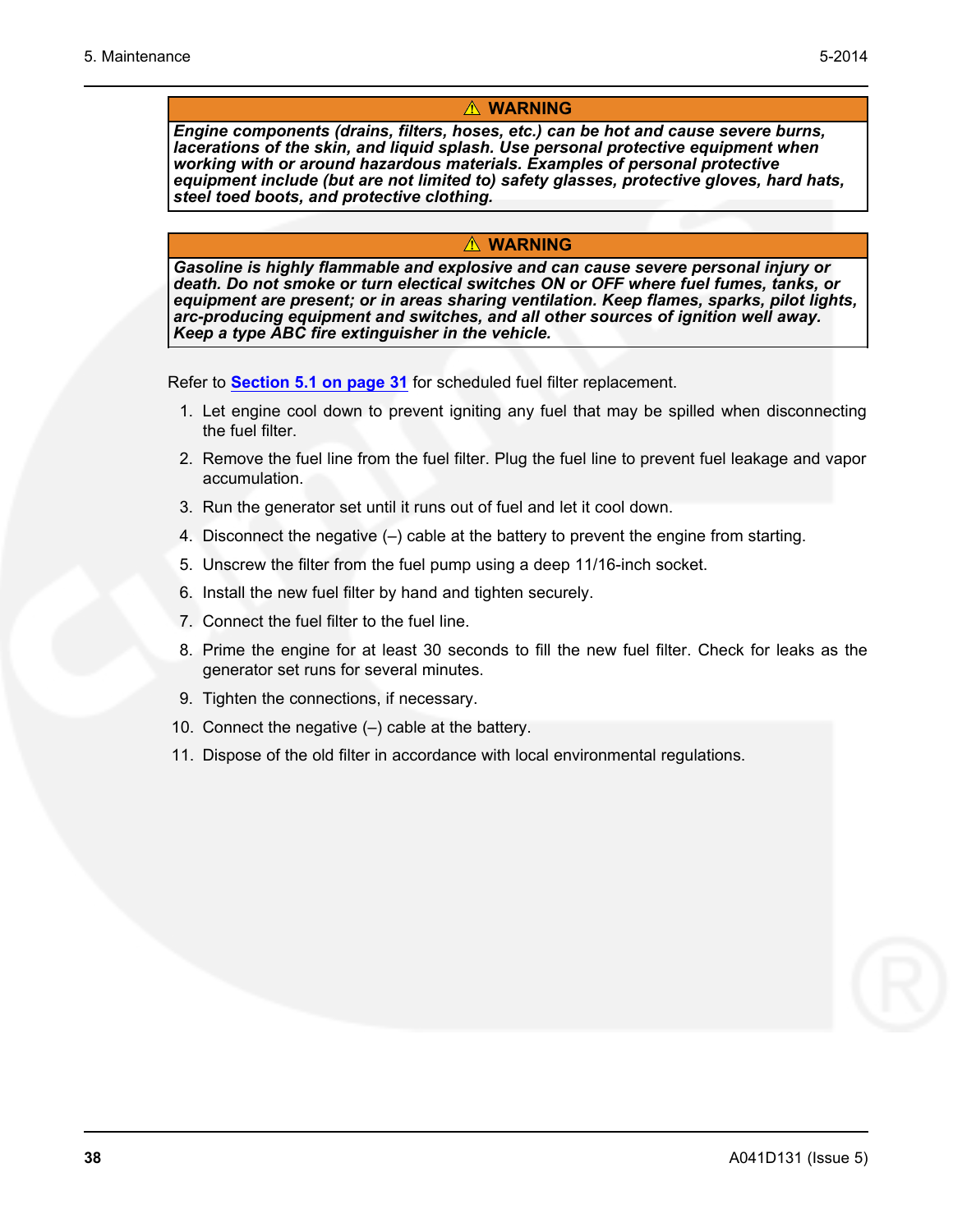#### **WARNING**

*Engine components (drains, filters, hoses, etc.) can be hot and cause severe burns, lacerations of the skin, and liquid splash. Use personal protective equipment when working with or around hazardous materials. Examples of personal protective equipment include (but are not limited to) safety glasses, protective gloves, hard hats, steel toed boots, and protective clothing.*

#### **WARNING**

*Gasoline is highly flammable and explosive and can cause severe personal injury or death. Do not smoke or turn electical switches ON or OFF where fuel fumes, tanks, or equipment are present; or in areas sharing ventilation. Keep flames, sparks, pilot lights, arc-producing equipment and switches, and all other sources of ignition well away. Keep a type ABC fire extinguisher in the vehicle.*

Refer to **[Section 5.1 on page 31](#page-36-1)** for scheduled fuel filter replacement.

- 1. Let engine cool down to prevent igniting any fuel that may be spilled when disconnecting the fuel filter.
- 2. Remove the fuel line from the fuel filter. Plug the fuel line to prevent fuel leakage and vapor accumulation.
- 3. Run the generator set until it runs out of fuel and let it cool down.
- 4. Disconnect the negative (–) cable at the battery to prevent the engine from starting.
- 5. Unscrew the filter from the fuel pump using a deep 11/16-inch socket.
- 6. Install the new fuel filter by hand and tighten securely.
- 7. Connect the fuel filter to the fuel line.
- 8. Prime the engine for at least 30 seconds to fill the new fuel filter. Check for leaks as the generator set runs for several minutes.
- 9. Tighten the connections, if necessary.
- 10. Connect the negative (–) cable at the battery.
- 11. Dispose of the old filter in accordance with local environmental regulations.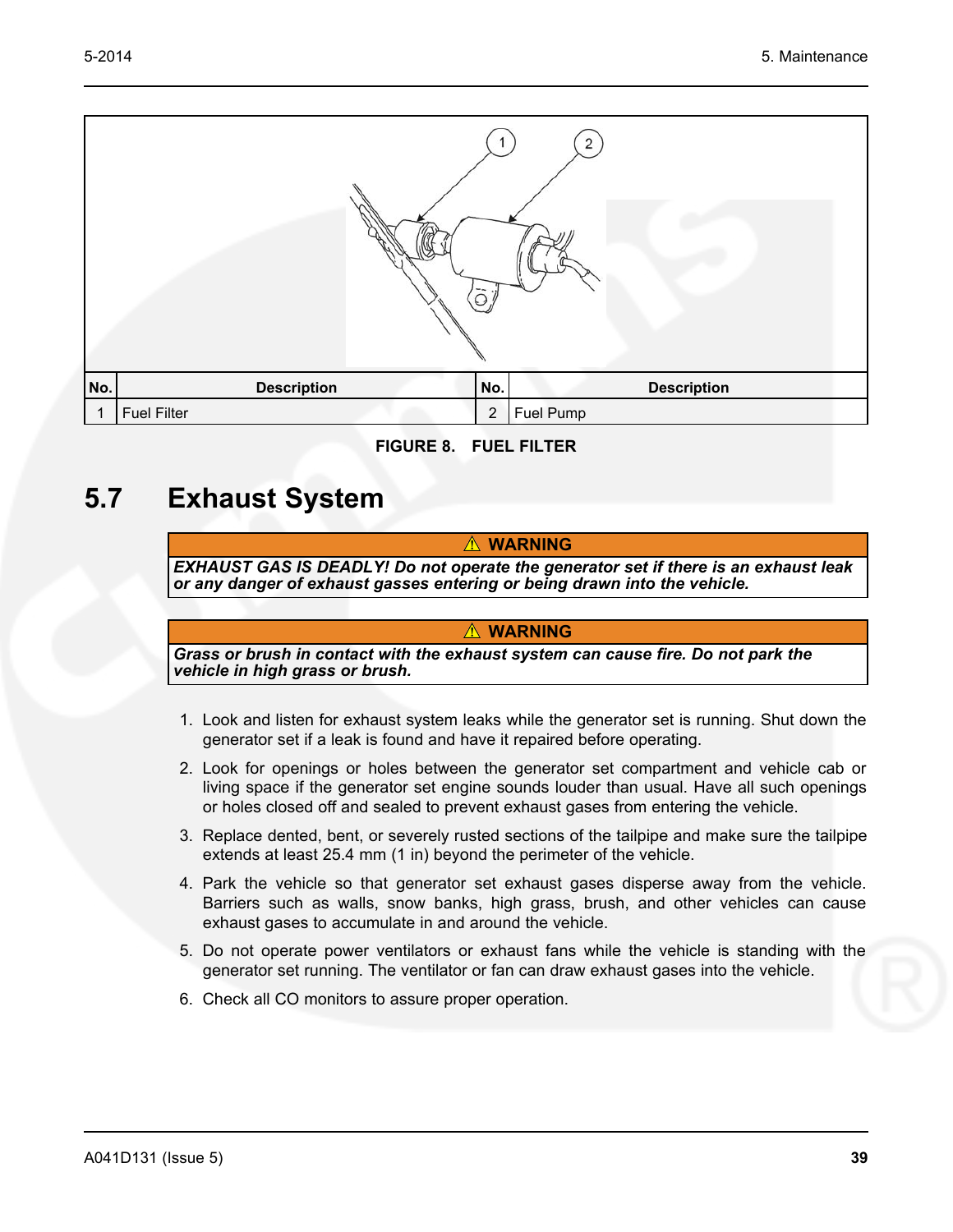

**FIGURE 8. FUEL FILTER**

# <span id="page-44-0"></span>**5.7 Exhaust System**

**WARNING**

*EXHAUST GAS IS DEADLY! Do not operate the generator set if there is an exhaust leak or any danger of exhaust gasses entering or being drawn into the vehicle.*

### **WARNING**

*Grass or brush in contact with the exhaust system can cause fire. Do not park the vehicle in high grass or brush.*

- 1. Look and listen for exhaust system leaks while the generator set is running. Shut down the generator set if a leak is found and have it repaired before operating.
- 2. Look for openings or holes between the generator set compartment and vehicle cab or living space if the generator set engine sounds louder than usual. Have all such openings or holes closed off and sealed to prevent exhaust gases from entering the vehicle.
- 3. Replace dented, bent, or severely rusted sections of the tailpipe and make sure the tailpipe extends at least 25.4 mm (1 in) beyond the perimeter of the vehicle.
- 4. Park the vehicle so that generator set exhaust gases disperse away from the vehicle. Barriers such as walls, snow banks, high grass, brush, and other vehicles can cause exhaust gases to accumulate in and around the vehicle.
- 5. Do not operate power ventilators or exhaust fans while the vehicle is standing with the generator set running. The ventilator or fan can draw exhaust gases into the vehicle.
- 6. Check all CO monitors to assure proper operation.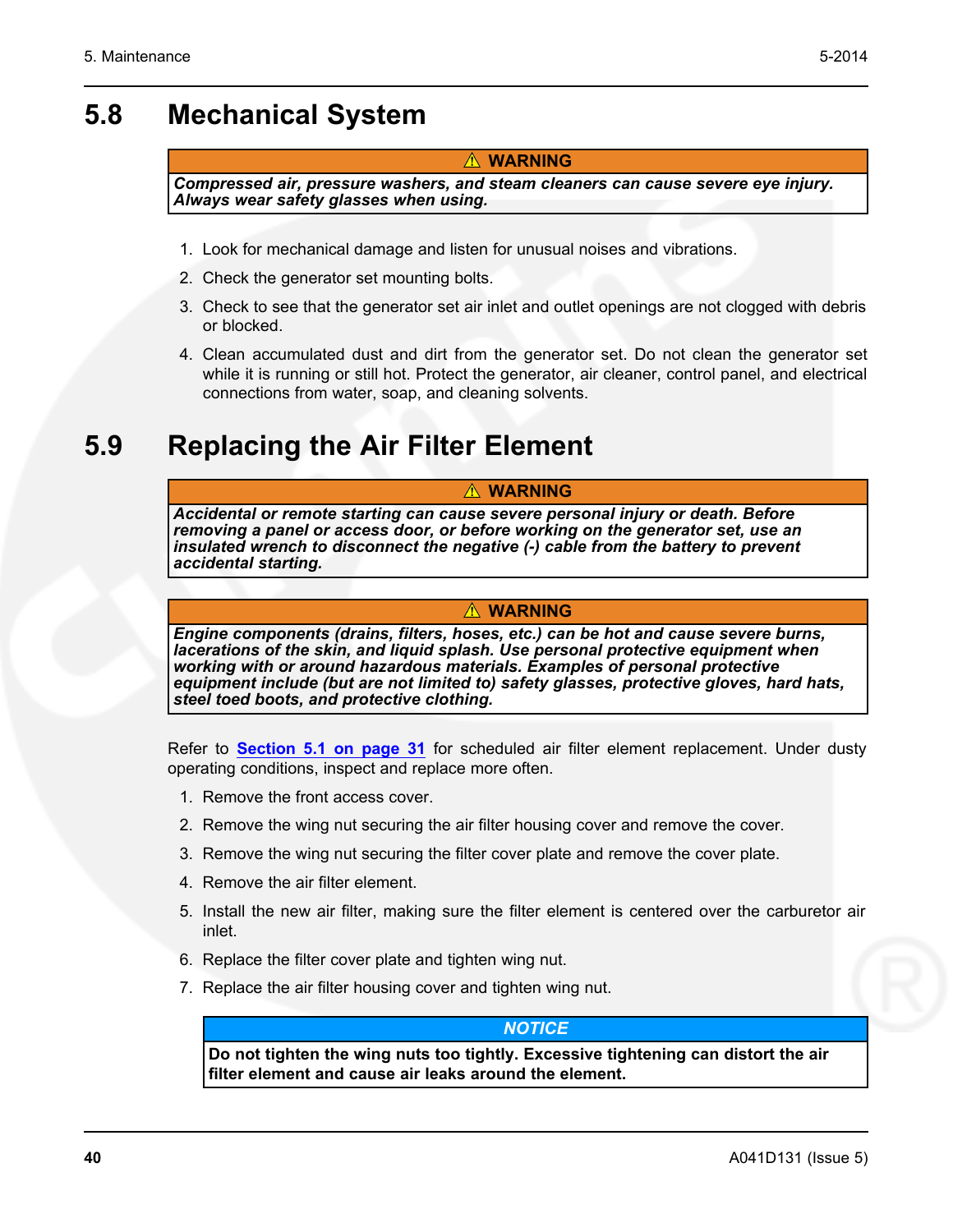# <span id="page-45-0"></span>**5.8 Mechanical System**

#### **WARNING**

*Compressed air, pressure washers, and steam cleaners can cause severe eye injury. Always wear safety glasses when using.*

- 1. Look for mechanical damage and listen for unusual noises and vibrations.
- 2. Check the generator set mounting bolts.
- 3. Check to see that the generator set air inlet and outlet openings are not clogged with debris or blocked.
- 4. Clean accumulated dust and dirt from the generator set. Do not clean the generator set while it is running or still hot. Protect the generator, air cleaner, control panel, and electrical connections from water, soap, and cleaning solvents.

# <span id="page-45-1"></span>**5.9 Replacing the Air Filter Element**

#### **WARNING**

*Accidental or remote starting can cause severe personal injury or death. Before removing a panel or access door, or before working on the generator set, use an insulated wrench to disconnect the negative (-) cable from the battery to prevent accidental starting.*

### **WARNING**

*Engine components (drains, filters, hoses, etc.) can be hot and cause severe burns, lacerations of the skin, and liquid splash. Use personal protective equipment when working with or around hazardous materials. Examples of personal protective equipment include (but are not limited to) safety glasses, protective gloves, hard hats, steel toed boots, and protective clothing.*

Refer to **[Section 5.1 on page 31](#page-36-1)** for scheduled air filter element replacement. Under dusty operating conditions, inspect and replace more often.

- 1. Remove the front access cover.
- 2. Remove the wing nut securing the air filter housing cover and remove the cover.
- 3. Remove the wing nut securing the filter cover plate and remove the cover plate.
- 4. Remove the air filter element.
- 5. Install the new air filter, making sure the filter element is centered over the carburetor air inlet.
- 6. Replace the filter cover plate and tighten wing nut.
- 7. Replace the air filter housing cover and tighten wing nut.

#### *NOTICE*

**Do not tighten the wing nuts too tightly. Excessive tightening can distort the air filter element and cause air leaks around the element.**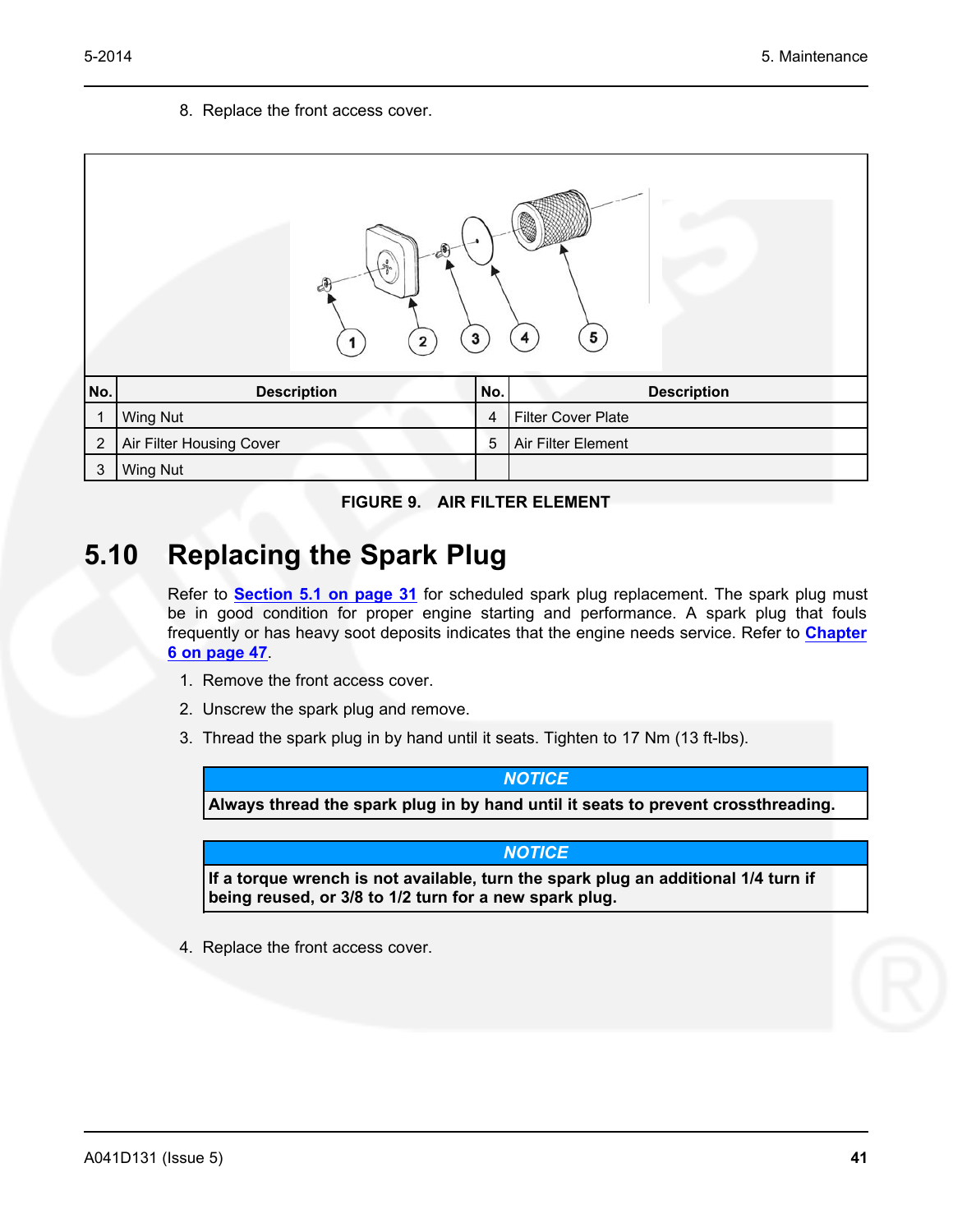8. Replace the front access cover.

|                | €<br>C.<br>$5^{\circ}$<br>4<br>3<br>$\overline{2}$ |                |                           |  |  |  |  |
|----------------|----------------------------------------------------|----------------|---------------------------|--|--|--|--|
| No.            | <b>Description</b>                                 | No.            | <b>Description</b>        |  |  |  |  |
| 1              | Wing Nut                                           | $\overline{4}$ | <b>Filter Cover Plate</b> |  |  |  |  |
| $\overline{2}$ | Air Filter Housing Cover                           | 5              | Air Filter Element        |  |  |  |  |
| $\sqrt{3}$     | Wing Nut                                           |                |                           |  |  |  |  |

**FIGURE 9. AIR FILTER ELEMENT**

# <span id="page-46-0"></span>**5.10 Replacing the Spark Plug**

Refer to **[Section 5.1 on page 31](#page-36-1)** for scheduled spark plug replacement. The spark plug must be in good condition for proper engine starting and performance. A spark plug that fouls frequently or has heavy soot deposits indicates that the engine needs service. Refer to **[Chapter](#page-52-0) [6 on page 47](#page-52-0)**.

- 1. Remove the front access cover.
- 2. Unscrew the spark plug and remove.
- 3. Thread the spark plug in by hand until it seats. Tighten to 17 Nm (13 ft-lbs).



**Always thread the spark plug in by hand until it seats to prevent crossthreading.**

### *NOTICE*

**If a torque wrench is not available, turn the spark plug an additional 1/4 turn if being reused, or 3/8 to 1/2 turn for a new spark plug.**

4. Replace the front access cover.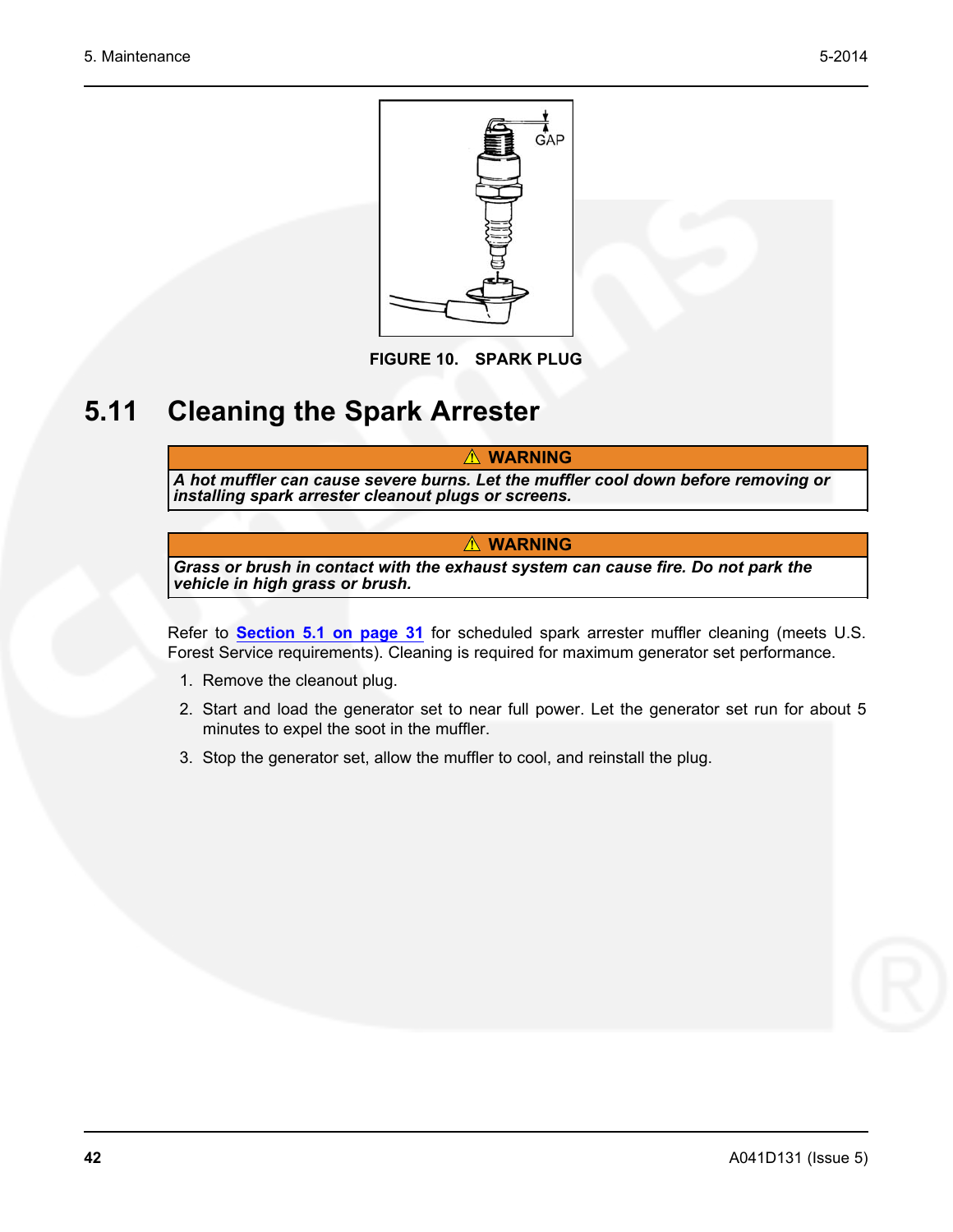

**FIGURE 10. SPARK PLUG**

# <span id="page-47-0"></span>**5.11 Cleaning the Spark Arrester**

#### **WARNING**

*A hot muffler can cause severe burns. Let the muffler cool down before removing or installing spark arrester cleanout plugs or screens.*

### **WARNING**

*Grass or brush in contact with the exhaust system can cause fire. Do not park the vehicle in high grass or brush.*

Refer to **[Section 5.1 on page 31](#page-36-1)** for scheduled spark arrester muffler cleaning (meets U.S. Forest Service requirements). Cleaning is required for maximum generator set performance.

- 1. Remove the cleanout plug.
- 2. Start and load the generator set to near full power. Let the generator set run for about 5 minutes to expel the soot in the muffler.
- 3. Stop the generator set, allow the muffler to cool, and reinstall the plug.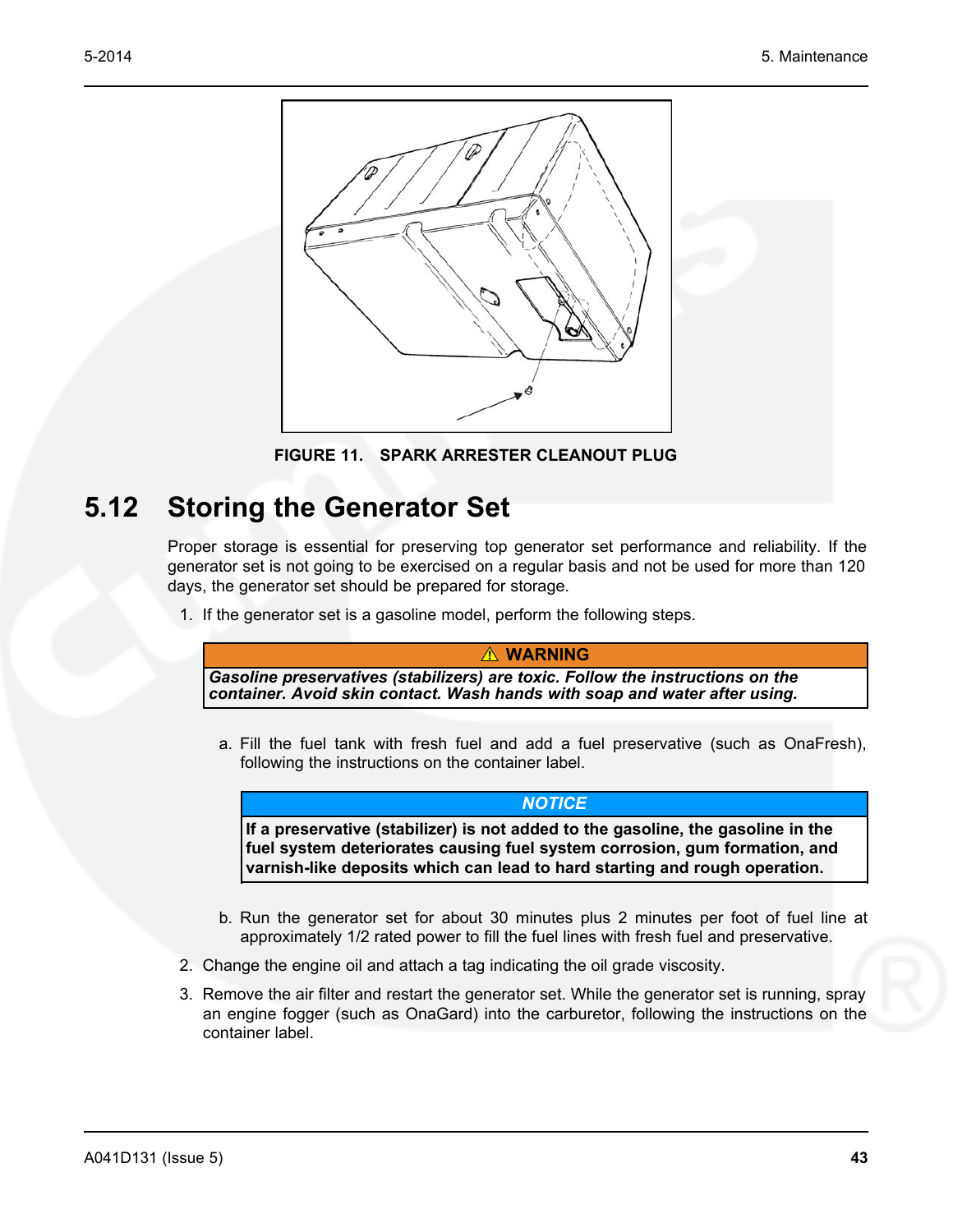



# <span id="page-48-0"></span>**5.12 Storing the Generator Set**

Proper storage is essential for preserving top generator set performance and reliability. If the generator set is not going to be exercised on a regular basis and not be used for more than 120 days, the generator set should be prepared for storage.

1. If the generator set is a gasoline model, perform the following steps.

#### **WARNING**

*Gasoline preservatives (stabilizers) are toxic. Follow the instructions on the container. Avoid skin contact. Wash hands with soap and water after using.*

a. Fill the fuel tank with fresh fuel and add a fuel preservative (such as OnaFresh), following the instructions on the container label.

#### *NOTICE*

**If a preservative (stabilizer) is not added to the gasoline, the gasoline in the fuel system deteriorates causing fuel system corrosion, gum formation, and varnish-like deposits which can lead to hard starting and rough operation.**

- b. Run the generator set for about 30 minutes plus 2 minutes per foot of fuel line at approximately 1/2 rated power to fill the fuel lines with fresh fuel and preservative.
- 2. Change the engine oil and attach a tag indicating the oil grade viscosity.
- 3. Remove the air filter and restart the generator set. While the generator set is running, spray an engine fogger (such as OnaGard) into the carburetor, following the instructions on the container label.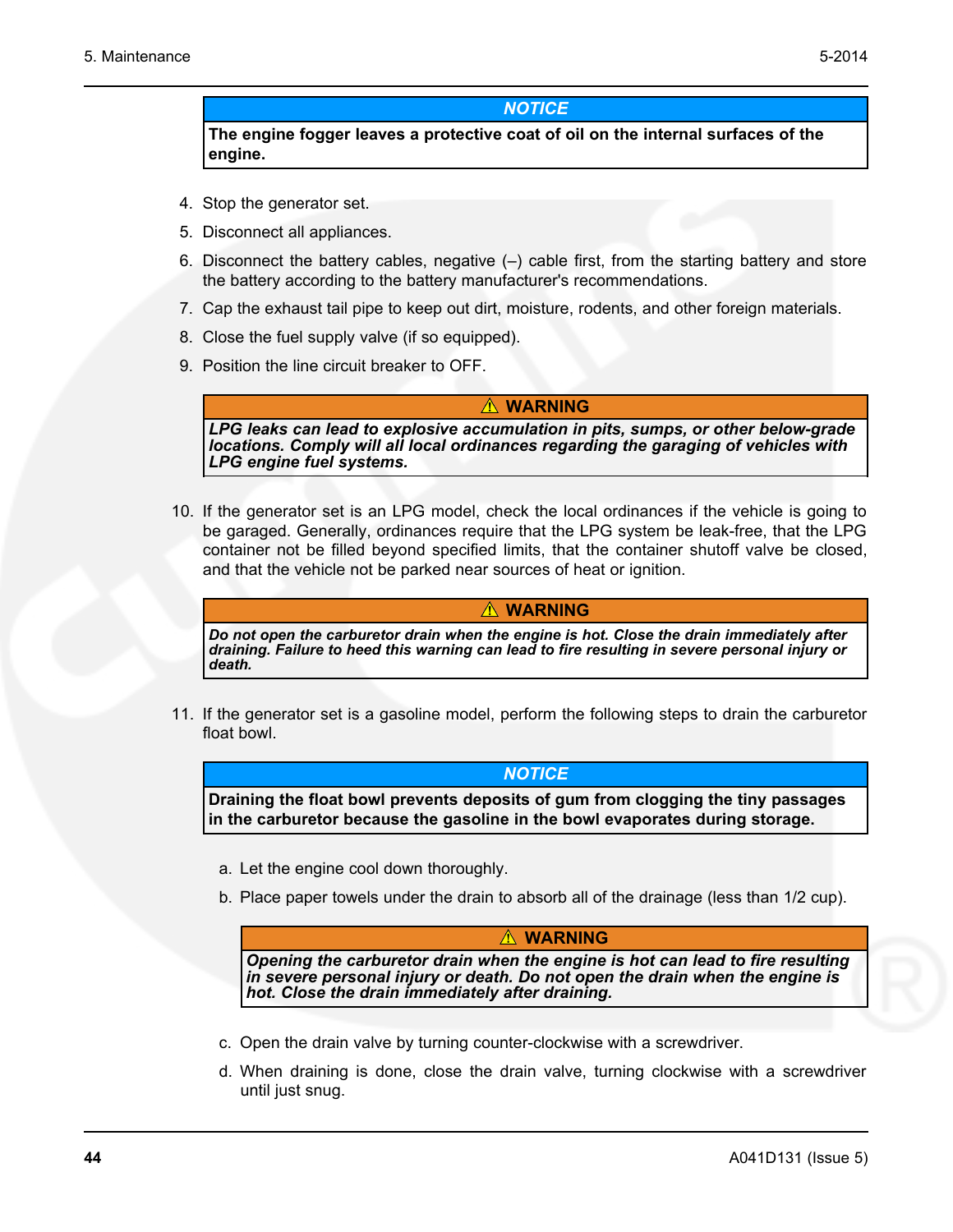#### *NOTICE*

**The engine fogger leaves a protective coat of oil on the internal surfaces of the engine.**

- 4. Stop the generator set.
- 5. Disconnect all appliances.
- 6. Disconnect the battery cables, negative (–) cable first, from the starting battery and store the battery according to the battery manufacturer's recommendations.
- 7. Cap the exhaust tail pipe to keep out dirt, moisture, rodents, and other foreign materials.
- 8. Close the fuel supply valve (if so equipped).
- 9. Position the line circuit breaker to OFF.

#### **WARNING**

*LPG leaks can lead to explosive accumulation in pits, sumps, or other below-grade locations. Comply will all local ordinances regarding the garaging of vehicles with LPG engine fuel systems.*

10. If the generator set is an LPG model, check the local ordinances if the vehicle is going to be garaged. Generally, ordinances require that the LPG system be leak-free, that the LPG container not be filled beyond specified limits, that the container shutoff valve be closed, and that the vehicle not be parked near sources of heat or ignition.

#### **WARNING**

*Do not open the carburetor drain when the engine is hot. Close the drain immediately after draining. Failure to heed this warning can lead to fire resulting in severe personal injury or death.*

11. If the generator set is a gasoline model, perform the following steps to drain the carburetor float bowl.

#### *NOTICE*

**Draining the float bowl prevents deposits of gum from clogging the tiny passages in the carburetor because the gasoline in the bowl evaporates during storage.**

- a. Let the engine cool down thoroughly.
- b. Place paper towels under the drain to absorb all of the drainage (less than 1/2 cup).

#### **WARNING**

*Opening the carburetor drain when the engine is hot can lead to fire resulting in severe personal injury or death. Do not open the drain when the engine is hot. Close the drain immediately after draining.*

- c. Open the drain valve by turning counter-clockwise with a screwdriver.
- d. When draining is done, close the drain valve, turning clockwise with a screwdriver until just snug.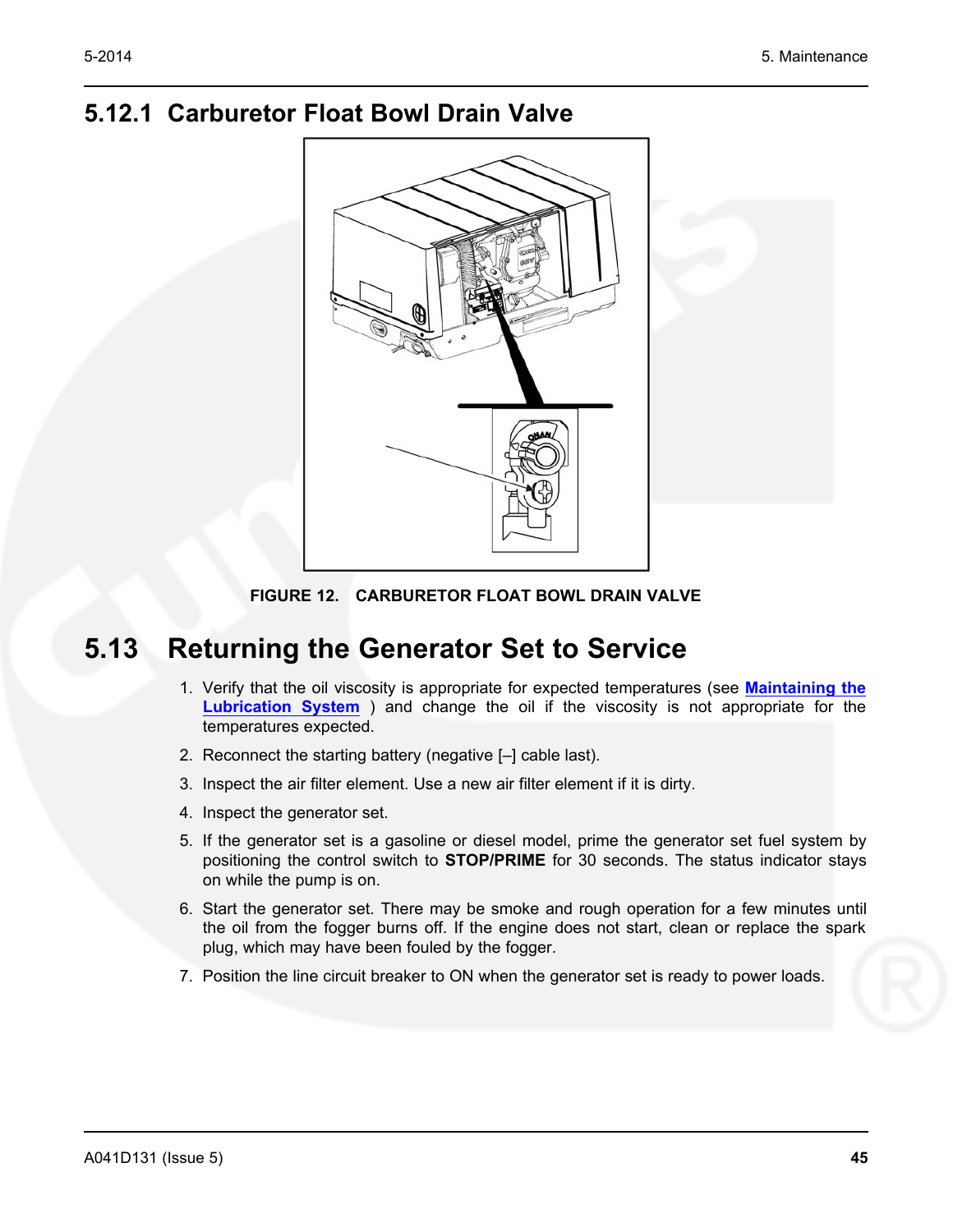### <span id="page-50-0"></span>**5.12.1 Carburetor Float Bowl Drain Valve**



**FIGURE 12. CARBURETOR FLOAT BOWL DRAIN VALVE**

# <span id="page-50-1"></span>**5.13 Returning the Generator Set to Service**

- 1. Verify that the oil viscosity is appropriate for expected temperatures (see **[Maintaining the](#page-38-0) [Lubrication System](#page-38-0)** ) and change the oil if the viscosity is not appropriate for the temperatures expected.
- 2. Reconnect the starting battery (negative [–] cable last).
- 3. Inspect the air filter element. Use a new air filter element if it is dirty.
- 4. Inspect the generator set.
- 5. If the generator set is a gasoline or diesel model, prime the generator set fuel system by positioning the control switch to **STOP/PRIME** for 30 seconds. The status indicator stays on while the pump is on.
- 6. Start the generator set. There may be smoke and rough operation for a few minutes until the oil from the fogger burns off. If the engine does not start, clean or replace the spark plug, which may have been fouled by the fogger.
- 7. Position the line circuit breaker to ON when the generator set is ready to power loads.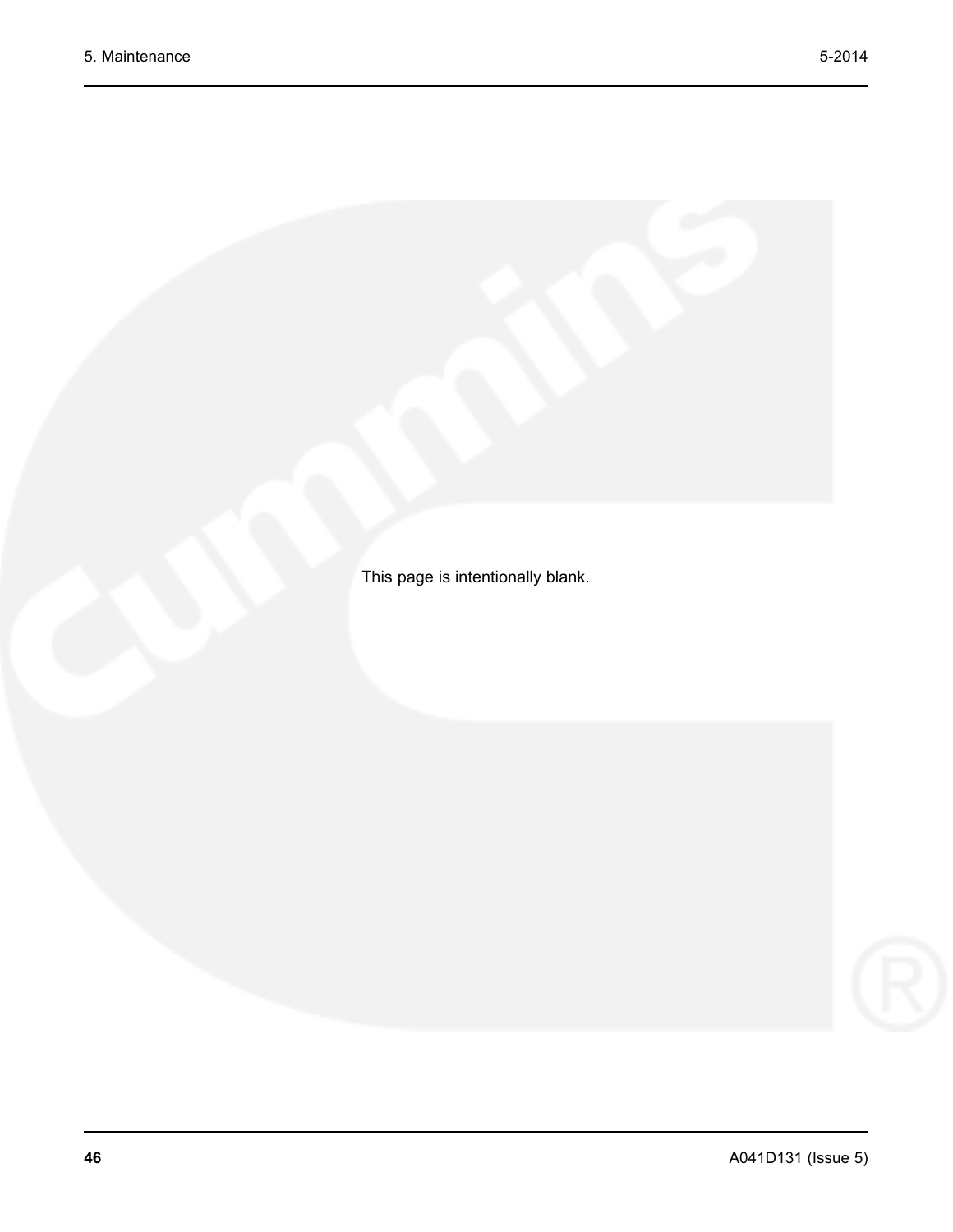This page is intentionally blank.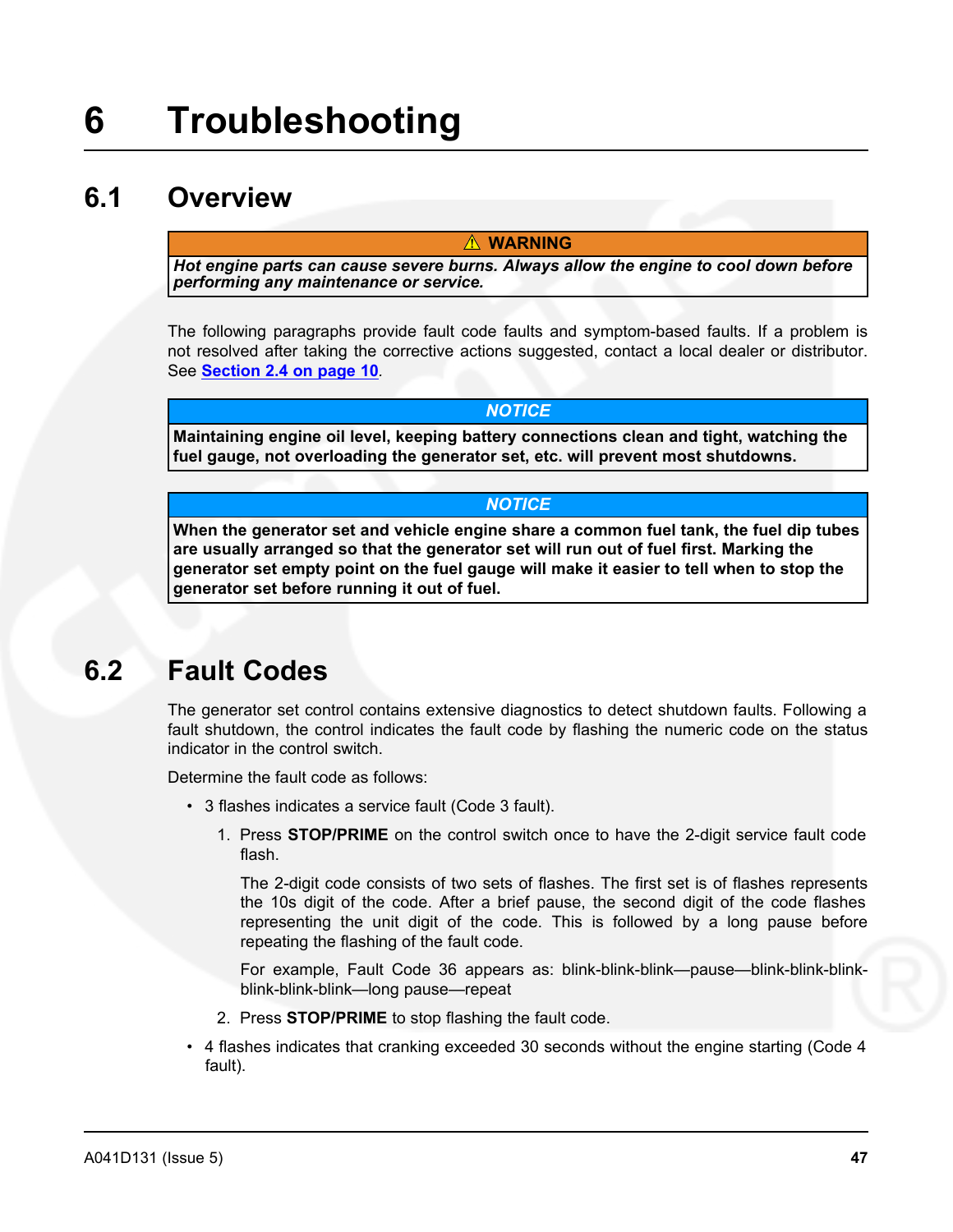# <span id="page-52-0"></span>**6 Troubleshooting**

# <span id="page-52-1"></span>**6.1 Overview**

#### **WARNING**

*Hot engine parts can cause severe burns. Always allow the engine to cool down before performing any maintenance or service.*

The following paragraphs provide fault code faults and symptom-based faults. If a problem is not resolved after taking the corrective actions suggested, contact a local dealer or distributor. See **[Section 2.4 on page 10](#page-15-2)***.*

*NOTICE*

**Maintaining engine oil level, keeping battery connections clean and tight, watching the fuel gauge, not overloading the generator set, etc. will prevent most shutdowns.**

#### *NOTICE*

**When the generator set and vehicle engine share a common fuel tank, the fuel dip tubes are usually arranged so that the generator set will run out of fuel first. Marking the generator set empty point on the fuel gauge will make it easier to tell when to stop the generator set before running it out of fuel.**

### <span id="page-52-2"></span>**6.2 Fault Codes**

The generator set control contains extensive diagnostics to detect shutdown faults. Following a fault shutdown, the control indicates the fault code by flashing the numeric code on the status indicator in the control switch.

Determine the fault code as follows:

- 3 flashes indicates a service fault (Code 3 fault).
	- 1. Press **STOP/PRIME** on the control switch once to have the 2-digit service fault code flash.

The 2-digit code consists of two sets of flashes. The first set is of flashes represents the 10s digit of the code. After a brief pause, the second digit of the code flashes representing the unit digit of the code. This is followed by a long pause before repeating the flashing of the fault code.

For example, Fault Code 36 appears as: blink-blink-blink—pause—blink-blink-blinkblink-blink-blink—long pause—repeat

- 2. Press **STOP/PRIME** to stop flashing the fault code.
- 4 flashes indicates that cranking exceeded 30 seconds without the engine starting (Code 4 fault).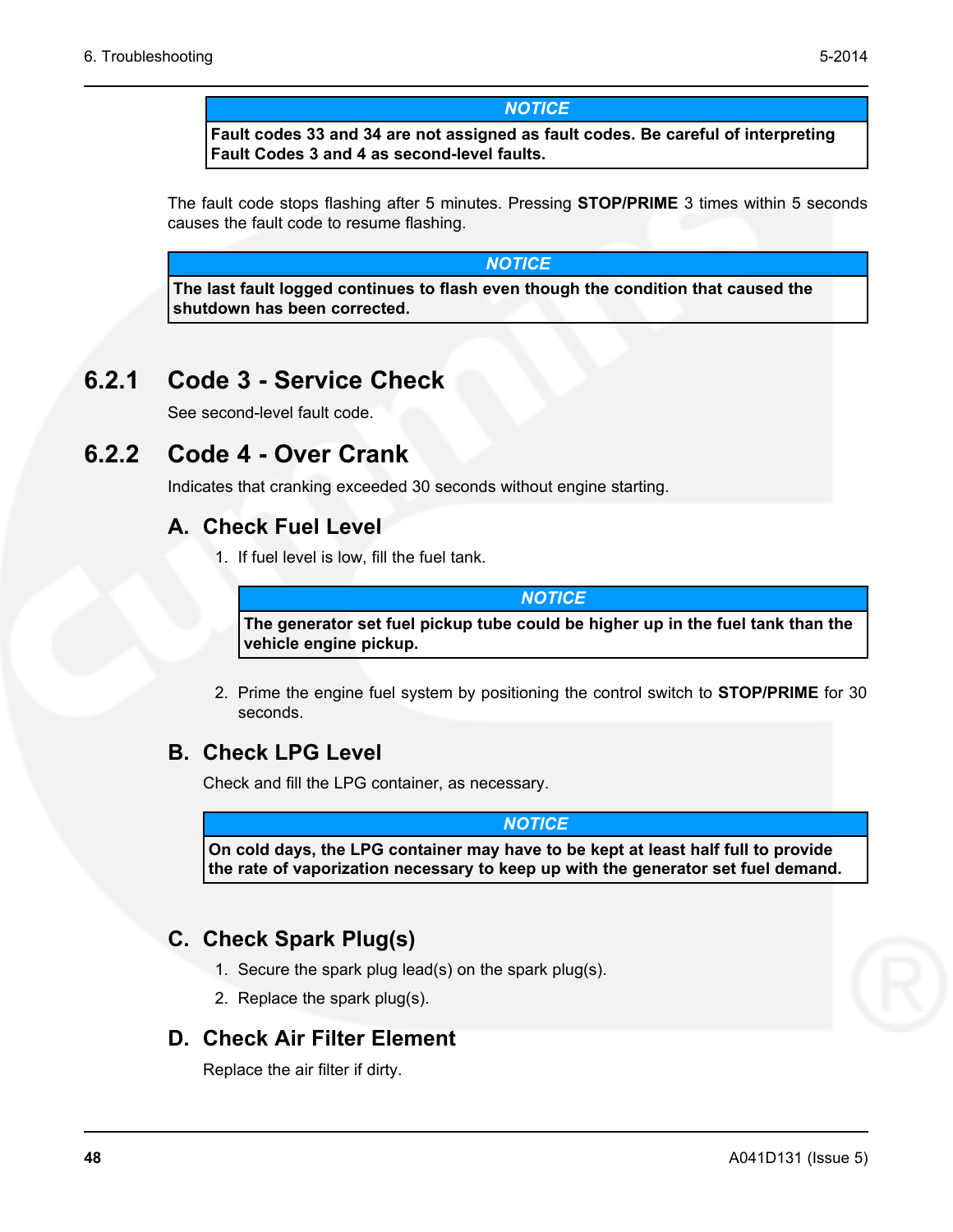### *NOTICE*

**Fault codes 33 and 34 are not assigned as fault codes. Be careful of interpreting Fault Codes 3 and 4 as second-level faults.**

The fault code stops flashing after 5 minutes. Pressing **STOP/PRIME** 3 times within 5 seconds causes the fault code to resume flashing.

#### *NOTICE*

**The last fault logged continues to flash even though the condition that caused the shutdown has been corrected.**

### <span id="page-53-0"></span>**6.2.1 Code 3 - Service Check**

See second-level fault code.

### <span id="page-53-1"></span>**6.2.2 Code 4 - Over Crank**

Indicates that cranking exceeded 30 seconds without engine starting.

### **A. Check Fuel Level**

1. If fuel level is low, fill the fuel tank.

*NOTICE*

**The generator set fuel pickup tube could be higher up in the fuel tank than the vehicle engine pickup.**

2. Prime the engine fuel system by positioning the control switch to **STOP/PRIME** for 30 seconds.

### **B. Check LPG Level**

Check and fill the LPG container, as necessary.

#### *NOTICE*

**On cold days, the LPG container may have to be kept at least half full to provide the rate of vaporization necessary to keep up with the generator set fuel demand.**

### **C. Check Spark Plug(s)**

- 1. Secure the spark plug lead(s) on the spark plug(s).
- 2. Replace the spark plug(s).

### **D. Check Air Filter Element**

Replace the air filter if dirty.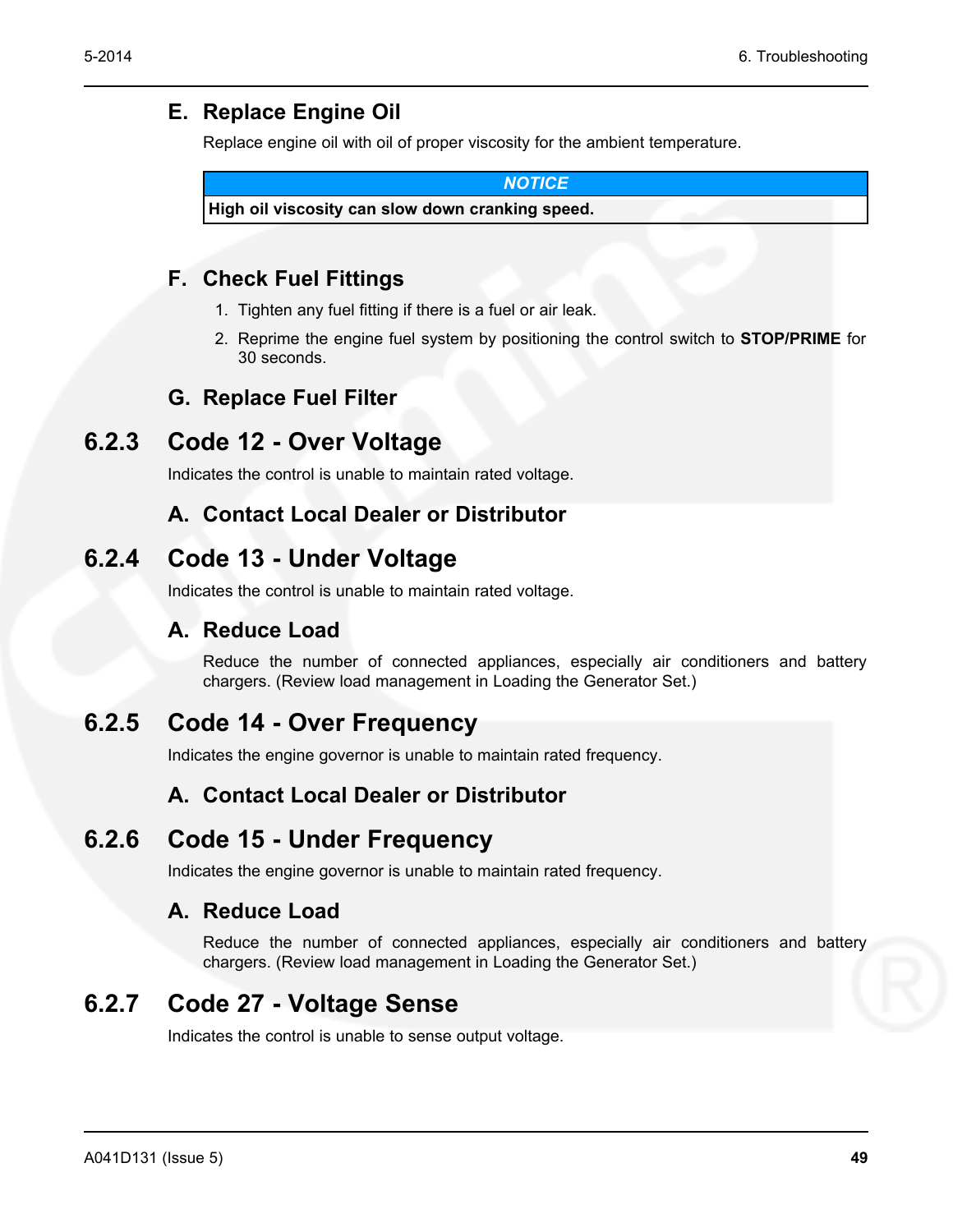### **E. Replace Engine Oil**

Replace engine oil with oil of proper viscosity for the ambient temperature.

*NOTICE*

**High oil viscosity can slow down cranking speed.**

### **F. Check Fuel Fittings**

- 1. Tighten any fuel fitting if there is a fuel or air leak.
- 2. Reprime the engine fuel system by positioning the control switch to **STOP/PRIME** for 30 seconds.

### **G. Replace Fuel Filter**

### <span id="page-54-0"></span>**6.2.3 Code 12 - Over Voltage**

Indicates the control is unable to maintain rated voltage.

### **A. Contact Local Dealer or Distributor**

### <span id="page-54-1"></span>**6.2.4 Code 13 - Under Voltage**

Indicates the control is unable to maintain rated voltage.

### **A. Reduce Load**

Reduce the number of connected appliances, especially air conditioners and battery chargers. (Review load management in Loading the Generator Set.)

### <span id="page-54-2"></span>**6.2.5 Code 14 - Over Frequency**

Indicates the engine governor is unable to maintain rated frequency.

### **A. Contact Local Dealer or Distributor**

### <span id="page-54-3"></span>**6.2.6 Code 15 - Under Frequency**

Indicates the engine governor is unable to maintain rated frequency.

### **A. Reduce Load**

Reduce the number of connected appliances, especially air conditioners and battery chargers. (Review load management in Loading the Generator Set.)

### <span id="page-54-4"></span>**6.2.7 Code 27 - Voltage Sense**

Indicates the control is unable to sense output voltage.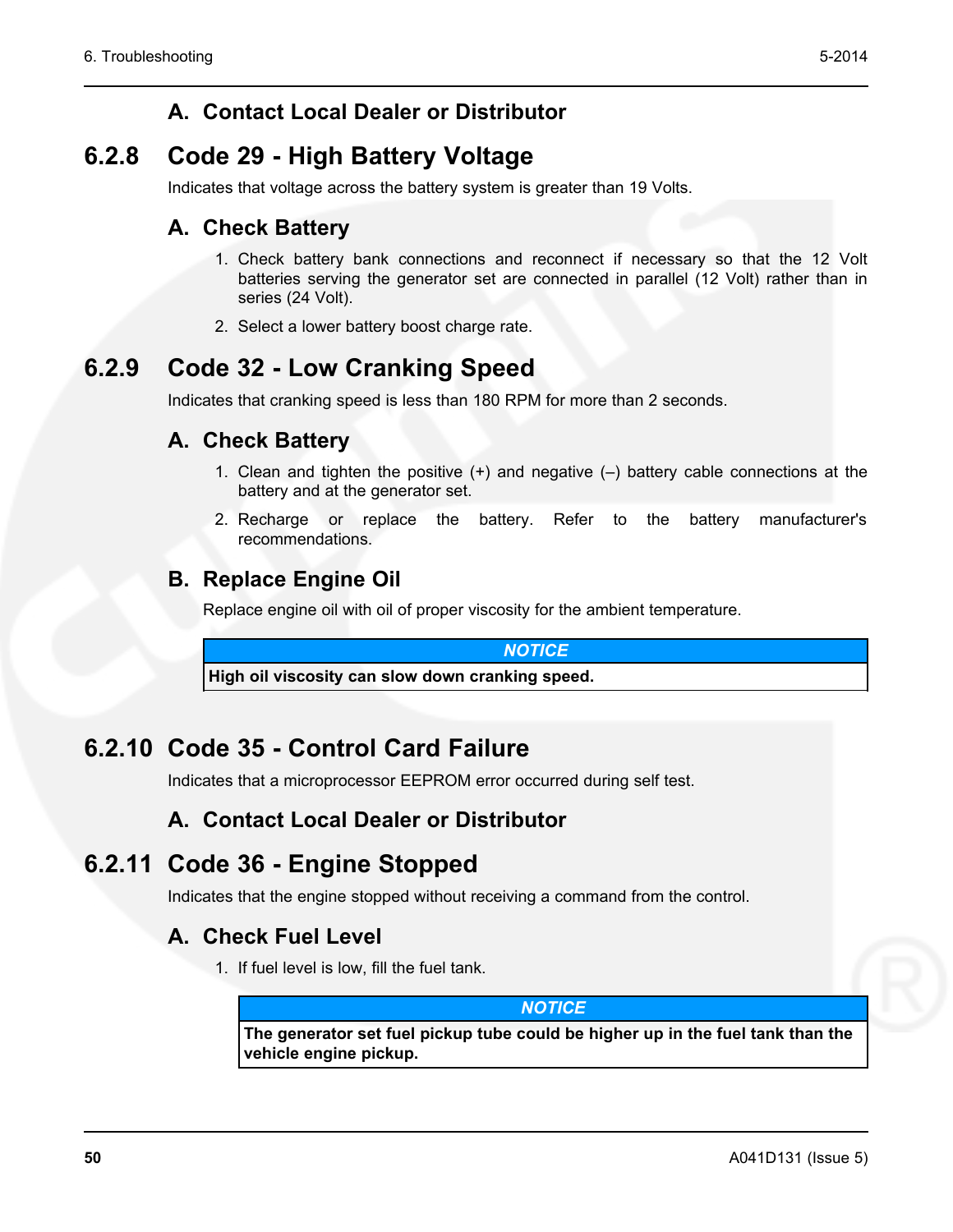### **A. Contact Local Dealer or Distributor**

### <span id="page-55-0"></span>**6.2.8 Code 29 - High Battery Voltage**

Indicates that voltage across the battery system is greater than 19 Volts.

### **A. Check Battery**

- 1. Check battery bank connections and reconnect if necessary so that the 12 Volt batteries serving the generator set are connected in parallel (12 Volt) rather than in series (24 Volt).
- 2. Select a lower battery boost charge rate.

### <span id="page-55-1"></span>**6.2.9 Code 32 - Low Cranking Speed**

Indicates that cranking speed is less than 180 RPM for more than 2 seconds.

### **A. Check Battery**

- 1. Clean and tighten the positive  $(+)$  and negative  $(-)$  battery cable connections at the battery and at the generator set.
- 2. Recharge or replace the battery. Refer to the battery manufacturer's recommendations.

### **B. Replace Engine Oil**

Replace engine oil with oil of proper viscosity for the ambient temperature.

### *NOTICE*

**High oil viscosity can slow down cranking speed.**

## <span id="page-55-2"></span>**6.2.10 Code 35 - Control Card Failure**

Indicates that a microprocessor EEPROM error occurred during self test.

### **A. Contact Local Dealer or Distributor**

### <span id="page-55-3"></span>**6.2.11 Code 36 - Engine Stopped**

Indicates that the engine stopped without receiving a command from the control.

### **A. Check Fuel Level**

1. If fuel level is low, fill the fuel tank.

### *NOTICE*

**The generator set fuel pickup tube could be higher up in the fuel tank than the vehicle engine pickup.**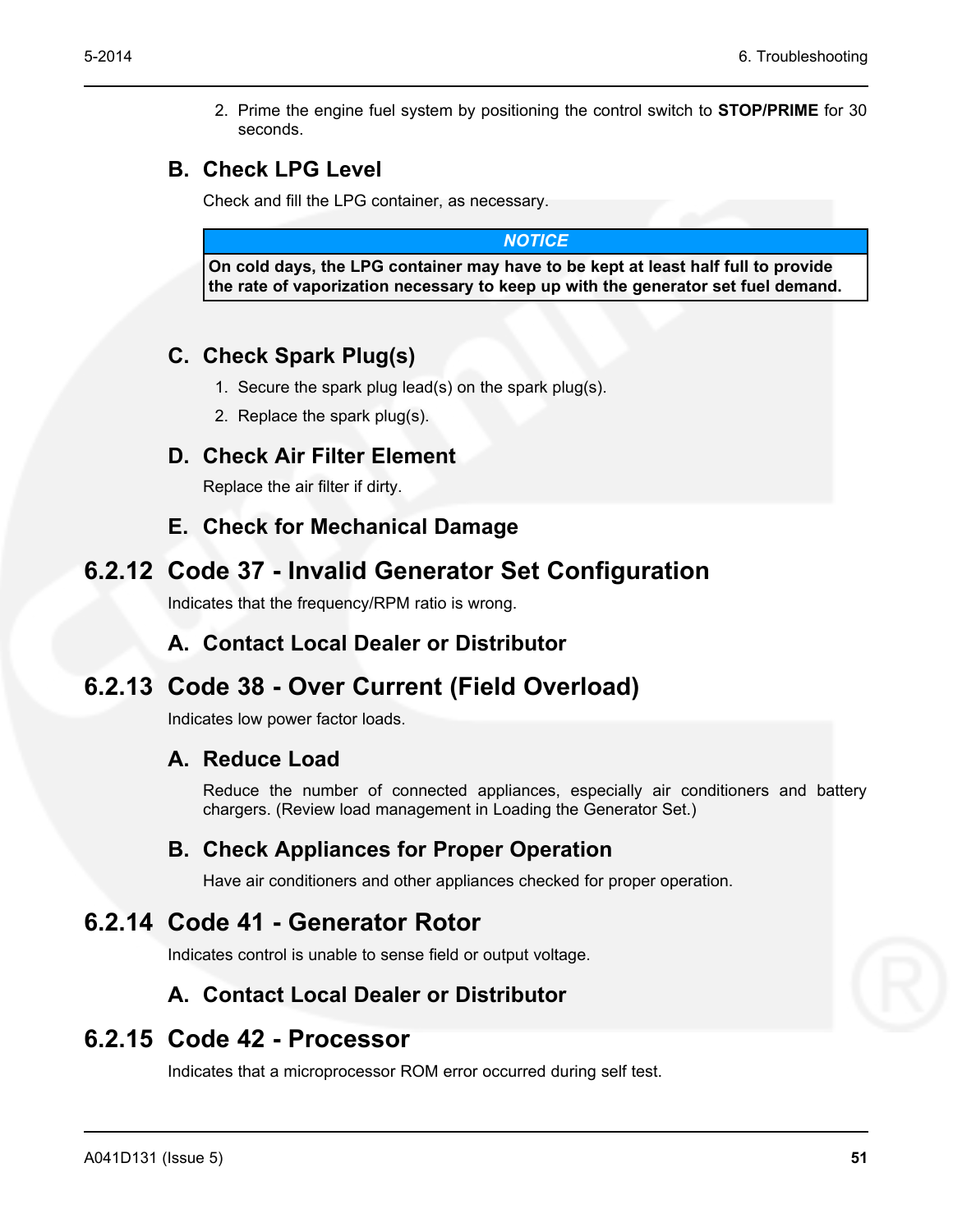2. Prime the engine fuel system by positioning the control switch to **STOP/PRIME** for 30 seconds.

### **B. Check LPG Level**

Check and fill the LPG container, as necessary.

#### *NOTICE*

**On cold days, the LPG container may have to be kept at least half full to provide the rate of vaporization necessary to keep up with the generator set fuel demand.**

### **C. Check Spark Plug(s)**

- 1. Secure the spark plug lead(s) on the spark plug(s).
- 2. Replace the spark plug(s).

### **D. Check Air Filter Element**

Replace the air filter if dirty.

### **E. Check for Mechanical Damage**

### <span id="page-56-0"></span>**6.2.12 Code 37 - Invalid Generator Set Configuration**

Indicates that the frequency/RPM ratio is wrong.

### **A. Contact Local Dealer or Distributor**

### <span id="page-56-1"></span>**6.2.13 Code 38 - Over Current (Field Overload)**

Indicates low power factor loads.

### **A. Reduce Load**

Reduce the number of connected appliances, especially air conditioners and battery chargers. (Review load management in Loading the Generator Set.)

### **B. Check Appliances for Proper Operation**

Have air conditioners and other appliances checked for proper operation.

### <span id="page-56-2"></span>**6.2.14 Code 41 - Generator Rotor**

Indicates control is unable to sense field or output voltage.

### **A. Contact Local Dealer or Distributor**

### <span id="page-56-3"></span>**6.2.15 Code 42 - Processor**

Indicates that a microprocessor ROM error occurred during self test.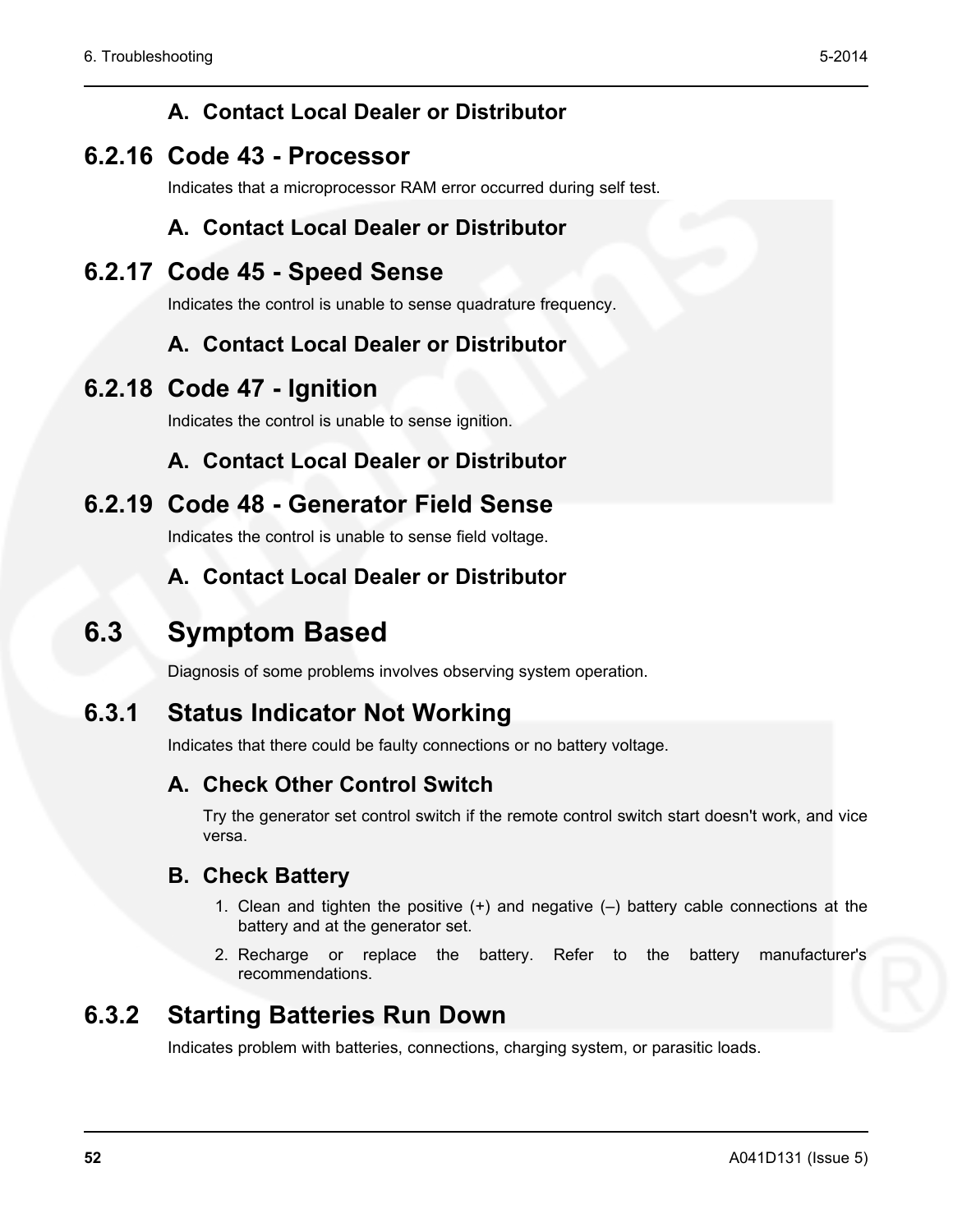### **A. Contact Local Dealer or Distributor**

### <span id="page-57-0"></span>**6.2.16 Code 43 - Processor**

Indicates that a microprocessor RAM error occurred during self test.

### **A. Contact Local Dealer or Distributor**

### <span id="page-57-1"></span>**6.2.17 Code 45 - Speed Sense**

Indicates the control is unable to sense quadrature frequency.

### **A. Contact Local Dealer or Distributor**

### <span id="page-57-2"></span>**6.2.18 Code 47 - Ignition**

Indicates the control is unable to sense ignition.

### **A. Contact Local Dealer or Distributor**

### <span id="page-57-3"></span>**6.2.19 Code 48 - Generator Field Sense**

Indicates the control is unable to sense field voltage.

### **A. Contact Local Dealer or Distributor**

# <span id="page-57-4"></span>**6.3 Symptom Based**

Diagnosis of some problems involves observing system operation.

### <span id="page-57-5"></span>**6.3.1 Status Indicator Not Working**

Indicates that there could be faulty connections or no battery voltage.

### **A. Check Other Control Switch**

Try the generator set control switch if the remote control switch start doesn't work, and vice versa.

### **B. Check Battery**

- 1. Clean and tighten the positive  $(+)$  and negative  $(-)$  battery cable connections at the battery and at the generator set.
- 2. Recharge or replace the battery. Refer to the battery manufacturer's recommendations.

### <span id="page-57-6"></span>**6.3.2 Starting Batteries Run Down**

Indicates problem with batteries, connections, charging system, or parasitic loads.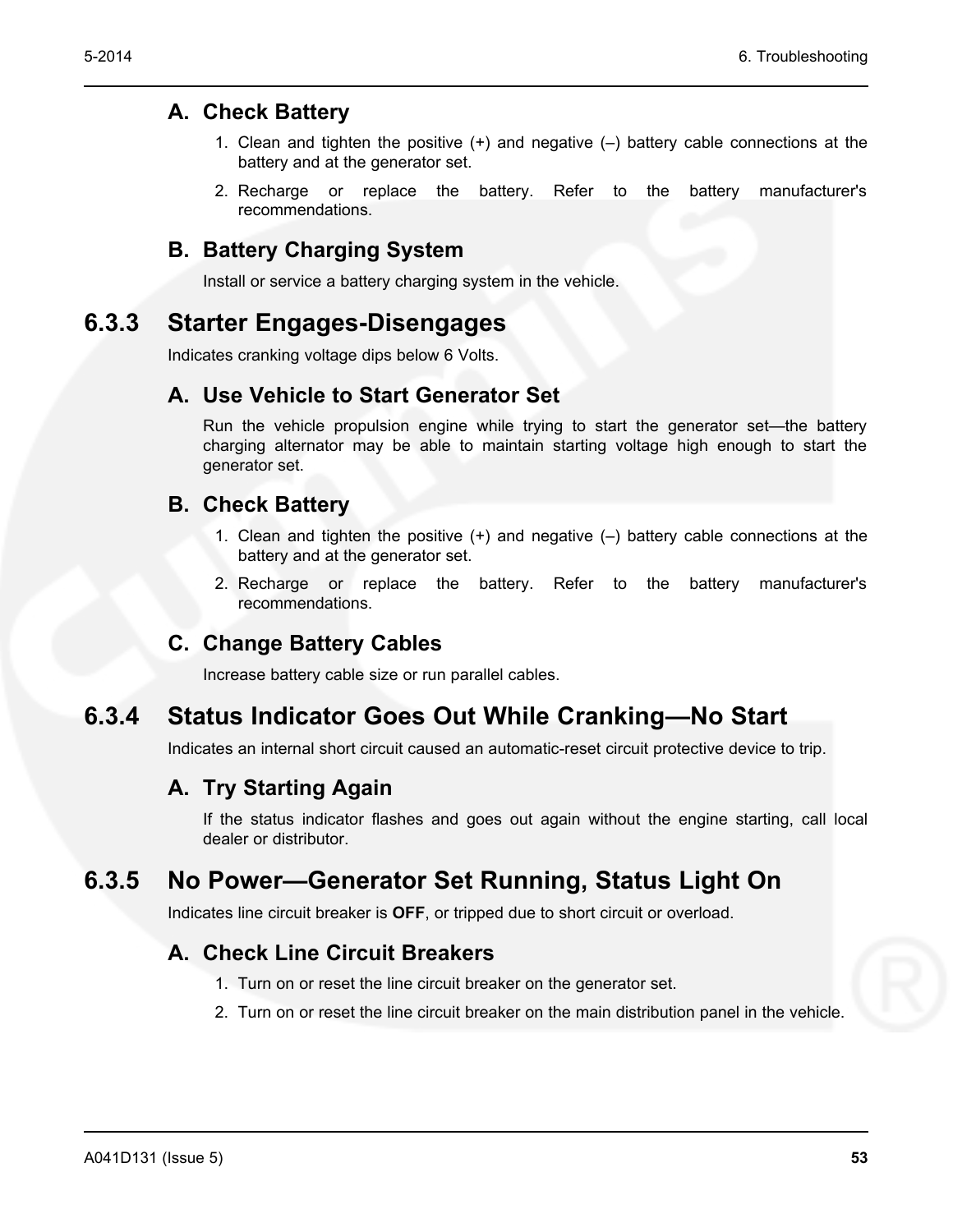### **A. Check Battery**

- 1. Clean and tighten the positive (+) and negative (–) battery cable connections at the battery and at the generator set.
- 2. Recharge or replace the battery. Refer to the battery manufacturer's recommendations.

### **B. Battery Charging System**

Install or service a battery charging system in the vehicle.

### <span id="page-58-0"></span>**6.3.3 Starter Engages-Disengages**

Indicates cranking voltage dips below 6 Volts.

### **A. Use Vehicle to Start Generator Set**

Run the vehicle propulsion engine while trying to start the generator set—the battery charging alternator may be able to maintain starting voltage high enough to start the generator set.

### **B. Check Battery**

- 1. Clean and tighten the positive  $(+)$  and negative  $(-)$  battery cable connections at the battery and at the generator set.
- 2. Recharge or replace the battery. Refer to the battery manufacturer's recommendations.

### **C. Change Battery Cables**

Increase battery cable size or run parallel cables.

### <span id="page-58-1"></span>**6.3.4 Status Indicator Goes Out While Cranking—No Start**

Indicates an internal short circuit caused an automatic-reset circuit protective device to trip.

### **A. Try Starting Again**

If the status indicator flashes and goes out again without the engine starting, call local dealer or distributor.

### <span id="page-58-2"></span>**6.3.5 No Power—Generator Set Running, Status Light On**

Indicates line circuit breaker is **OFF**, or tripped due to short circuit or overload.

### **A. Check Line Circuit Breakers**

- 1. Turn on or reset the line circuit breaker on the generator set.
- 2. Turn on or reset the line circuit breaker on the main distribution panel in the vehicle.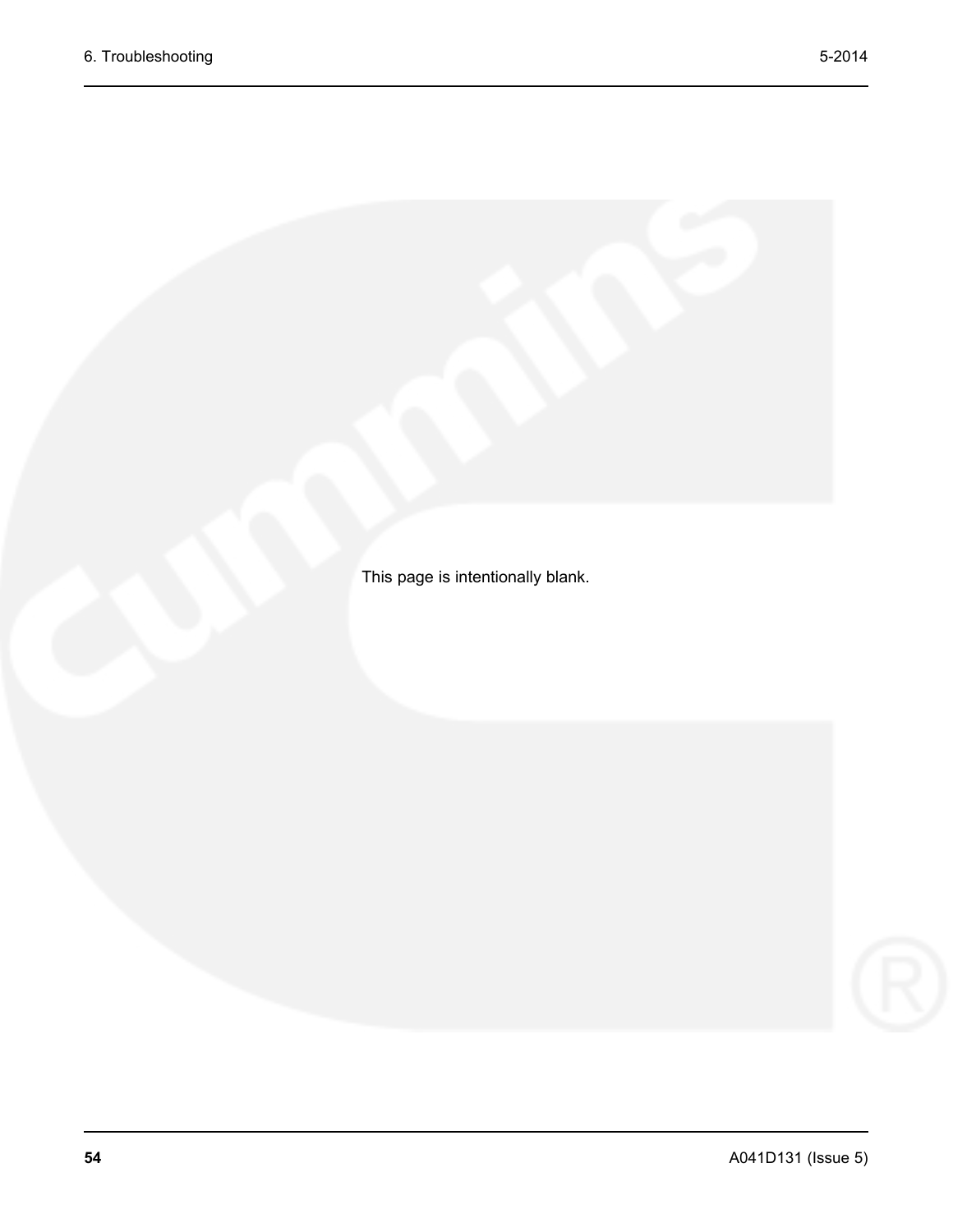This page is intentionally blank.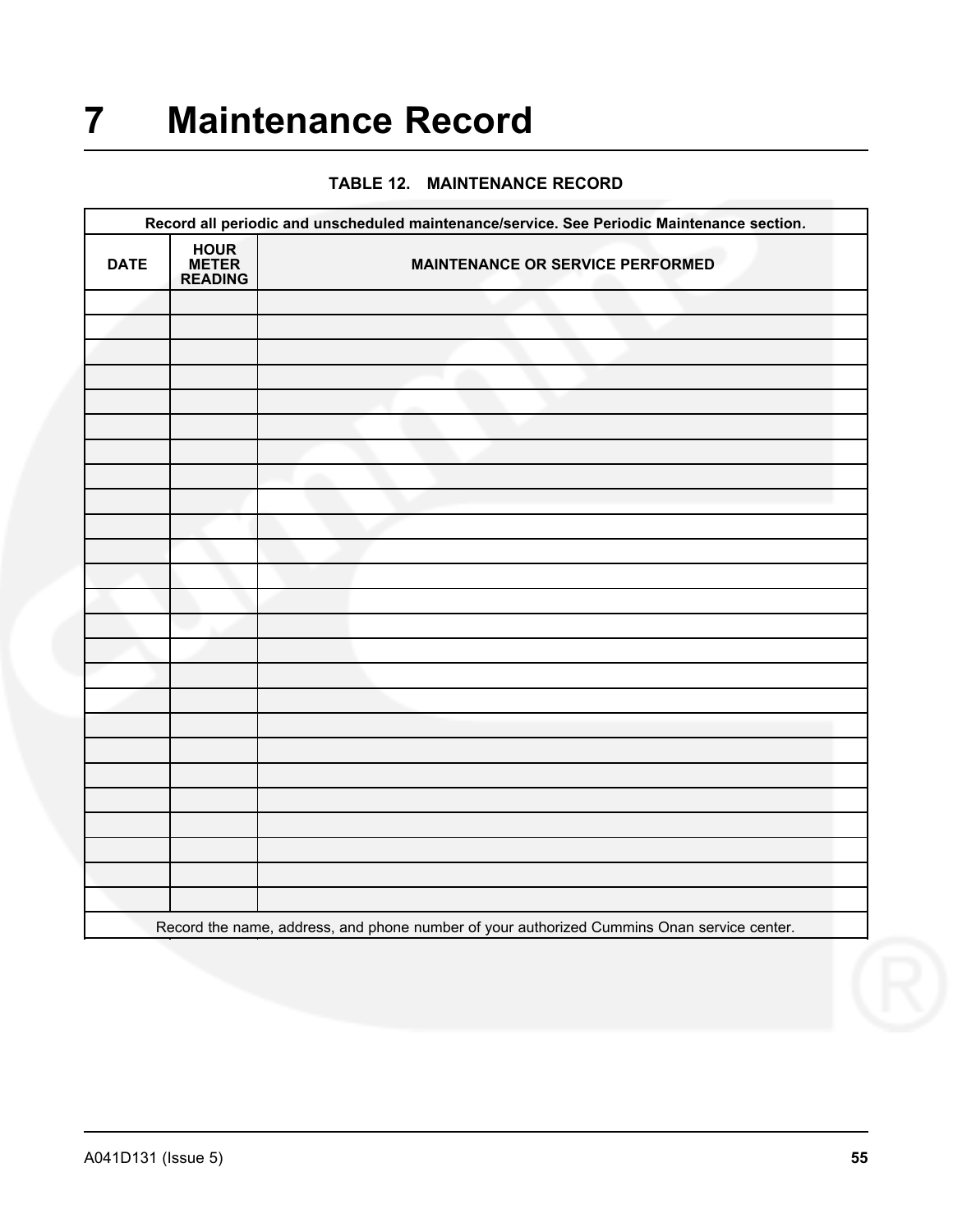# <span id="page-60-0"></span>**7 Maintenance Record**

| <b>DATE</b> | <b>HOUR<br/>METER</b><br><b>READING</b> | <b>MAINTENANCE OR SERVICE PERFORMED</b> |
|-------------|-----------------------------------------|-----------------------------------------|
|             |                                         |                                         |
|             |                                         |                                         |
|             |                                         |                                         |
|             |                                         |                                         |
|             |                                         |                                         |
|             |                                         |                                         |
|             |                                         |                                         |
|             |                                         |                                         |
|             |                                         |                                         |
|             |                                         |                                         |
|             |                                         |                                         |
|             |                                         |                                         |
|             |                                         |                                         |
|             |                                         |                                         |
|             |                                         |                                         |
|             |                                         |                                         |
|             |                                         |                                         |
|             |                                         |                                         |
|             |                                         |                                         |
|             |                                         |                                         |
|             |                                         |                                         |
|             |                                         |                                         |
|             |                                         |                                         |
|             |                                         |                                         |
|             |                                         |                                         |
|             |                                         |                                         |

#### **TABLE 12. MAINTENANCE RECORD**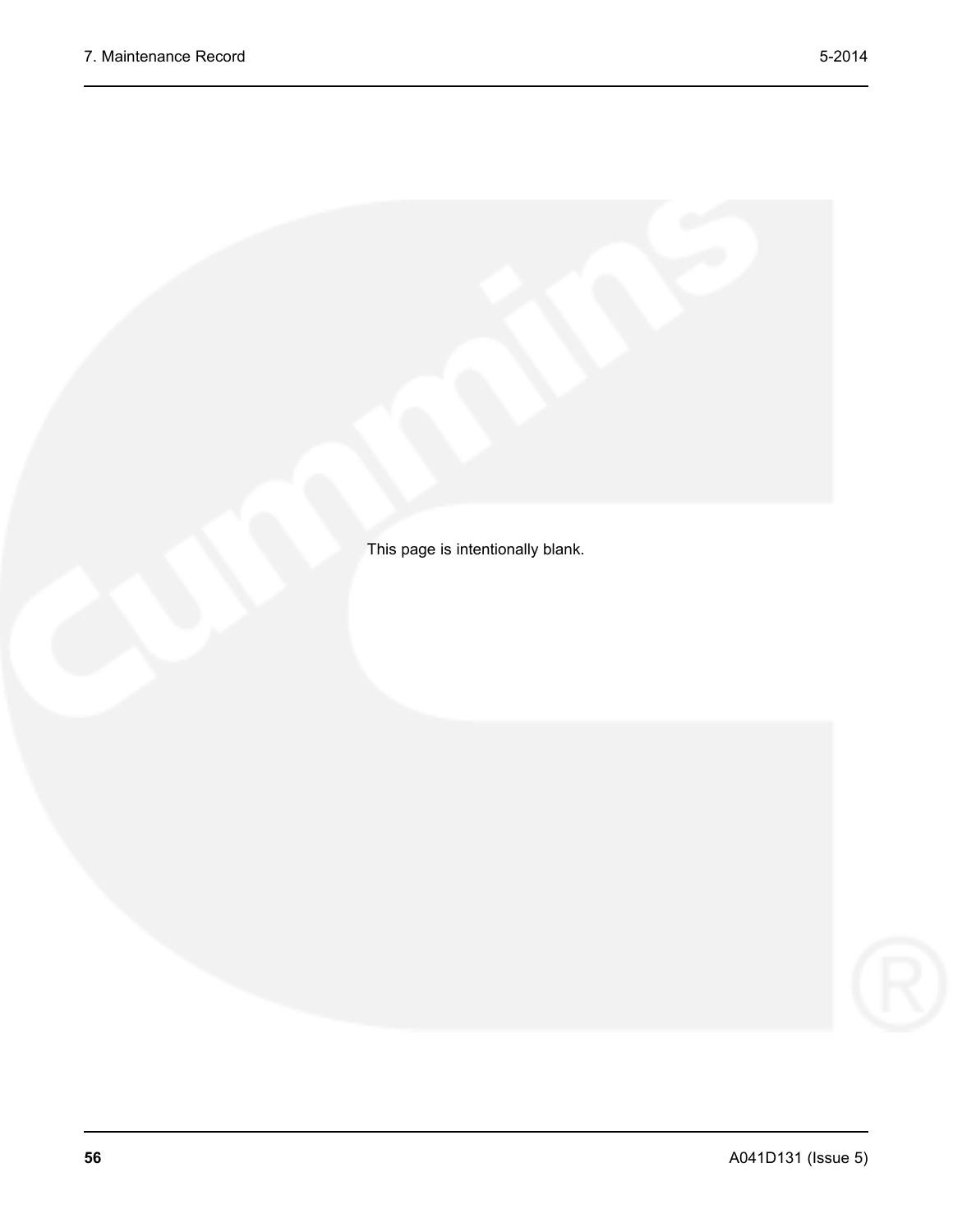This page is intentionally blank.